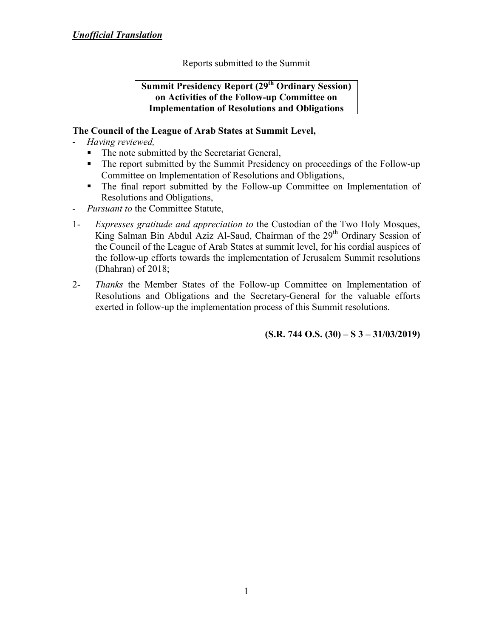Reports submitted to the Summit

**Summit Presidency Report (29th Ordinary Session) on Activities of the Follow-up Committee on Implementation of Resolutions and Obligations**

#### **The Council of the League of Arab States at Summit Level,**

- *Having reviewed,*
	- The note submitted by the Secretariat General,
	- The report submitted by the Summit Presidency on proceedings of the Follow-up Committee on Implementation of Resolutions and Obligations,
	- The final report submitted by the Follow-up Committee on Implementation of Resolutions and Obligations,
- *Pursuant to* the Committee Statute,
- 1- *Expresses gratitude and appreciation to* the Custodian of the Two Holy Mosques, King Salman Bin Abdul Aziz Al-Saud, Chairman of the 29<sup>th</sup> Ordinary Session of the Council of the League of Arab States at summit level, for his cordial auspices of the follow-up efforts towards the implementation of Jerusalem Summit resolutions (Dhahran) of 2018;
- 2- *Thanks* the Member States of the Follow-up Committee on Implementation of Resolutions and Obligations and the Secretary-General for the valuable efforts exerted in follow-up the implementation process of this Summit resolutions.

**(S.R. 744 O.S. (30) – S 3 – 31/03/2019)**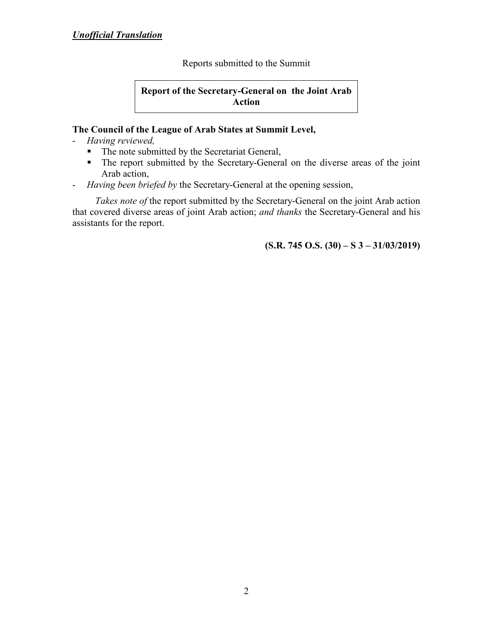Reports submitted to the Summit

**Report of the Secretary-General on the Joint Arab Action**

#### **The Council of the League of Arab States at Summit Level,**

- *Having reviewed,*
	- The note submitted by the Secretariat General,
	- The report submitted by the Secretary-General on the diverse areas of the joint Arab action,
- *Having been briefed by* the Secretary-General at the opening session,

*Takes note of* the report submitted by the Secretary-General on the joint Arab action that covered diverse areas of joint Arab action; *and thanks* the Secretary-General and his assistants for the report.

**(S.R. 745 O.S. (30) – S 3 – 31/03/2019)**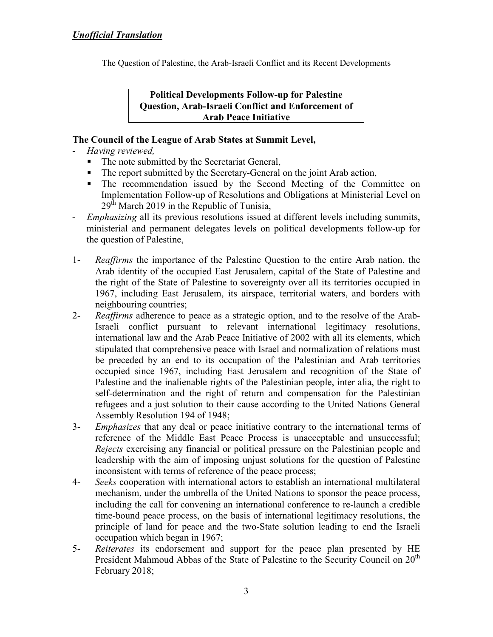The Question of Palestine, the Arab-Israeli Conflict and its Recent Developments

**Political Developments Follow-up for Palestine Question, Arab-Israeli Conflict and Enforcement of Arab Peace Initiative** 

## **The Council of the League of Arab States at Summit Level,**

- *Having reviewed,*
	- The note submitted by the Secretariat General,
	- The report submitted by the Secretary-General on the joint Arab action,
	- The recommendation issued by the Second Meeting of the Committee on Implementation Follow-up of Resolutions and Obligations at Ministerial Level on  $29<sup>th</sup>$  March 2019 in the Republic of Tunisia,
- *Emphasizing* all its previous resolutions issued at different levels including summits, ministerial and permanent delegates levels on political developments follow-up for the question of Palestine,
- 1- *Reaffirms* the importance of the Palestine Question to the entire Arab nation, the Arab identity of the occupied East Jerusalem, capital of the State of Palestine and the right of the State of Palestine to sovereignty over all its territories occupied in 1967, including East Jerusalem, its airspace, territorial waters, and borders with neighbouring countries;
- 2- *Reaffirms* adherence to peace as a strategic option, and to the resolve of the Arab-Israeli conflict pursuant to relevant international legitimacy resolutions, international law and the Arab Peace Initiative of 2002 with all its elements, which stipulated that comprehensive peace with Israel and normalization of relations must be preceded by an end to its occupation of the Palestinian and Arab territories occupied since 1967, including East Jerusalem and recognition of the State of Palestine and the inalienable rights of the Palestinian people, inter alia, the right to self-determination and the right of return and compensation for the Palestinian refugees and a just solution to their cause according to the United Nations General Assembly Resolution 194 of 1948;
- 3- *Emphasizes* that any deal or peace initiative contrary to the international terms of reference of the Middle East Peace Process is unacceptable and unsuccessful; *Rejects* exercising any financial or political pressure on the Palestinian people and leadership with the aim of imposing unjust solutions for the question of Palestine inconsistent with terms of reference of the peace process;
- 4- *Seeks* cooperation with international actors to establish an international multilateral mechanism, under the umbrella of the United Nations to sponsor the peace process, including the call for convening an international conference to re-launch a credible time-bound peace process, on the basis of international legitimacy resolutions, the principle of land for peace and the two-State solution leading to end the Israeli occupation which began in 1967;
- 5- *Reiterates* its endorsement and support for the peace plan presented by HE President Mahmoud Abbas of the State of Palestine to the Security Council on  $20<sup>th</sup>$ February 2018;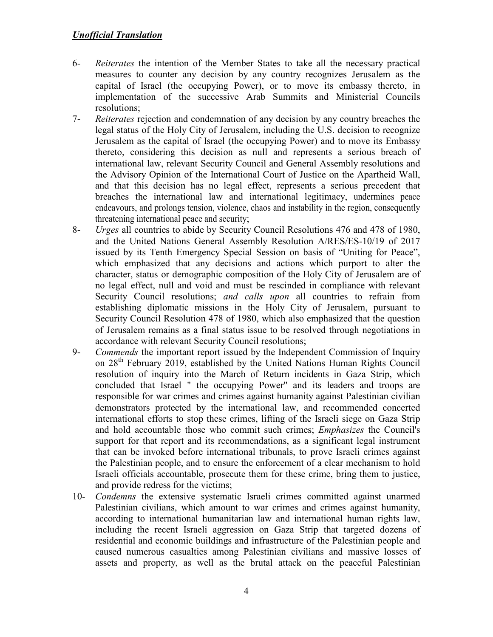- 6- *Reiterates* the intention of the Member States to take all the necessary practical measures to counter any decision by any country recognizes Jerusalem as the capital of Israel (the occupying Power), or to move its embassy thereto, in implementation of the successive Arab Summits and Ministerial Councils resolutions;
- 7- *Reiterates* rejection and condemnation of any decision by any country breaches the legal status of the Holy City of Jerusalem, including the U.S. decision to recognize Jerusalem as the capital of Israel (the occupying Power) and to move its Embassy thereto, considering this decision as null and represents a serious breach of international law, relevant Security Council and General Assembly resolutions and the Advisory Opinion of the International Court of Justice on the Apartheid Wall, and that this decision has no legal effect, represents a serious precedent that breaches the international law and international legitimacy, undermines peace endeavours, and prolongs tension, violence, chaos and instability in the region, consequently threatening international peace and security;
- 8- *Urges* all countries to abide by Security Council Resolutions 476 and 478 of 1980, and the United Nations General Assembly Resolution A/RES/ES-10/19 of 2017 issued by its Tenth Emergency Special Session on basis of "Uniting for Peace", which emphasized that any decisions and actions which purport to alter the character, status or demographic composition of the Holy City of Jerusalem are of no legal effect, null and void and must be rescinded in compliance with relevant Security Council resolutions; *and calls upon* all countries to refrain from establishing diplomatic missions in the Holy City of Jerusalem, pursuant to Security Council Resolution 478 of 1980, which also emphasized that the question of Jerusalem remains as a final status issue to be resolved through negotiations in accordance with relevant Security Council resolutions;
- 9- *Commends* the important report issued by the Independent Commission of Inquiry on 28th February 2019, established by the United Nations Human Rights Council resolution of inquiry into the March of Return incidents in Gaza Strip, which concluded that Israel " the occupying Power" and its leaders and troops are responsible for war crimes and crimes against humanity against Palestinian civilian demonstrators protected by the international law, and recommended concerted international efforts to stop these crimes, lifting of the Israeli siege on Gaza Strip and hold accountable those who commit such crimes; *Emphasizes* the Council's support for that report and its recommendations, as a significant legal instrument that can be invoked before international tribunals, to prove Israeli crimes against the Palestinian people, and to ensure the enforcement of a clear mechanism to hold Israeli officials accountable, prosecute them for these crime, bring them to justice, and provide redress for the victims;
- 10- *Condemns* the extensive systematic Israeli crimes committed against unarmed Palestinian civilians, which amount to war crimes and crimes against humanity, according to international humanitarian law and international human rights law, including the recent Israeli aggression on Gaza Strip that targeted dozens of residential and economic buildings and infrastructure of the Palestinian people and caused numerous casualties among Palestinian civilians and massive losses of assets and property, as well as the brutal attack on the peaceful Palestinian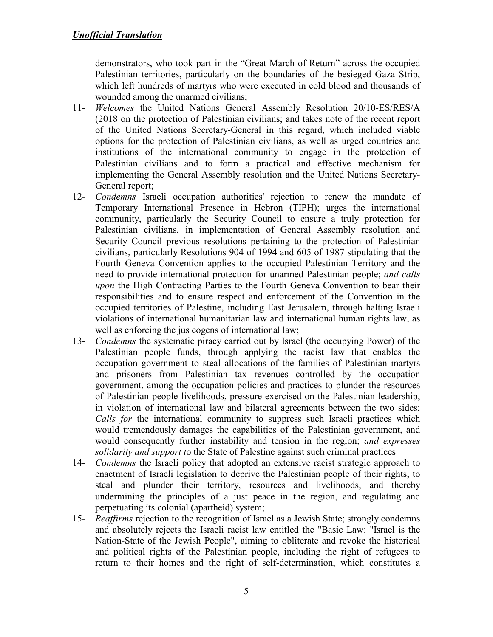demonstrators, who took part in the "Great March of Return" across the occupied Palestinian territories, particularly on the boundaries of the besieged Gaza Strip, which left hundreds of martyrs who were executed in cold blood and thousands of wounded among the unarmed civilians;

- 11- *Welcomes* the United Nations General Assembly Resolution 20/10-ES/RES/A (2018 on the protection of Palestinian civilians; and takes note of the recent report of the United Nations Secretary-General in this regard, which included viable options for the protection of Palestinian civilians, as well as urged countries and institutions of the international community to engage in the protection of Palestinian civilians and to form a practical and effective mechanism for implementing the General Assembly resolution and the United Nations Secretary-General report;
- 12- *Condemns* Israeli occupation authorities' rejection to renew the mandate of Temporary International Presence in Hebron (TIPH); urges the international community, particularly the Security Council to ensure a truly protection for Palestinian civilians, in implementation of General Assembly resolution and Security Council previous resolutions pertaining to the protection of Palestinian civilians, particularly Resolutions 904 of 1994 and 605 of 1987 stipulating that the Fourth Geneva Convention applies to the occupied Palestinian Territory and the need to provide international protection for unarmed Palestinian people; *and calls upon* the High Contracting Parties to the Fourth Geneva Convention to bear their responsibilities and to ensure respect and enforcement of the Convention in the occupied territories of Palestine, including East Jerusalem, through halting Israeli violations of international humanitarian law and international human rights law, as well as enforcing the jus cogens of international law;
- 13- *Condemns* the systematic piracy carried out by Israel (the occupying Power) of the Palestinian people funds, through applying the racist law that enables the occupation government to steal allocations of the families of Palestinian martyrs and prisoners from Palestinian tax revenues controlled by the occupation government, among the occupation policies and practices to plunder the resources of Palestinian people livelihoods, pressure exercised on the Palestinian leadership, in violation of international law and bilateral agreements between the two sides; *Calls for* the international community to suppress such Israeli practices which would tremendously damages the capabilities of the Palestinian government, and would consequently further instability and tension in the region; *and expresses solidarity and support t*o the State of Palestine against such criminal practices
- 14- *Condemns* the Israeli policy that adopted an extensive racist strategic approach to enactment of Israeli legislation to deprive the Palestinian people of their rights, to steal and plunder their territory, resources and livelihoods, and thereby undermining the principles of a just peace in the region, and regulating and perpetuating its colonial (apartheid) system;
- 15- *Reaffirms* rejection to the recognition of Israel as a Jewish State; strongly condemns and absolutely rejects the Israeli racist law entitled the "Basic Law: "Israel is the Nation-State of the Jewish People", aiming to obliterate and revoke the historical and political rights of the Palestinian people, including the right of refugees to return to their homes and the right of self-determination, which constitutes a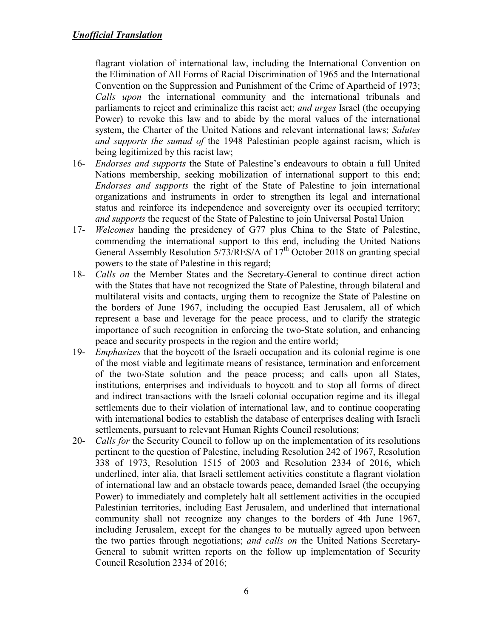flagrant violation of international law, including the International Convention on the Elimination of All Forms of Racial Discrimination of 1965 and the International Convention on the Suppression and Punishment of the Crime of Apartheid of 1973; *Calls upon* the international community and the international tribunals and parliaments to reject and criminalize this racist act; *and urges* Israel (the occupying Power) to revoke this law and to abide by the moral values of the international system, the Charter of the United Nations and relevant international laws; *Salutes and supports the sumud of* the 1948 Palestinian people against racism, which is being legitimized by this racist law;

- 16- *Endorses and supports* the State of Palestine's endeavours to obtain a full United Nations membership, seeking mobilization of international support to this end; *Endorses and supports* the right of the State of Palestine to join international organizations and instruments in order to strengthen its legal and international status and reinforce its independence and sovereignty over its occupied territory; *and supports* the request of the State of Palestine to join Universal Postal Union
- 17- *Welcomes* handing the presidency of G77 plus China to the State of Palestine, commending the international support to this end, including the United Nations General Assembly Resolution  $5/73/RES/A$  of  $17<sup>th</sup>$  October 2018 on granting special powers to the state of Palestine in this regard;
- 18- *Calls on* the Member States and the Secretary-General to continue direct action with the States that have not recognized the State of Palestine, through bilateral and multilateral visits and contacts, urging them to recognize the State of Palestine on the borders of June 1967, including the occupied East Jerusalem, all of which represent a base and leverage for the peace process, and to clarify the strategic importance of such recognition in enforcing the two-State solution, and enhancing peace and security prospects in the region and the entire world;
- 19- *Emphasizes* that the boycott of the Israeli occupation and its colonial regime is one of the most viable and legitimate means of resistance, termination and enforcement of the two-State solution and the peace process; and calls upon all States, institutions, enterprises and individuals to boycott and to stop all forms of direct and indirect transactions with the Israeli colonial occupation regime and its illegal settlements due to their violation of international law, and to continue cooperating with international bodies to establish the database of enterprises dealing with Israeli settlements, pursuant to relevant Human Rights Council resolutions;
- 20- *Calls for* the Security Council to follow up on the implementation of its resolutions pertinent to the question of Palestine, including Resolution 242 of 1967, Resolution 338 of 1973, Resolution 1515 of 2003 and Resolution 2334 of 2016, which underlined, inter alia, that Israeli settlement activities constitute a flagrant violation of international law and an obstacle towards peace, demanded Israel (the occupying Power) to immediately and completely halt all settlement activities in the occupied Palestinian territories, including East Jerusalem, and underlined that international community shall not recognize any changes to the borders of 4th June 1967, including Jerusalem, except for the changes to be mutually agreed upon between the two parties through negotiations; *and calls on* the United Nations Secretary-General to submit written reports on the follow up implementation of Security Council Resolution 2334 of 2016;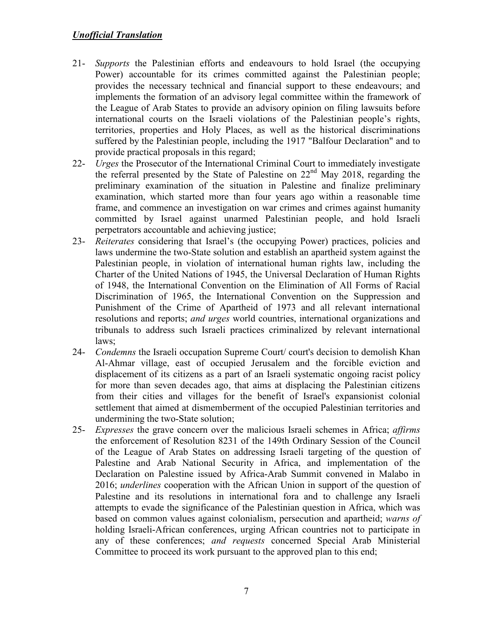- 21- *Supports* the Palestinian efforts and endeavours to hold Israel (the occupying Power) accountable for its crimes committed against the Palestinian people; provides the necessary technical and financial support to these endeavours; and implements the formation of an advisory legal committee within the framework of the League of Arab States to provide an advisory opinion on filing lawsuits before international courts on the Israeli violations of the Palestinian people's rights, territories, properties and Holy Places, as well as the historical discriminations suffered by the Palestinian people, including the 1917 "Balfour Declaration" and to provide practical proposals in this regard;
- 22- *Urges* the Prosecutor of the International Criminal Court to immediately investigate the referral presented by the State of Palestine on 22nd May 2018, regarding the preliminary examination of the situation in Palestine and finalize preliminary examination, which started more than four years ago within a reasonable time frame, and commence an investigation on war crimes and crimes against humanity committed by Israel against unarmed Palestinian people, and hold Israeli perpetrators accountable and achieving justice;
- 23- *Reiterates* considering that Israel's (the occupying Power) practices, policies and laws undermine the two-State solution and establish an apartheid system against the Palestinian people, in violation of international human rights law, including the Charter of the United Nations of 1945, the Universal Declaration of Human Rights of 1948, the International Convention on the Elimination of All Forms of Racial Discrimination of 1965, the International Convention on the Suppression and Punishment of the Crime of Apartheid of 1973 and all relevant international resolutions and reports; *and urges* world countries, international organizations and tribunals to address such Israeli practices criminalized by relevant international laws;
- 24- *Condemns* the Israeli occupation Supreme Court/ court's decision to demolish Khan Al-Ahmar village, east of occupied Jerusalem and the forcible eviction and displacement of its citizens as a part of an Israeli systematic ongoing racist policy for more than seven decades ago, that aims at displacing the Palestinian citizens from their cities and villages for the benefit of Israel's expansionist colonial settlement that aimed at dismemberment of the occupied Palestinian territories and undermining the two-State solution;
- 25- *Expresses* the grave concern over the malicious Israeli schemes in Africa; *affirms* the enforcement of Resolution 8231 of the 149th Ordinary Session of the Council of the League of Arab States on addressing Israeli targeting of the question of Palestine and Arab National Security in Africa, and implementation of the Declaration on Palestine issued by Africa-Arab Summit convened in Malabo in 2016; *underlines* cooperation with the African Union in support of the question of Palestine and its resolutions in international fora and to challenge any Israeli attempts to evade the significance of the Palestinian question in Africa, which was based on common values against colonialism, persecution and apartheid; *warns of* holding Israeli-African conferences, urging African countries not to participate in any of these conferences; *and requests* concerned Special Arab Ministerial Committee to proceed its work pursuant to the approved plan to this end;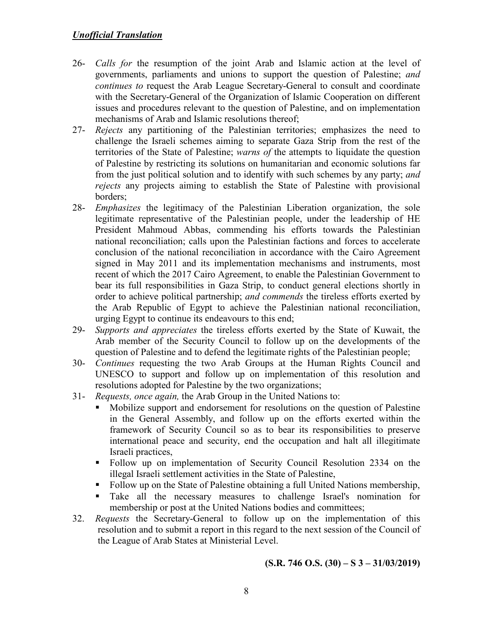- 26- *Calls for* the resumption of the joint Arab and Islamic action at the level of governments, parliaments and unions to support the question of Palestine; *and continues to* request the Arab League Secretary-General to consult and coordinate with the Secretary-General of the Organization of Islamic Cooperation on different issues and procedures relevant to the question of Palestine, and on implementation mechanisms of Arab and Islamic resolutions thereof;
- 27- *Rejects* any partitioning of the Palestinian territories; emphasizes the need to challenge the Israeli schemes aiming to separate Gaza Strip from the rest of the territories of the State of Palestine; *warns of* the attempts to liquidate the question of Palestine by restricting its solutions on humanitarian and economic solutions far from the just political solution and to identify with such schemes by any party; *and rejects* any projects aiming to establish the State of Palestine with provisional borders;
- 28- *Emphasizes* the legitimacy of the Palestinian Liberation organization, the sole legitimate representative of the Palestinian people, under the leadership of HE President Mahmoud Abbas, commending his efforts towards the Palestinian national reconciliation; calls upon the Palestinian factions and forces to accelerate conclusion of the national reconciliation in accordance with the Cairo Agreement signed in May 2011 and its implementation mechanisms and instruments, most recent of which the 2017 Cairo Agreement, to enable the Palestinian Government to bear its full responsibilities in Gaza Strip, to conduct general elections shortly in order to achieve political partnership; *and commends* the tireless efforts exerted by the Arab Republic of Egypt to achieve the Palestinian national reconciliation, urging Egypt to continue its endeavours to this end;
- 29- *Supports and appreciates* the tireless efforts exerted by the State of Kuwait, the Arab member of the Security Council to follow up on the developments of the question of Palestine and to defend the legitimate rights of the Palestinian people;
- 30- *Continues* requesting the two Arab Groups at the Human Rights Council and UNESCO to support and follow up on implementation of this resolution and resolutions adopted for Palestine by the two organizations;
- 31- *Requests, once again,* the Arab Group in the United Nations to:
	- Mobilize support and endorsement for resolutions on the question of Palestine in the General Assembly, and follow up on the efforts exerted within the framework of Security Council so as to bear its responsibilities to preserve international peace and security, end the occupation and halt all illegitimate Israeli practices,
	- Follow up on implementation of Security Council Resolution 2334 on the illegal Israeli settlement activities in the State of Palestine,
	- Follow up on the State of Palestine obtaining a full United Nations membership,
	- Take all the necessary measures to challenge Israel's nomination for membership or post at the United Nations bodies and committees;
- 32. *Requests* the Secretary-General to follow up on the implementation of this resolution and to submit a report in this regard to the next session of the Council of the League of Arab States at Ministerial Level.

$$
(S.R. 746 O.S. (30) – S 3 – 31/03/2019)
$$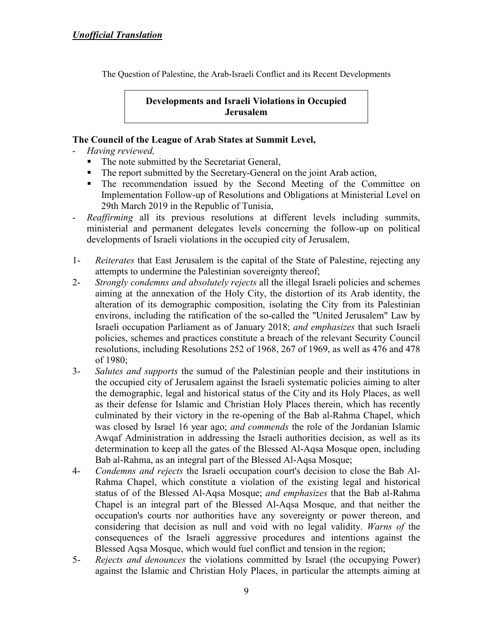The Question of Palestine, the Arab-Israeli Conflict and its Recent Developments

**Developments and Israeli Violations in Occupied Jerusalem** 

### **The Council of the League of Arab States at Summit Level,**

- *Having reviewed,*
	- The note submitted by the Secretariat General,
	- The report submitted by the Secretary-General on the joint Arab action,
	- The recommendation issued by the Second Meeting of the Committee on Implementation Follow-up of Resolutions and Obligations at Ministerial Level on 29th March 2019 in the Republic of Tunisia,
- *Reaffirming* all its previous resolutions at different levels including summits, ministerial and permanent delegates levels concerning the follow-up on political developments of Israeli violations in the occupied city of Jerusalem,
- 1- *Reiterates* that East Jerusalem is the capital of the State of Palestine, rejecting any attempts to undermine the Palestinian sovereignty thereof;
- 2- *Strongly condemns and absolutely rejects* all the illegal Israeli policies and schemes aiming at the annexation of the Holy City, the distortion of its Arab identity, the alteration of its demographic composition, isolating the City from its Palestinian environs, including the ratification of the so-called the "United Jerusalem" Law by Israeli occupation Parliament as of January 2018; *and emphasizes* that such Israeli policies, schemes and practices constitute a breach of the relevant Security Council resolutions, including Resolutions 252 of 1968, 267 of 1969, as well as 476 and 478 of 1980;
- 3- *Salutes and supports* the sumud of the Palestinian people and their institutions in the occupied city of Jerusalem against the Israeli systematic policies aiming to alter the demographic, legal and historical status of the City and its Holy Places, as well as their defense for Islamic and Christian Holy Places therein, which has recently culminated by their victory in the re-opening of the Bab al-Rahma Chapel, which was closed by Israel 16 year ago; *and commends* the role of the Jordanian Islamic Awqaf Administration in addressing the Israeli authorities decision, as well as its determination to keep all the gates of the Blessed Al-Aqsa Mosque open, including Bab al-Rahma, as an integral part of the Blessed Al-Aqsa Mosque;
- 4- *Condemns and rejects* the Israeli occupation court's decision to close the Bab Al-Rahma Chapel, which constitute a violation of the existing legal and historical status of of the Blessed Al-Aqsa Mosque; *and emphasizes* that the Bab al-Rahma Chapel is an integral part of the Blessed Al-Aqsa Mosque, and that neither the occupation's courts nor authorities have any sovereignty or power thereon, and considering that decision as null and void with no legal validity. *Warns of* the consequences of the Israeli aggressive procedures and intentions against the Blessed Aqsa Mosque, which would fuel conflict and tension in the region;
- 5- *Rejects and denounces* the violations committed by Israel (the occupying Power) against the Islamic and Christian Holy Places, in particular the attempts aiming at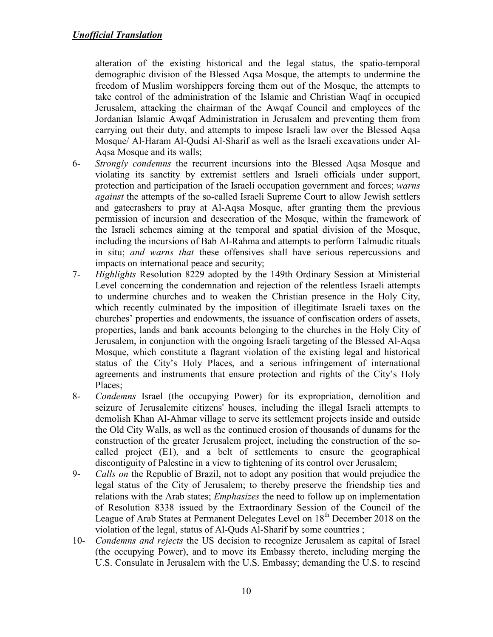alteration of the existing historical and the legal status, the spatio-temporal demographic division of the Blessed Aqsa Mosque, the attempts to undermine the freedom of Muslim worshippers forcing them out of the Mosque, the attempts to take control of the administration of the Islamic and Christian Waqf in occupied Jerusalem, attacking the chairman of the Awqaf Council and employees of the Jordanian Islamic Awqaf Administration in Jerusalem and preventing them from carrying out their duty, and attempts to impose Israeli law over the Blessed Aqsa Mosque/ Al-Haram Al-Qudsi Al-Sharif as well as the Israeli excavations under Al-Aqsa Mosque and its walls;

- 6- *Strongly condemns* the recurrent incursions into the Blessed Aqsa Mosque and violating its sanctity by extremist settlers and Israeli officials under support, protection and participation of the Israeli occupation government and forces; *warns against* the attempts of the so-called Israeli Supreme Court to allow Jewish settlers and gatecrashers to pray at Al-Aqsa Mosque, after granting them the previous permission of incursion and desecration of the Mosque, within the framework of the Israeli schemes aiming at the temporal and spatial division of the Mosque, including the incursions of Bab Al-Rahma and attempts to perform Talmudic rituals in situ; *and warns that* these offensives shall have serious repercussions and impacts on international peace and security;
- 7- *Highlights* Resolution 8229 adopted by the 149th Ordinary Session at Ministerial Level concerning the condemnation and rejection of the relentless Israeli attempts to undermine churches and to weaken the Christian presence in the Holy City, which recently culminated by the imposition of illegitimate Israeli taxes on the churches' properties and endowments, the issuance of confiscation orders of assets, properties, lands and bank accounts belonging to the churches in the Holy City of Jerusalem, in conjunction with the ongoing Israeli targeting of the Blessed Al-Aqsa Mosque, which constitute a flagrant violation of the existing legal and historical status of the City's Holy Places, and a serious infringement of international agreements and instruments that ensure protection and rights of the City's Holy Places;
- 8- *Condemns* Israel (the occupying Power) for its expropriation, demolition and seizure of Jerusalemite citizens' houses, including the illegal Israeli attempts to demolish Khan Al-Ahmar village to serve its settlement projects inside and outside the Old City Walls, as well as the continued erosion of thousands of dunams for the construction of the greater Jerusalem project, including the construction of the socalled project (E1), and a belt of settlements to ensure the geographical discontiguity of Palestine in a view to tightening of its control over Jerusalem;
- 9- *Calls on* the Republic of Brazil, not to adopt any position that would prejudice the legal status of the City of Jerusalem; to thereby preserve the friendship ties and relations with the Arab states; *Emphasizes* the need to follow up on implementation of Resolution 8338 issued by the Extraordinary Session of the Council of the League of Arab States at Permanent Delegates Level on 18<sup>th</sup> December 2018 on the violation of the legal, status of Al-Quds Al-Sharif by some countries ;
- 10- *Condemns and rejects* the US decision to recognize Jerusalem as capital of Israel (the occupying Power), and to move its Embassy thereto, including merging the U.S. Consulate in Jerusalem with the U.S. Embassy; demanding the U.S. to rescind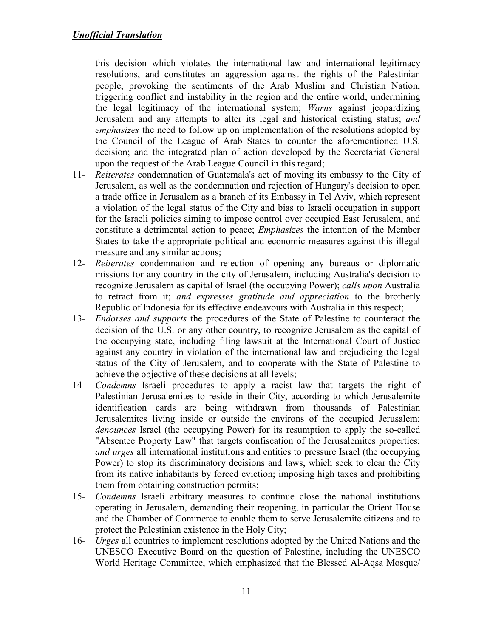this decision which violates the international law and international legitimacy resolutions, and constitutes an aggression against the rights of the Palestinian people, provoking the sentiments of the Arab Muslim and Christian Nation, triggering conflict and instability in the region and the entire world, undermining the legal legitimacy of the international system; *Warns* against jeopardizing Jerusalem and any attempts to alter its legal and historical existing status; *and emphasizes* the need to follow up on implementation of the resolutions adopted by the Council of the League of Arab States to counter the aforementioned U.S. decision; and the integrated plan of action developed by the Secretariat General upon the request of the Arab League Council in this regard;

- 11- *Reiterates* condemnation of Guatemala's act of moving its embassy to the City of Jerusalem, as well as the condemnation and rejection of Hungary's decision to open a trade office in Jerusalem as a branch of its Embassy in Tel Aviv, which represent a violation of the legal status of the City and bias to Israeli occupation in support for the Israeli policies aiming to impose control over occupied East Jerusalem, and constitute a detrimental action to peace; *Emphasizes* the intention of the Member States to take the appropriate political and economic measures against this illegal measure and any similar actions;
- 12- *Reiterates* condemnation and rejection of opening any bureaus or diplomatic missions for any country in the city of Jerusalem, including Australia's decision to recognize Jerusalem as capital of Israel (the occupying Power); *calls upon* Australia to retract from it; *and expresses gratitude and appreciation* to the brotherly Republic of Indonesia for its effective endeavours with Australia in this respect;
- 13- *Endorses and supports* the procedures of the State of Palestine to counteract the decision of the U.S. or any other country, to recognize Jerusalem as the capital of the occupying state, including filing lawsuit at the International Court of Justice against any country in violation of the international law and prejudicing the legal status of the City of Jerusalem, and to cooperate with the State of Palestine to achieve the objective of these decisions at all levels;
- 14- *Condemns* Israeli procedures to apply a racist law that targets the right of Palestinian Jerusalemites to reside in their City, according to which Jerusalemite identification cards are being withdrawn from thousands of Palestinian Jerusalemites living inside or outside the environs of the occupied Jerusalem; *denounces* Israel (the occupying Power) for its resumption to apply the so-called "Absentee Property Law" that targets confiscation of the Jerusalemites properties; *and urges* all international institutions and entities to pressure Israel (the occupying Power) to stop its discriminatory decisions and laws, which seek to clear the City from its native inhabitants by forced eviction; imposing high taxes and prohibiting them from obtaining construction permits;
- 15- *Condemns* Israeli arbitrary measures to continue close the national institutions operating in Jerusalem, demanding their reopening, in particular the Orient House and the Chamber of Commerce to enable them to serve Jerusalemite citizens and to protect the Palestinian existence in the Holy City;
- 16- *Urges* all countries to implement resolutions adopted by the United Nations and the UNESCO Executive Board on the question of Palestine, including the UNESCO World Heritage Committee, which emphasized that the Blessed Al-Aqsa Mosque/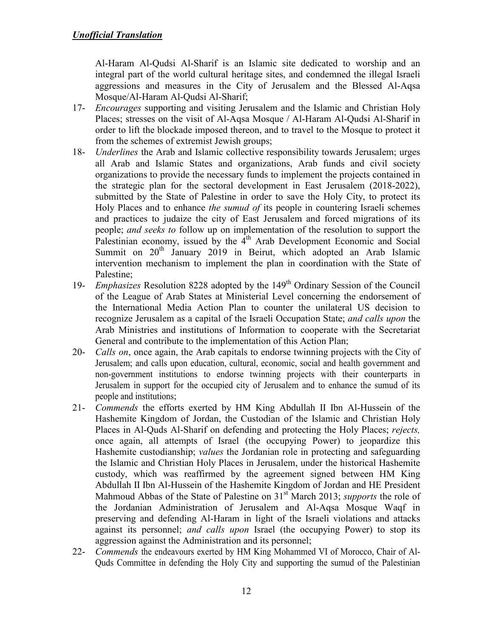Al-Haram Al-Qudsi Al-Sharif is an Islamic site dedicated to worship and an integral part of the world cultural heritage sites, and condemned the illegal Israeli aggressions and measures in the City of Jerusalem and the Blessed Al-Aqsa Mosque/Al-Haram Al-Qudsi Al-Sharif;

- 17- *Encourages* supporting and visiting Jerusalem and the Islamic and Christian Holy Places; stresses on the visit of Al-Aqsa Mosque / Al-Haram Al-Qudsi Al-Sharif in order to lift the blockade imposed thereon, and to travel to the Mosque to protect it from the schemes of extremist Jewish groups;
- 18- *Underlines* the Arab and Islamic collective responsibility towards Jerusalem; urges all Arab and Islamic States and organizations, Arab funds and civil society organizations to provide the necessary funds to implement the projects contained in the strategic plan for the sectoral development in East Jerusalem (2018-2022), submitted by the State of Palestine in order to save the Holy City, to protect its Holy Places and to enhance *the sumud of* its people in countering Israeli schemes and practices to judaize the city of East Jerusalem and forced migrations of its people; *and seeks to* follow up on implementation of the resolution to support the Palestinian economy, issued by the  $4<sup>th</sup>$  Arab Development Economic and Social Summit on 20<sup>th</sup> January 2019 in Beirut, which adopted an Arab Islamic intervention mechanism to implement the plan in coordination with the State of Palestine;
- 19- *Emphasizes* Resolution 8228 adopted by the 149th Ordinary Session of the Council of the League of Arab States at Ministerial Level concerning the endorsement of the International Media Action Plan to counter the unilateral US decision to recognize Jerusalem as a capital of the Israeli Occupation State; *and calls upon* the Arab Ministries and institutions of Information to cooperate with the Secretariat General and contribute to the implementation of this Action Plan;
- 20- *Calls on*, once again, the Arab capitals to endorse twinning projects with the City of Jerusalem; and calls upon education, cultural, economic, social and health government and non-government institutions to endorse twinning projects with their counterparts in Jerusalem in support for the occupied city of Jerusalem and to enhance the sumud of its people and institutions;
- 21- *Commends* the efforts exerted by HM King Abdullah II Ibn Al-Hussein of the Hashemite Kingdom of Jordan, the Custodian of the Islamic and Christian Holy Places in Al-Quds Al-Sharif on defending and protecting the Holy Places; *rejects,* once again, all attempts of Israel (the occupying Power) to jeopardize this Hashemite custodianship; *values* the Jordanian role in protecting and safeguarding the Islamic and Christian Holy Places in Jerusalem, under the historical Hashemite custody, which was reaffirmed by the agreement signed between HM King Abdullah II Ibn Al-Hussein of the Hashemite Kingdom of Jordan and HE President Mahmoud Abbas of the State of Palestine on 31<sup>st</sup> March 2013; *supports* the role of the Jordanian Administration of Jerusalem and Al-Aqsa Mosque Waqf in preserving and defending Al-Haram in light of the Israeli violations and attacks against its personnel; *and calls upon* Israel (the occupying Power) to stop its aggression against the Administration and its personnel;
- 22- *Commends* the endeavours exerted by HM King Mohammed VI of Morocco, Chair of Al-Quds Committee in defending the Holy City and supporting the sumud of the Palestinian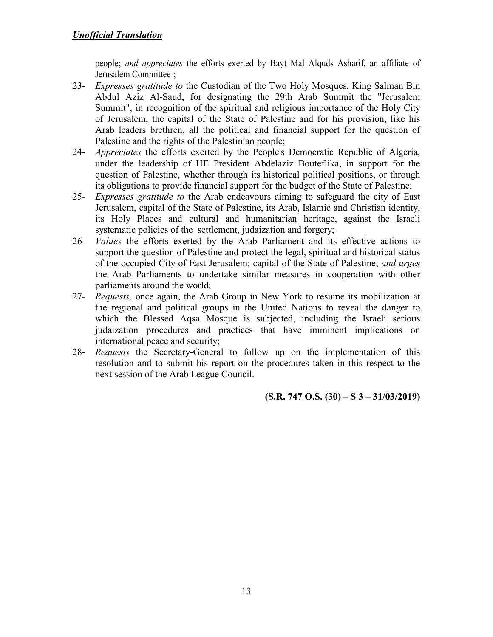people; *and appreciates* the efforts exerted by Bayt Mal Alquds Asharif, an affiliate of Jerusalem Committee ;

- 23- *Expresses gratitude to* the Custodian of the Two Holy Mosques, King Salman Bin Abdul Aziz Al-Saud, for designating the 29th Arab Summit the "Jerusalem Summit", in recognition of the spiritual and religious importance of the Holy City of Jerusalem, the capital of the State of Palestine and for his provision, like his Arab leaders brethren, all the political and financial support for the question of Palestine and the rights of the Palestinian people;
- 24- *Appreciates* the efforts exerted by the People's Democratic Republic of Algeria, under the leadership of HE President Abdelaziz Bouteflika, in support for the question of Palestine, whether through its historical political positions, or through its obligations to provide financial support for the budget of the State of Palestine;
- 25- *Expresses gratitude to* the Arab endeavours aiming to safeguard the city of East Jerusalem, capital of the State of Palestine, its Arab, Islamic and Christian identity, its Holy Places and cultural and humanitarian heritage, against the Israeli systematic policies of the settlement, judaization and forgery;
- 26- *Values* the efforts exerted by the Arab Parliament and its effective actions to support the question of Palestine and protect the legal, spiritual and historical status of the occupied City of East Jerusalem; capital of the State of Palestine; *and urges* the Arab Parliaments to undertake similar measures in cooperation with other parliaments around the world;
- 27- *Requests,* once again, the Arab Group in New York to resume its mobilization at the regional and political groups in the United Nations to reveal the danger to which the Blessed Aqsa Mosque is subjected, including the Israeli serious judaization procedures and practices that have imminent implications on international peace and security;
- 28- *Requests* the Secretary-General to follow up on the implementation of this resolution and to submit his report on the procedures taken in this respect to the next session of the Arab League Council.

**(S.R. 747 O.S. (30) – S 3 – 31/03/2019)**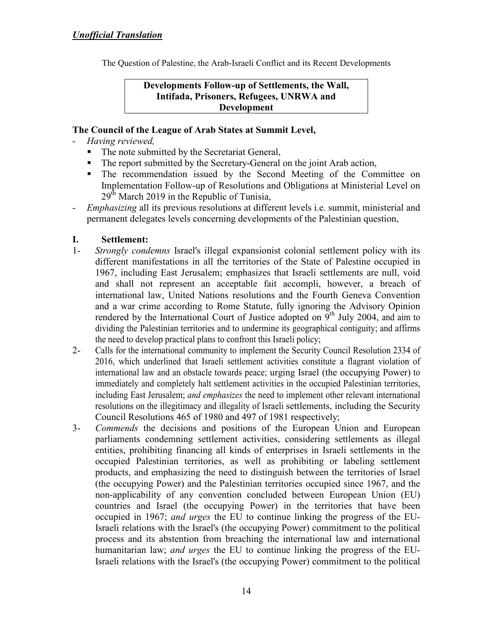The Question of Palestine, the Arab-Israeli Conflict and its Recent Developments

**Developments Follow-up of Settlements, the Wall, Intifada, Prisoners, Refugees, UNRWA and Development** 

### **The Council of the League of Arab States at Summit Level,**

- *Having reviewed,*
	- The note submitted by the Secretariat General,
	- The report submitted by the Secretary-General on the joint Arab action,
	- The recommendation issued by the Second Meeting of the Committee on Implementation Follow-up of Resolutions and Obligations at Ministerial Level on  $29<sup>th</sup>$  March 2019 in the Republic of Tunisia,
- *Emphasizing* all its previous resolutions at different levels i.e. summit, ministerial and permanent delegates levels concerning developments of the Palestinian question,

### **I. Settlement:**

- 1- *Strongly condemns* Israel's illegal expansionist colonial settlement policy with its different manifestations in all the territories of the State of Palestine occupied in 1967, including East Jerusalem; emphasizes that Israeli settlements are null, void and shall not represent an acceptable fait accompli, however, a breach of international law, United Nations resolutions and the Fourth Geneva Convention and a war crime according to Rome Statute, fully ignoring the Advisory Opinion rendered by the International Court of Justice adopted on  $9<sup>th</sup>$  July 2004, and aim to dividing the Palestinian territories and to undermine its geographical contiguity; and affirms the need to develop practical plans to confront this Israeli policy;
- 2- Calls for the international community to implement the Security Council Resolution 2334 of 2016, which underlined that Israeli settlement activities constitute a flagrant violation of international law and an obstacle towards peace; urging Israel (the occupying Power) to immediately and completely halt settlement activities in the occupied Palestinian territories, including East Jerusalem; *and emphasizes* the need to implement other relevant international resolutions on the illegitimacy and illegality of Israeli settlements, including the Security Council Resolutions 465 of 1980 and 497 of 1981 respectively;
- 3- *Commends* the decisions and positions of the European Union and European parliaments condemning settlement activities, considering settlements as illegal entities, prohibiting financing all kinds of enterprises in Israeli settlements in the occupied Palestinian territories, as well as prohibiting or labeling settlement products, and emphasizing the need to distinguish between the territories of Israel (the occupying Power) and the Palestinian territories occupied since 1967, and the non-applicability of any convention concluded between European Union (EU) countries and Israel (the occupying Power) in the territories that have been occupied in 1967; *and urges* the EU to continue linking the progress of the EU-Israeli relations with the Israel's (the occupying Power) commitment to the political process and its abstention from breaching the international law and international humanitarian law; *and urges* the EU to continue linking the progress of the EU-Israeli relations with the Israel's (the occupying Power) commitment to the political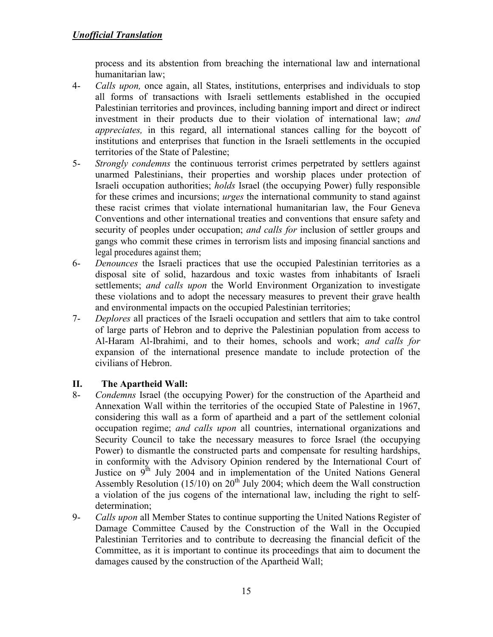process and its abstention from breaching the international law and international humanitarian law;

- 4- *Calls upon,* once again, all States, institutions, enterprises and individuals to stop all forms of transactions with Israeli settlements established in the occupied Palestinian territories and provinces, including banning import and direct or indirect investment in their products due to their violation of international law; *and appreciates,* in this regard, all international stances calling for the boycott of institutions and enterprises that function in the Israeli settlements in the occupied territories of the State of Palestine;
- 5- *Strongly condemns* the continuous terrorist crimes perpetrated by settlers against unarmed Palestinians, their properties and worship places under protection of Israeli occupation authorities; *holds* Israel (the occupying Power) fully responsible for these crimes and incursions; *urges* the international community to stand against these racist crimes that violate international humanitarian law, the Four Geneva Conventions and other international treaties and conventions that ensure safety and security of peoples under occupation; *and calls for* inclusion of settler groups and gangs who commit these crimes in terrorism lists and imposing financial sanctions and legal procedures against them;
- 6- *Denounces* the Israeli practices that use the occupied Palestinian territories as a disposal site of solid, hazardous and toxic wastes from inhabitants of Israeli settlements; *and calls upon* the World Environment Organization to investigate these violations and to adopt the necessary measures to prevent their grave health and environmental impacts on the occupied Palestinian territories;
- 7- *Deplores* all practices of the Israeli occupation and settlers that aim to take control of large parts of Hebron and to deprive the Palestinian population from access to Al-Haram Al-Ibrahimi, and to their homes, schools and work; *and calls for* expansion of the international presence mandate to include protection of the civilians of Hebron.

# **II. The Apartheid Wall:**

- 8- *Condemns* Israel (the occupying Power) for the construction of the Apartheid and Annexation Wall within the territories of the occupied State of Palestine in 1967, considering this wall as a form of apartheid and a part of the settlement colonial occupation regime; *and calls upon* all countries, international organizations and Security Council to take the necessary measures to force Israel (the occupying Power) to dismantle the constructed parts and compensate for resulting hardships, in conformity with the Advisory Opinion rendered by the International Court of Justice on 9<sup>th</sup> July 2004 and in implementation of the United Nations General Assembly Resolution (15/10) on  $20<sup>th</sup>$  July 2004; which deem the Wall construction a violation of the jus cogens of the international law, including the right to selfdetermination;
- 9- *Calls upon* all Member States to continue supporting the United Nations Register of Damage Committee Caused by the Construction of the Wall in the Occupied Palestinian Territories and to contribute to decreasing the financial deficit of the Committee, as it is important to continue its proceedings that aim to document the damages caused by the construction of the Apartheid Wall;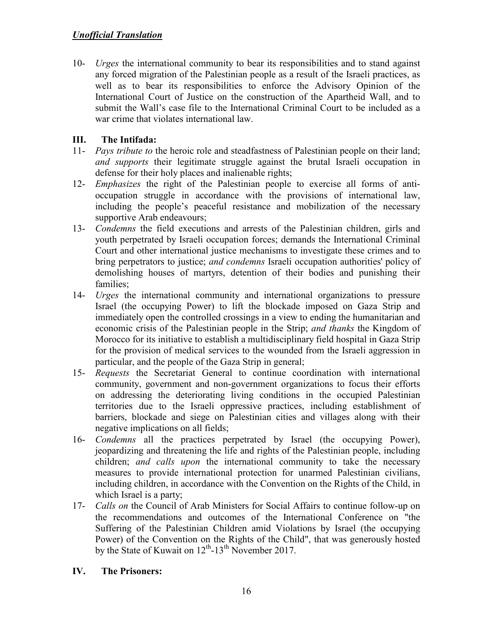10- *Urges* the international community to bear its responsibilities and to stand against any forced migration of the Palestinian people as a result of the Israeli practices, as well as to bear its responsibilities to enforce the Advisory Opinion of the International Court of Justice on the construction of the Apartheid Wall, and to submit the Wall's case file to the International Criminal Court to be included as a war crime that violates international law.

# **III. The Intifada:**

- 11- *Pays tribute to* the heroic role and steadfastness of Palestinian people on their land; *and supports* their legitimate struggle against the brutal Israeli occupation in defense for their holy places and inalienable rights;
- 12- *Emphasizes* the right of the Palestinian people to exercise all forms of antioccupation struggle in accordance with the provisions of international law, including the people's peaceful resistance and mobilization of the necessary supportive Arab endeavours;
- 13- *Condemns* the field executions and arrests of the Palestinian children, girls and youth perpetrated by Israeli occupation forces; demands the International Criminal Court and other international justice mechanisms to investigate these crimes and to bring perpetrators to justice; *and condemns* Israeli occupation authorities' policy of demolishing houses of martyrs, detention of their bodies and punishing their families;
- 14- *Urges* the international community and international organizations to pressure Israel (the occupying Power) to lift the blockade imposed on Gaza Strip and immediately open the controlled crossings in a view to ending the humanitarian and economic crisis of the Palestinian people in the Strip; *and thanks* the Kingdom of Morocco for its initiative to establish a multidisciplinary field hospital in Gaza Strip for the provision of medical services to the wounded from the Israeli aggression in particular, and the people of the Gaza Strip in general;
- 15- *Requests* the Secretariat General to continue coordination with international community, government and non-government organizations to focus their efforts on addressing the deteriorating living conditions in the occupied Palestinian territories due to the Israeli oppressive practices, including establishment of barriers, blockade and siege on Palestinian cities and villages along with their negative implications on all fields;
- 16- *Condemns* all the practices perpetrated by Israel (the occupying Power), jeopardizing and threatening the life and rights of the Palestinian people, including children; *and calls upon* the international community to take the necessary measures to provide international protection for unarmed Palestinian civilians, including children, in accordance with the Convention on the Rights of the Child, in which Israel is a party;
- 17- *Calls on* the Council of Arab Ministers for Social Affairs to continue follow-up on the recommendations and outcomes of the International Conference on "the Suffering of the Palestinian Children amid Violations by Israel (the occupying Power) of the Convention on the Rights of the Child", that was generously hosted by the State of Kuwait on  $12^{th}$ -13<sup>th</sup> November 2017.

# **IV. The Prisoners:**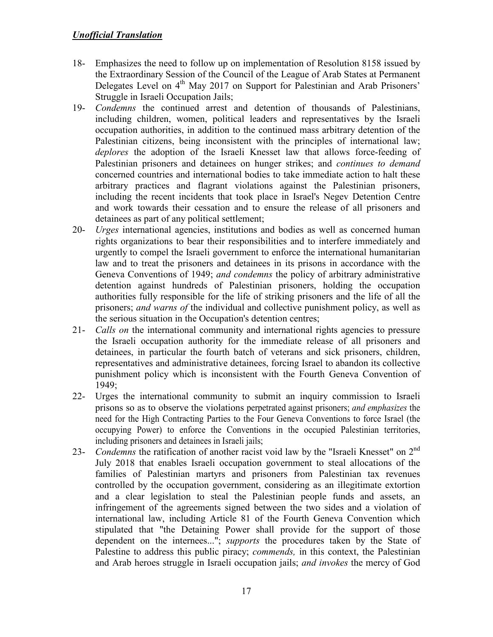- 18- Emphasizes the need to follow up on implementation of Resolution 8158 issued by the Extraordinary Session of the Council of the League of Arab States at Permanent Delegates Level on 4<sup>th</sup> May 2017 on Support for Palestinian and Arab Prisoners' Struggle in Israeli Occupation Jails;
- 19- *Condemns* the continued arrest and detention of thousands of Palestinians, including children, women, political leaders and representatives by the Israeli occupation authorities, in addition to the continued mass arbitrary detention of the Palestinian citizens, being inconsistent with the principles of international law; *deplores* the adoption of the Israeli Knesset law that allows force-feeding of Palestinian prisoners and detainees on hunger strikes; and *continues to demand* concerned countries and international bodies to take immediate action to halt these arbitrary practices and flagrant violations against the Palestinian prisoners, including the recent incidents that took place in Israel's Negev Detention Centre and work towards their cessation and to ensure the release of all prisoners and detainees as part of any political settlement;
- 20- *Urges* international agencies, institutions and bodies as well as concerned human rights organizations to bear their responsibilities and to interfere immediately and urgently to compel the Israeli government to enforce the international humanitarian law and to treat the prisoners and detainees in its prisons in accordance with the Geneva Conventions of 1949; *and condemns* the policy of arbitrary administrative detention against hundreds of Palestinian prisoners, holding the occupation authorities fully responsible for the life of striking prisoners and the life of all the prisoners; *and warns of* the individual and collective punishment policy, as well as the serious situation in the Occupation's detention centres;
- 21- *Calls on* the international community and international rights agencies to pressure the Israeli occupation authority for the immediate release of all prisoners and detainees, in particular the fourth batch of veterans and sick prisoners, children, representatives and administrative detainees, forcing Israel to abandon its collective punishment policy which is inconsistent with the Fourth Geneva Convention of 1949;
- 22- Urges the international community to submit an inquiry commission to Israeli prisons so as to observe the violations perpetrated against prisoners; *and emphasizes* the need for the High Contracting Parties to the Four Geneva Conventions to force Israel (the occupying Power) to enforce the Conventions in the occupied Palestinian territories, including prisoners and detainees in Israeli jails;
- 23- *Condemns* the ratification of another racist void law by the "Israeli Knesset" on 2nd July 2018 that enables Israeli occupation government to steal allocations of the families of Palestinian martyrs and prisoners from Palestinian tax revenues controlled by the occupation government, considering as an illegitimate extortion and a clear legislation to steal the Palestinian people funds and assets, an infringement of the agreements signed between the two sides and a violation of international law, including Article 81 of the Fourth Geneva Convention which stipulated that "the Detaining Power shall provide for the support of those dependent on the internees..."; *supports* the procedures taken by the State of Palestine to address this public piracy; *commends,* in this context, the Palestinian and Arab heroes struggle in Israeli occupation jails; *and invokes* the mercy of God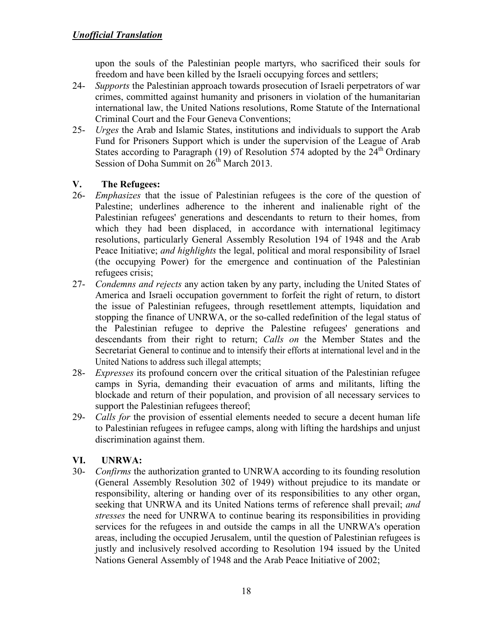upon the souls of the Palestinian people martyrs, who sacrificed their souls for freedom and have been killed by the Israeli occupying forces and settlers;

- 24- *Supports* the Palestinian approach towards prosecution of Israeli perpetrators of war crimes, committed against humanity and prisoners in violation of the humanitarian international law, the United Nations resolutions, Rome Statute of the International Criminal Court and the Four Geneva Conventions;
- 25- *Urges* the Arab and Islamic States, institutions and individuals to support the Arab Fund for Prisoners Support which is under the supervision of the League of Arab States according to Paragraph (19) of Resolution 574 adopted by the  $24<sup>th</sup>$  Ordinary Session of Doha Summit on  $26<sup>th</sup>$  March 2013.

# **V. The Refugees:**

- 26- *Emphasizes* that the issue of Palestinian refugees is the core of the question of Palestine; underlines adherence to the inherent and inalienable right of the Palestinian refugees' generations and descendants to return to their homes, from which they had been displaced, in accordance with international legitimacy resolutions, particularly General Assembly Resolution 194 of 1948 and the Arab Peace Initiative; *and highlights* the legal, political and moral responsibility of Israel (the occupying Power) for the emergence and continuation of the Palestinian refugees crisis;
- 27- *Condemns and rejects* any action taken by any party, including the United States of America and Israeli occupation government to forfeit the right of return, to distort the issue of Palestinian refugees, through resettlement attempts, liquidation and stopping the finance of UNRWA, or the so-called redefinition of the legal status of the Palestinian refugee to deprive the Palestine refugees' generations and descendants from their right to return; *Calls on* the Member States and the Secretariat General to continue and to intensify their efforts at international level and in the United Nations to address such illegal attempts;
- 28- *Expresses* its profound concern over the critical situation of the Palestinian refugee camps in Syria, demanding their evacuation of arms and militants, lifting the blockade and return of their population, and provision of all necessary services to support the Palestinian refugees thereof;
- 29- *Calls for* the provision of essential elements needed to secure a decent human life to Palestinian refugees in refugee camps, along with lifting the hardships and unjust discrimination against them.

# **VI. UNRWA:**

30- *Confirms* the authorization granted to UNRWA according to its founding resolution (General Assembly Resolution 302 of 1949) without prejudice to its mandate or responsibility, altering or handing over of its responsibilities to any other organ, seeking that UNRWA and its United Nations terms of reference shall prevail; *and stresses* the need for UNRWA to continue bearing its responsibilities in providing services for the refugees in and outside the camps in all the UNRWA's operation areas, including the occupied Jerusalem, until the question of Palestinian refugees is justly and inclusively resolved according to Resolution 194 issued by the United Nations General Assembly of 1948 and the Arab Peace Initiative of 2002;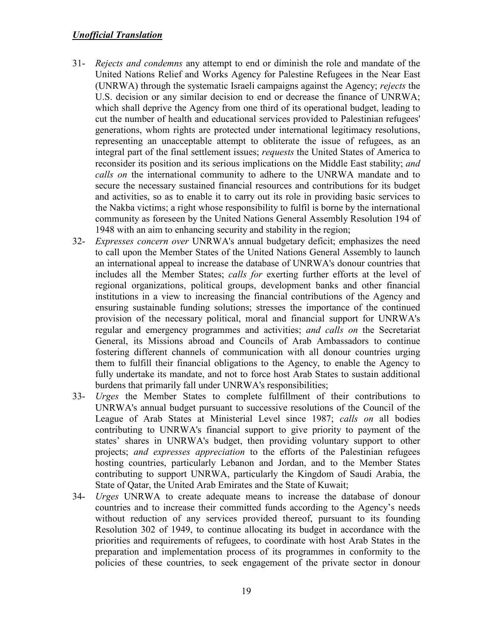- 31- *Rejects and condemns* any attempt to end or diminish the role and mandate of the United Nations Relief and Works Agency for Palestine Refugees in the Near East (UNRWA) through the systematic Israeli campaigns against the Agency; *rejects* the U.S. decision or any similar decision to end or decrease the finance of UNRWA; which shall deprive the Agency from one third of its operational budget, leading to cut the number of health and educational services provided to Palestinian refugees' generations, whom rights are protected under international legitimacy resolutions, representing an unacceptable attempt to obliterate the issue of refugees, as an integral part of the final settlement issues; *requests* the United States of America to reconsider its position and its serious implications on the Middle East stability; *and calls on* the international community to adhere to the UNRWA mandate and to secure the necessary sustained financial resources and contributions for its budget and activities, so as to enable it to carry out its role in providing basic services to the Nakba victims; a right whose responsibility to fulfil is borne by the international community as foreseen by the United Nations General Assembly Resolution 194 of 1948 with an aim to enhancing security and stability in the region;
- 32- *Expresses concern over* UNRWA's annual budgetary deficit; emphasizes the need to call upon the Member States of the United Nations General Assembly to launch an international appeal to increase the database of UNRWA's donour countries that includes all the Member States; *calls for* exerting further efforts at the level of regional organizations, political groups, development banks and other financial institutions in a view to increasing the financial contributions of the Agency and ensuring sustainable funding solutions; stresses the importance of the continued provision of the necessary political, moral and financial support for UNRWA's regular and emergency programmes and activities; *and calls on* the Secretariat General, its Missions abroad and Councils of Arab Ambassadors to continue fostering different channels of communication with all donour countries urging them to fulfill their financial obligations to the Agency, to enable the Agency to fully undertake its mandate, and not to force host Arab States to sustain additional burdens that primarily fall under UNRWA's responsibilities;
- 33- *Urges* the Member States to complete fulfillment of their contributions to UNRWA's annual budget pursuant to successive resolutions of the Council of the League of Arab States at Ministerial Level since 1987; *calls on* all bodies contributing to UNRWA's financial support to give priority to payment of the states' shares in UNRWA's budget, then providing voluntary support to other projects; *and expresses appreciation* to the efforts of the Palestinian refugees hosting countries, particularly Lebanon and Jordan, and to the Member States contributing to support UNRWA, particularly the Kingdom of Saudi Arabia, the State of Qatar, the United Arab Emirates and the State of Kuwait;
- 34- *Urges* UNRWA to create adequate means to increase the database of donour countries and to increase their committed funds according to the Agency's needs without reduction of any services provided thereof, pursuant to its founding Resolution 302 of 1949, to continue allocating its budget in accordance with the priorities and requirements of refugees, to coordinate with host Arab States in the preparation and implementation process of its programmes in conformity to the policies of these countries, to seek engagement of the private sector in donour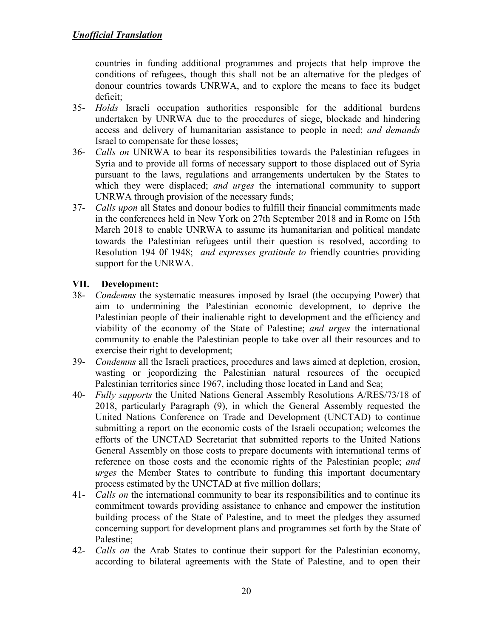countries in funding additional programmes and projects that help improve the conditions of refugees, though this shall not be an alternative for the pledges of donour countries towards UNRWA, and to explore the means to face its budget deficit;

- 35- *Holds* Israeli occupation authorities responsible for the additional burdens undertaken by UNRWA due to the procedures of siege, blockade and hindering access and delivery of humanitarian assistance to people in need; *and demands* Israel to compensate for these losses;
- 36- *Calls on* UNRWA to bear its responsibilities towards the Palestinian refugees in Syria and to provide all forms of necessary support to those displaced out of Syria pursuant to the laws, regulations and arrangements undertaken by the States to which they were displaced; *and urges* the international community to support UNRWA through provision of the necessary funds;
- 37- *Calls upon* all States and donour bodies to fulfill their financial commitments made in the conferences held in New York on 27th September 2018 and in Rome on 15th March 2018 to enable UNRWA to assume its humanitarian and political mandate towards the Palestinian refugees until their question is resolved, according to Resolution 194 0f 1948; *and expresses gratitude to* friendly countries providing support for the UNRWA.

# **VII. Development:**

- 38- *Condemns* the systematic measures imposed by Israel (the occupying Power) that aim to undermining the Palestinian economic development, to deprive the Palestinian people of their inalienable right to development and the efficiency and viability of the economy of the State of Palestine; *and urges* the international community to enable the Palestinian people to take over all their resources and to exercise their right to development;
- 39- *Condemns* all the Israeli practices, procedures and laws aimed at depletion, erosion, wasting or jeopordizing the Palestinian natural resources of the occupied Palestinian territories since 1967, including those located in Land and Sea;
- 40- *Fully supports* the United Nations General Assembly Resolutions A/RES/73/18 of 2018, particularly Paragraph (9), in which the General Assembly requested the United Nations Conference on Trade and Development (UNCTAD) to continue submitting a report on the economic costs of the Israeli occupation; welcomes the efforts of the UNCTAD Secretariat that submitted reports to the United Nations General Assembly on those costs to prepare documents with international terms of reference on those costs and the economic rights of the Palestinian people; *and urges* the Member States to contribute to funding this important documentary process estimated by the UNCTAD at five million dollars;
- 41- *Calls on* the international community to bear its responsibilities and to continue its commitment towards providing assistance to enhance and empower the institution building process of the State of Palestine, and to meet the pledges they assumed concerning support for development plans and programmes set forth by the State of Palestine;
- 42- *Calls on* the Arab States to continue their support for the Palestinian economy, according to bilateral agreements with the State of Palestine, and to open their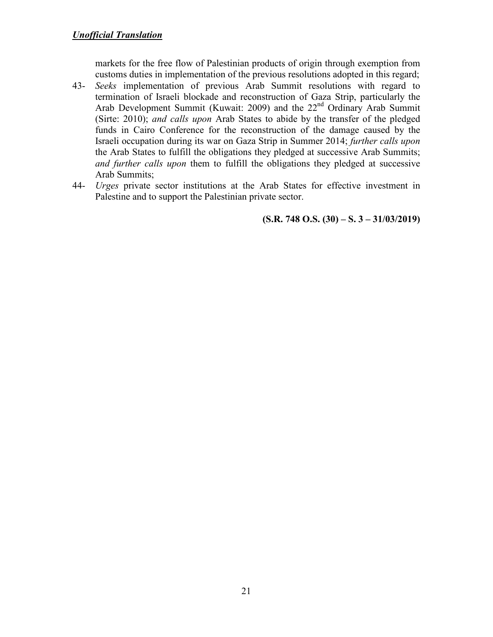markets for the free flow of Palestinian products of origin through exemption from customs duties in implementation of the previous resolutions adopted in this regard;

- 43- *Seeks* implementation of previous Arab Summit resolutions with regard to termination of Israeli blockade and reconstruction of Gaza Strip, particularly the Arab Development Summit (Kuwait: 2009) and the 22<sup>nd</sup> Ordinary Arab Summit (Sirte: 2010); *and calls upon* Arab States to abide by the transfer of the pledged funds in Cairo Conference for the reconstruction of the damage caused by the Israeli occupation during its war on Gaza Strip in Summer 2014; *further calls upon* the Arab States to fulfill the obligations they pledged at successive Arab Summits; *and further calls upon* them to fulfill the obligations they pledged at successive Arab Summits;
- 44- *Urges* private sector institutions at the Arab States for effective investment in Palestine and to support the Palestinian private sector.

**(S.R. 748 O.S. (30) – S. 3 – 31/03/2019)**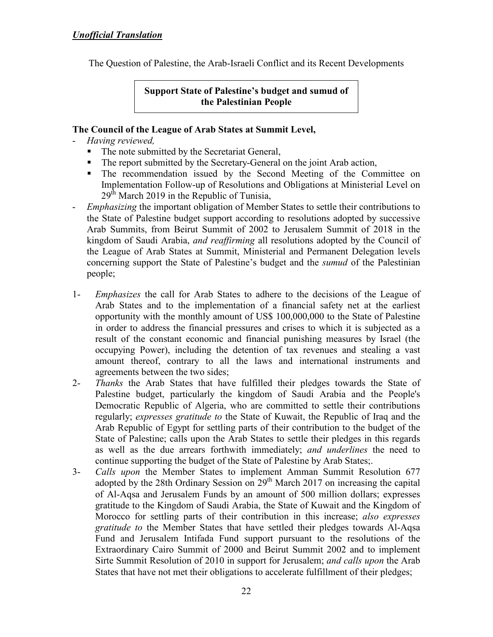The Question of Palestine, the Arab-Israeli Conflict and its Recent Developments

**Support State of Palestine's budget and sumud of the Palestinian People** 

#### **The Council of the League of Arab States at Summit Level,**

- *Having reviewed,*
	- The note submitted by the Secretariat General,
	- The report submitted by the Secretary-General on the joint Arab action,
	- The recommendation issued by the Second Meeting of the Committee on Implementation Follow-up of Resolutions and Obligations at Ministerial Level on  $29<sup>th</sup>$  March 2019 in the Republic of Tunisia,
- *Emphasizing* the important obligation of Member States to settle their contributions to the State of Palestine budget support according to resolutions adopted by successive Arab Summits, from Beirut Summit of 2002 to Jerusalem Summit of 2018 in the kingdom of Saudi Arabia, *and reaffirming* all resolutions adopted by the Council of the League of Arab States at Summit, Ministerial and Permanent Delegation levels concerning support the State of Palestine's budget and the *sumud* of the Palestinian people;
- 1- *Emphasizes* the call for Arab States to adhere to the decisions of the League of Arab States and to the implementation of a financial safety net at the earliest opportunity with the monthly amount of US\$ 100,000,000 to the State of Palestine in order to address the financial pressures and crises to which it is subjected as a result of the constant economic and financial punishing measures by Israel (the occupying Power), including the detention of tax revenues and stealing a vast amount thereof, contrary to all the laws and international instruments and agreements between the two sides;
- 2- *Thanks* the Arab States that have fulfilled their pledges towards the State of Palestine budget, particularly the kingdom of Saudi Arabia and the People's Democratic Republic of Algeria, who are committed to settle their contributions regularly; *expresses gratitude to* the State of Kuwait, the Republic of Iraq and the Arab Republic of Egypt for settling parts of their contribution to the budget of the State of Palestine; calls upon the Arab States to settle their pledges in this regards as well as the due arrears forthwith immediately; *and underlines* the need to continue supporting the budget of the State of Palestine by Arab States;.
- 3- *Calls upon* the Member States to implement Amman Summit Resolution 677 adopted by the 28th Ordinary Session on 29<sup>th</sup> March 2017 on increasing the capital of Al-Aqsa and Jerusalem Funds by an amount of 500 million dollars; expresses gratitude to the Kingdom of Saudi Arabia, the State of Kuwait and the Kingdom of Morocco for settling parts of their contribution in this increase; *also expresses gratitude to* the Member States that have settled their pledges towards Al-Aqsa Fund and Jerusalem Intifada Fund support pursuant to the resolutions of the Extraordinary Cairo Summit of 2000 and Beirut Summit 2002 and to implement Sirte Summit Resolution of 2010 in support for Jerusalem; *and calls upon* the Arab States that have not met their obligations to accelerate fulfillment of their pledges;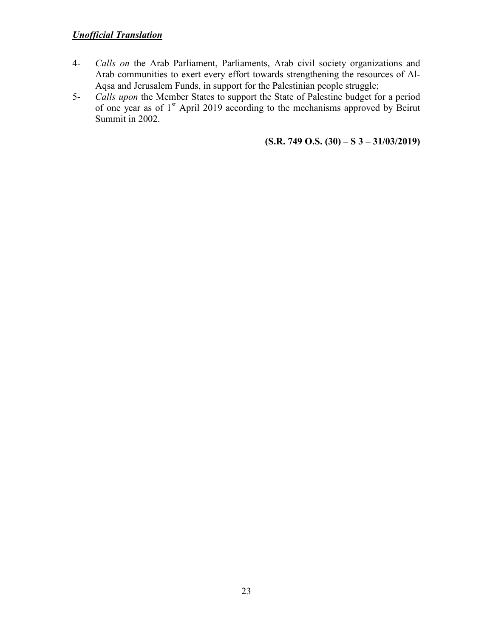- 4- *Calls on* the Arab Parliament, Parliaments, Arab civil society organizations and Arab communities to exert every effort towards strengthening the resources of Al-Aqsa and Jerusalem Funds, in support for the Palestinian people struggle;
- 5- *Calls upon* the Member States to support the State of Palestine budget for a period of one year as of  $1<sup>st</sup>$  April 2019 according to the mechanisms approved by Beirut Summit in 2002.

**(S.R. 749 O.S. (30) – S 3 – 31/03/2019)**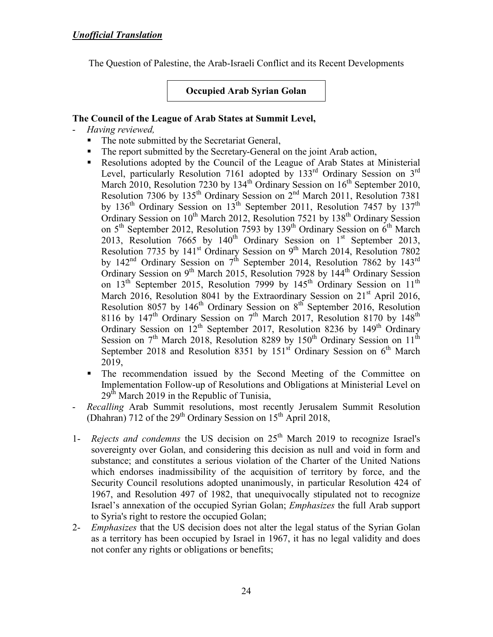The Question of Palestine, the Arab-Israeli Conflict and its Recent Developments

**Occupied Arab Syrian Golan** 

### **The Council of the League of Arab States at Summit Level,**

- *Having reviewed,*
	- The note submitted by the Secretariat General,
	- The report submitted by the Secretary-General on the joint Arab action,
	- Resolutions adopted by the Council of the League of Arab States at Ministerial Level, particularly Resolution 7161 adopted by  $133<sup>rd</sup>$  Ordinary Session on  $3<sup>rd</sup>$ March 2010, Resolution 7230 by 134<sup>th</sup> Ordinary Session on 16<sup>th</sup> September 2010, Resolution 7306 by 135<sup>th</sup> Ordinary Session on 2<sup>nd</sup> March 2011, Resolution 7381 by  $136<sup>th</sup>$  Ordinary Session on  $13<sup>th</sup>$  September 2011, Resolution 7457 by  $137<sup>th</sup>$ Ordinary Session on  $10^{th}$  March 2012, Resolution 7521 by  $138^{th}$  Ordinary Session on  $5<sup>th</sup>$  September 2012, Resolution 7593 by 139<sup>th</sup> Ordinary Session on  $6<sup>th</sup>$  March 2013, Resolution 7665 by  $140<sup>th</sup>$  Ordinary Session on  $1<sup>st</sup>$  September 2013, Resolution 7735 by 141<sup>st</sup> Ordinary Session on 9<sup>th</sup> March 2014, Resolution 7802 by  $142<sup>nd</sup>$  Ordinary Session on  $7<sup>th</sup>$  September 2014, Resolution 7862 by  $143<sup>rd</sup>$ Ordinary Session on  $9<sup>th</sup>$  March 2015, Resolution 7928 by 144<sup>th</sup> Ordinary Session on 13<sup>th</sup> September 2015, Resolution 7999 by 145<sup>th</sup> Ordinary Session on 11<sup>th</sup> March 2016, Resolution 8041 by the Extraordinary Session on 21<sup>st</sup> April 2016, Resolution 8057 by 146<sup>th</sup> Ordinary Session on 8<sup>th</sup> September 2016, Resolution 8116 by  $147<sup>th</sup>$  Ordinary Session on  $7<sup>th</sup>$  March 2017, Resolution 8170 by  $148<sup>th</sup>$ Ordinary Session on  $12^{th}$  September 2017, Resolution 8236 by 149<sup>th</sup> Ordinary Session on  $7<sup>th</sup>$  March 2018, Resolution 8289 by 150<sup>th</sup> Ordinary Session on 11<sup>th</sup> September 2018 and Resolution 8351 by  $151<sup>st</sup>$  Ordinary Session on  $6<sup>th</sup>$  March 2019,
	- The recommendation issued by the Second Meeting of the Committee on Implementation Follow-up of Resolutions and Obligations at Ministerial Level on  $29<sup>th</sup>$  March 2019 in the Republic of Tunisia,
- *Recalling* Arab Summit resolutions, most recently Jerusalem Summit Resolution (Dhahran) 712 of the  $29<sup>th</sup>$  Ordinary Session on 15<sup>th</sup> April 2018,
- 1- *Rejects and condemns* the US decision on 25th March 2019 to recognize Israel's sovereignty over Golan, and considering this decision as null and void in form and substance; and constitutes a serious violation of the Charter of the United Nations which endorses inadmissibility of the acquisition of territory by force, and the Security Council resolutions adopted unanimously, in particular Resolution 424 of 1967, and Resolution 497 of 1982, that unequivocally stipulated not to recognize Israel's annexation of the occupied Syrian Golan; *Emphasizes* the full Arab support to Syria's right to restore the occupied Golan;
- 2- *Emphasizes* that the US decision does not alter the legal status of the Syrian Golan as a territory has been occupied by Israel in 1967, it has no legal validity and does not confer any rights or obligations or benefits;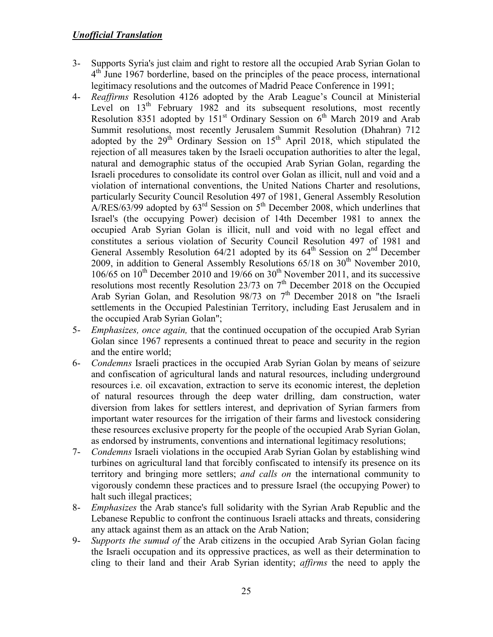- 3- Supports Syria's just claim and right to restore all the occupied Arab Syrian Golan to 4<sup>th</sup> June 1967 borderline, based on the principles of the peace process, international legitimacy resolutions and the outcomes of Madrid Peace Conference in 1991;
- 4- *Reaffirms* Resolution 4126 adopted by the Arab League's Council at Ministerial Level on  $13<sup>th</sup>$  February 1982 and its subsequent resolutions, most recently Resolution 8351 adopted by  $151<sup>st</sup>$  Ordinary Session on  $6<sup>th</sup>$  March 2019 and Arab Summit resolutions, most recently Jerusalem Summit Resolution (Dhahran) 712 adopted by the  $29<sup>th</sup>$  Ordinary Session on  $15<sup>th</sup>$  April 2018, which stipulated the rejection of all measures taken by the Israeli occupation authorities to alter the legal, natural and demographic status of the occupied Arab Syrian Golan, regarding the Israeli procedures to consolidate its control over Golan as illicit, null and void and a violation of international conventions, the United Nations Charter and resolutions, particularly Security Council Resolution 497 of 1981, General Assembly Resolution A/RES/63/99 adopted by  $63<sup>rd</sup>$  Session on  $5<sup>th</sup>$  December 2008, which underlines that Israel's (the occupying Power) decision of 14th December 1981 to annex the occupied Arab Syrian Golan is illicit, null and void with no legal effect and constitutes a serious violation of Security Council Resolution 497 of 1981 and General Assembly Resolution 64/21 adopted by its  $64<sup>th</sup>$  Session on  $2<sup>nd</sup>$  December 2009, in addition to General Assembly Resolutions  $65/18$  on  $30<sup>th</sup>$  November 2010,  $106/65$  on  $10<sup>th</sup>$  December 2010 and 19/66 on  $30<sup>th</sup>$  November 2011, and its successive resolutions most recently Resolution 23/73 on  $7<sup>th</sup>$  December 2018 on the Occupied Arab Syrian Golan, and Resolution  $98/73$  on  $7<sup>th</sup>$  December 2018 on "the Israeli settlements in the Occupied Palestinian Territory, including East Jerusalem and in the occupied Arab Syrian Golan";
- 5- *Emphasizes, once again,* that the continued occupation of the occupied Arab Syrian Golan since 1967 represents a continued threat to peace and security in the region and the entire world;
- 6- *Condemns* Israeli practices in the occupied Arab Syrian Golan by means of seizure and confiscation of agricultural lands and natural resources, including underground resources i.e. oil excavation, extraction to serve its economic interest, the depletion of natural resources through the deep water drilling, dam construction, water diversion from lakes for settlers interest, and deprivation of Syrian farmers from important water resources for the irrigation of their farms and livestock considering these resources exclusive property for the people of the occupied Arab Syrian Golan, as endorsed by instruments, conventions and international legitimacy resolutions;
- 7- *Condemns* Israeli violations in the occupied Arab Syrian Golan by establishing wind turbines on agricultural land that forcibly confiscated to intensify its presence on its territory and bringing more settlers; *and calls on* the international community to vigorously condemn these practices and to pressure Israel (the occupying Power) to halt such illegal practices;
- 8- *Emphasizes* the Arab stance's full solidarity with the Syrian Arab Republic and the Lebanese Republic to confront the continuous Israeli attacks and threats, considering any attack against them as an attack on the Arab Nation;
- 9- *Supports the sumud of* the Arab citizens in the occupied Arab Syrian Golan facing the Israeli occupation and its oppressive practices, as well as their determination to cling to their land and their Arab Syrian identity; *affirms* the need to apply the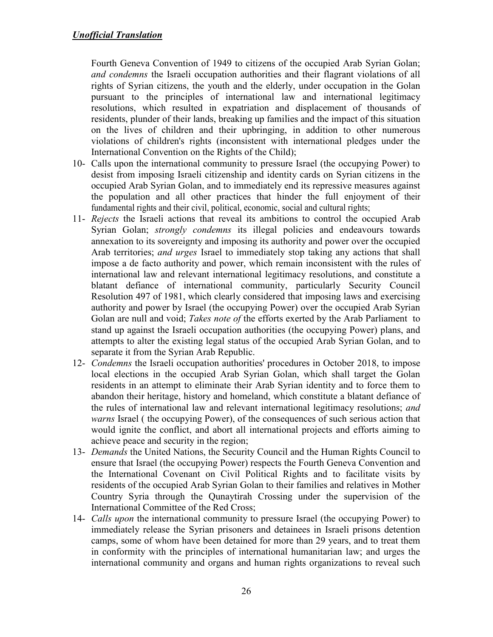Fourth Geneva Convention of 1949 to citizens of the occupied Arab Syrian Golan; *and condemns* the Israeli occupation authorities and their flagrant violations of all rights of Syrian citizens, the youth and the elderly, under occupation in the Golan pursuant to the principles of international law and international legitimacy resolutions, which resulted in expatriation and displacement of thousands of residents, plunder of their lands, breaking up families and the impact of this situation on the lives of children and their upbringing, in addition to other numerous violations of children's rights (inconsistent with international pledges under the International Convention on the Rights of the Child);

- 10- Calls upon the international community to pressure Israel (the occupying Power) to desist from imposing Israeli citizenship and identity cards on Syrian citizens in the occupied Arab Syrian Golan, and to immediately end its repressive measures against the population and all other practices that hinder the full enjoyment of their fundamental rights and their civil, political, economic, social and cultural rights;
- 11- *Rejects* the Israeli actions that reveal its ambitions to control the occupied Arab Syrian Golan; *strongly condemns* its illegal policies and endeavours towards annexation to its sovereignty and imposing its authority and power over the occupied Arab territories; *and urges* Israel to immediately stop taking any actions that shall impose a de facto authority and power, which remain inconsistent with the rules of international law and relevant international legitimacy resolutions, and constitute a blatant defiance of international community, particularly Security Council Resolution 497 of 1981, which clearly considered that imposing laws and exercising authority and power by Israel (the occupying Power) over the occupied Arab Syrian Golan are null and void; *Takes note of* the efforts exerted by the Arab Parliament to stand up against the Israeli occupation authorities (the occupying Power) plans, and attempts to alter the existing legal status of the occupied Arab Syrian Golan, and to separate it from the Syrian Arab Republic.
- 12- *Condemns* the Israeli occupation authorities' procedures in October 2018, to impose local elections in the occupied Arab Syrian Golan, which shall target the Golan residents in an attempt to eliminate their Arab Syrian identity and to force them to abandon their heritage, history and homeland, which constitute a blatant defiance of the rules of international law and relevant international legitimacy resolutions; *and warns* Israel ( the occupying Power), of the consequences of such serious action that would ignite the conflict, and abort all international projects and efforts aiming to achieve peace and security in the region;
- 13- *Demands* the United Nations, the Security Council and the Human Rights Council to ensure that Israel (the occupying Power) respects the Fourth Geneva Convention and the International Covenant on Civil Political Rights and to facilitate visits by residents of the occupied Arab Syrian Golan to their families and relatives in Mother Country Syria through the Qunaytirah Crossing under the supervision of the International Committee of the Red Cross;
- 14- *Calls upon* the international community to pressure Israel (the occupying Power) to immediately release the Syrian prisoners and detainees in Israeli prisons detention camps, some of whom have been detained for more than 29 years, and to treat them in conformity with the principles of international humanitarian law; and urges the international community and organs and human rights organizations to reveal such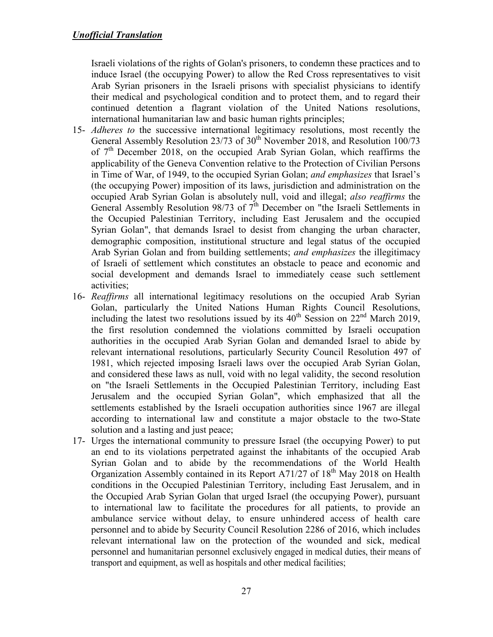Israeli violations of the rights of Golan's prisoners, to condemn these practices and to induce Israel (the occupying Power) to allow the Red Cross representatives to visit Arab Syrian prisoners in the Israeli prisons with specialist physicians to identify their medical and psychological condition and to protect them, and to regard their continued detention a flagrant violation of the United Nations resolutions, international humanitarian law and basic human rights principles;

- 15- *Adheres to* the successive international legitimacy resolutions, most recently the General Assembly Resolution 23/73 of 30<sup>th</sup> November 2018, and Resolution 100/73 of  $7<sup>th</sup>$  December 2018, on the occupied Arab Syrian Golan, which reaffirms the applicability of the Geneva Convention relative to the Protection of Civilian Persons in Time of War, of 1949, to the occupied Syrian Golan; *and emphasizes* that Israel's (the occupying Power) imposition of its laws, jurisdiction and administration on the occupied Arab Syrian Golan is absolutely null, void and illegal; *also reaffirms* the General Assembly Resolution 98/73 of  $7<sup>th</sup>$  December on "the Israeli Settlements in the Occupied Palestinian Territory, including East Jerusalem and the occupied Syrian Golan", that demands Israel to desist from changing the urban character, demographic composition, institutional structure and legal status of the occupied Arab Syrian Golan and from building settlements; *and emphasizes* the illegitimacy of Israeli of settlement which constitutes an obstacle to peace and economic and social development and demands Israel to immediately cease such settlement activities;
- 16- *Reaffirms* all international legitimacy resolutions on the occupied Arab Syrian Golan, particularly the United Nations Human Rights Council Resolutions, including the latest two resolutions issued by its  $40^{th}$  Session on  $22^{nd}$  March 2019, the first resolution condemned the violations committed by Israeli occupation authorities in the occupied Arab Syrian Golan and demanded Israel to abide by relevant international resolutions, particularly Security Council Resolution 497 of 1981, which rejected imposing Israeli laws over the occupied Arab Syrian Golan, and considered these laws as null, void with no legal validity, the second resolution on "the Israeli Settlements in the Occupied Palestinian Territory, including East Jerusalem and the occupied Syrian Golan", which emphasized that all the settlements established by the Israeli occupation authorities since 1967 are illegal according to international law and constitute a major obstacle to the two-State solution and a lasting and just peace;
- 17- Urges the international community to pressure Israel (the occupying Power) to put an end to its violations perpetrated against the inhabitants of the occupied Arab Syrian Golan and to abide by the recommendations of the World Health Organization Assembly contained in its Report A71/27 of 18<sup>th</sup> May 2018 on Health conditions in the Occupied Palestinian Territory, including East Jerusalem, and in the Occupied Arab Syrian Golan that urged Israel (the occupying Power), pursuant to international law to facilitate the procedures for all patients, to provide an ambulance service without delay, to ensure unhindered access of health care personnel and to abide by Security Council Resolution 2286 of 2016, which includes relevant international law on the protection of the wounded and sick, medical personnel and humanitarian personnel exclusively engaged in medical duties, their means of transport and equipment, as well as hospitals and other medical facilities;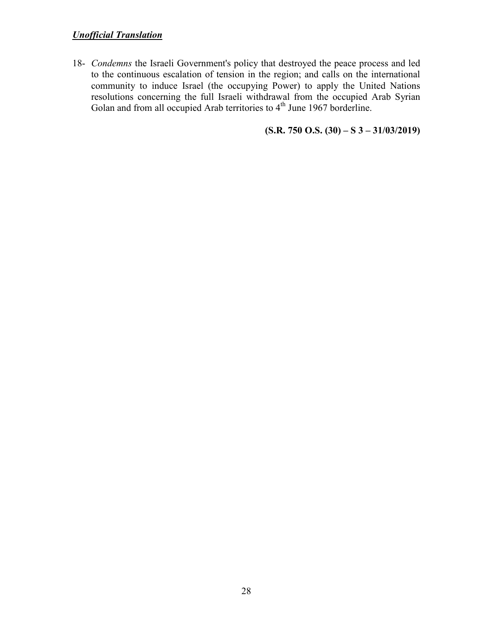18- *Condemns* the Israeli Government's policy that destroyed the peace process and led to the continuous escalation of tension in the region; and calls on the international community to induce Israel (the occupying Power) to apply the United Nations resolutions concerning the full Israeli withdrawal from the occupied Arab Syrian Golan and from all occupied Arab territories to  $4<sup>th</sup>$  June 1967 borderline.

**(S.R. 750 O.S. (30) – S 3 – 31/03/2019)**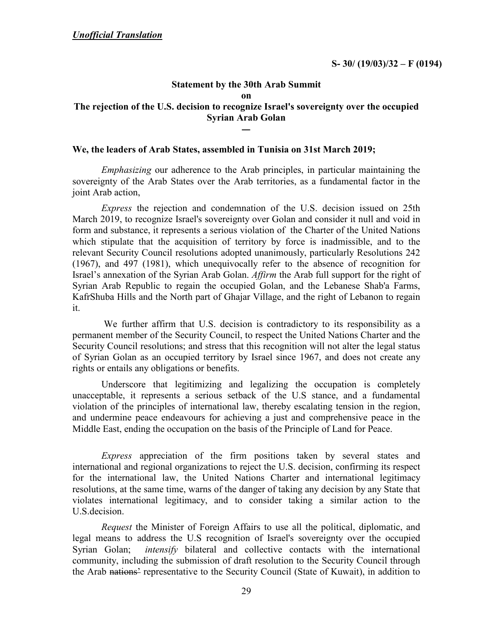#### **Statement by the 30th Arab Summit on The rejection of the U.S. decision to recognize Israel's sovereignty over the occupied Syrian Arab Golan**  ــــ

#### **We, the leaders of Arab States, assembled in Tunisia on 31st March 2019;**

*Emphasizing* our adherence to the Arab principles, in particular maintaining the sovereignty of the Arab States over the Arab territories, as a fundamental factor in the joint Arab action,

*Express* the rejection and condemnation of the U.S. decision issued on 25th March 2019, to recognize Israel's sovereignty over Golan and consider it null and void in form and substance, it represents a serious violation of the Charter of the United Nations which stipulate that the acquisition of territory by force is inadmissible, and to the relevant Security Council resolutions adopted unanimously, particularly Resolutions 242 (1967), and 497 (1981), which unequivocally refer to the absence of recognition for Israel's annexation of the Syrian Arab Golan. *Affirm* the Arab full support for the right of Syrian Arab Republic to regain the occupied Golan, and the Lebanese Shab'a Farms, KafrShuba Hills and the North part of Ghajar Village, and the right of Lebanon to regain it.

We further affirm that U.S. decision is contradictory to its responsibility as a permanent member of the Security Council, to respect the United Nations Charter and the Security Council resolutions; and stress that this recognition will not alter the legal status of Syrian Golan as an occupied territory by Israel since 1967, and does not create any rights or entails any obligations or benefits.

Underscore that legitimizing and legalizing the occupation is completely unacceptable, it represents a serious setback of the U.S stance, and a fundamental violation of the principles of international law, thereby escalating tension in the region, and undermine peace endeavours for achieving a just and comprehensive peace in the Middle East, ending the occupation on the basis of the Principle of Land for Peace.

*Express* appreciation of the firm positions taken by several states and international and regional organizations to reject the U.S. decision, confirming its respect for the international law, the United Nations Charter and international legitimacy resolutions, at the same time, warns of the danger of taking any decision by any State that violates international legitimacy, and to consider taking a similar action to the U.S.decision.

*Request* the Minister of Foreign Affairs to use all the political, diplomatic, and legal means to address the U.S recognition of Israel's sovereignty over the occupied Syrian Golan; *intensify* bilateral and collective contacts with the international community, including the submission of draft resolution to the Security Council through the Arab nations' representative to the Security Council (State of Kuwait), in addition to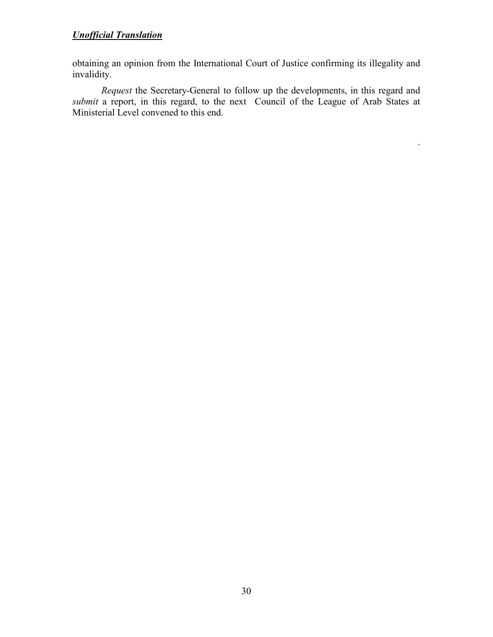obtaining an opinion from the International Court of Justice confirming its illegality and invalidity.

*Request* the Secretary-General to follow up the developments, in this regard and *submit* a report, in this regard, to the next Council of the League of Arab States at Ministerial Level convened to this end.

.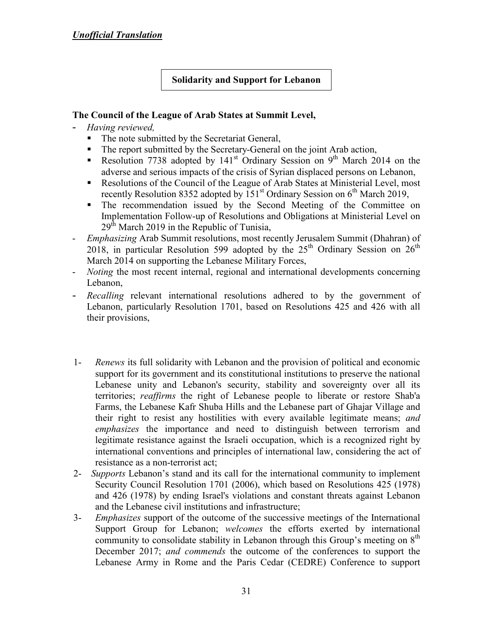### **Solidarity and Support for Lebanon**

#### **The Council of the League of Arab States at Summit Level,**

- *Having reviewed,*
	- The note submitted by the Secretariat General,
	- The report submitted by the Secretary-General on the joint Arab action,
	- Resolution 7738 adopted by 141<sup>st</sup> Ordinary Session on 9<sup>th</sup> March 2014 on the adverse and serious impacts of the crisis of Syrian displaced persons on Lebanon,
	- Resolutions of the Council of the League of Arab States at Ministerial Level, most recently Resolution 8352 adopted by  $151<sup>st</sup>$  Ordinary Session on  $6<sup>th</sup>$  March 2019,
	- The recommendation issued by the Second Meeting of the Committee on Implementation Follow-up of Resolutions and Obligations at Ministerial Level on  $29<sup>th</sup>$  March 2019 in the Republic of Tunisia,
- *Emphasizing* Arab Summit resolutions, most recently Jerusalem Summit (Dhahran) of 2018, in particular Resolution 599 adopted by the  $25<sup>th</sup>$  Ordinary Session on  $26<sup>th</sup>$ March 2014 on supporting the Lebanese Military Forces,
- *Noting* the most recent internal, regional and international developments concerning Lebanon,
- *Recalling* relevant international resolutions adhered to by the government of Lebanon, particularly Resolution 1701, based on Resolutions 425 and 426 with all their provisions,
- 1- *Renews* its full solidarity with Lebanon and the provision of political and economic support for its government and its constitutional institutions to preserve the national Lebanese unity and Lebanon's security, stability and sovereignty over all its territories; *reaffirms* the right of Lebanese people to liberate or restore Shab'a Farms, the Lebanese Kafr Shuba Hills and the Lebanese part of Ghajar Village and their right to resist any hostilities with every available legitimate means; *and emphasizes* the importance and need to distinguish between terrorism and legitimate resistance against the Israeli occupation, which is a recognized right by international conventions and principles of international law, considering the act of resistance as a non-terrorist act;
- 2- *Supports* Lebanon's stand and its call for the international community to implement Security Council Resolution 1701 (2006), which based on Resolutions 425 (1978) and 426 (1978) by ending Israel's violations and constant threats against Lebanon and the Lebanese civil institutions and infrastructure;
- 3- *Emphasizes* support of the outcome of the successive meetings of the International Support Group for Lebanon; *welcomes* the efforts exerted by international community to consolidate stability in Lebanon through this Group's meeting on  $8<sup>th</sup>$ December 2017; *and commends* the outcome of the conferences to support the Lebanese Army in Rome and the Paris Cedar (CEDRE) Conference to support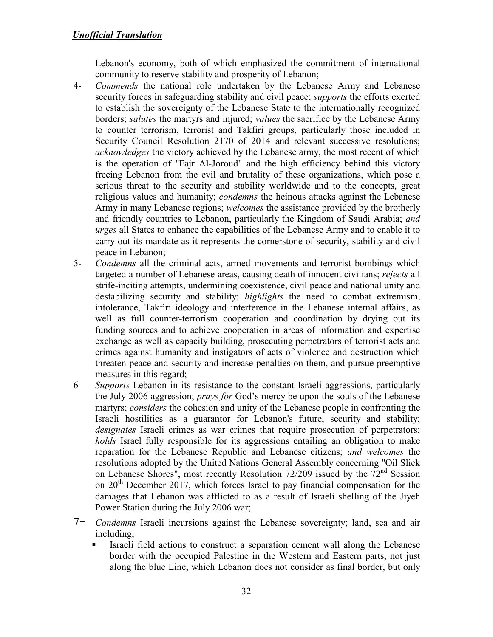Lebanon's economy, both of which emphasized the commitment of international community to reserve stability and prosperity of Lebanon;

- 4- *Commends* the national role undertaken by the Lebanese Army and Lebanese security forces in safeguarding stability and civil peace; *supports* the efforts exerted to establish the sovereignty of the Lebanese State to the internationally recognized borders; *salutes* the martyrs and injured; *values* the sacrifice by the Lebanese Army to counter terrorism, terrorist and Takfiri groups, particularly those included in Security Council Resolution 2170 of 2014 and relevant successive resolutions; *acknowledges* the victory achieved by the Lebanese army, the most recent of which is the operation of "Fajr Al-Joroud" and the high efficiency behind this victory freeing Lebanon from the evil and brutality of these organizations, which pose a serious threat to the security and stability worldwide and to the concepts, great religious values and humanity; *condemns* the heinous attacks against the Lebanese Army in many Lebanese regions; *welcomes* the assistance provided by the brotherly and friendly countries to Lebanon, particularly the Kingdom of Saudi Arabia; *and urges* all States to enhance the capabilities of the Lebanese Army and to enable it to carry out its mandate as it represents the cornerstone of security, stability and civil peace in Lebanon;
- 5- *Condemns* all the criminal acts, armed movements and terrorist bombings which targeted a number of Lebanese areas, causing death of innocent civilians; *rejects* all strife-inciting attempts, undermining coexistence, civil peace and national unity and destabilizing security and stability; *highlights* the need to combat extremism, intolerance, Takfiri ideology and interference in the Lebanese internal affairs, as well as full counter-terrorism cooperation and coordination by drying out its funding sources and to achieve cooperation in areas of information and expertise exchange as well as capacity building, prosecuting perpetrators of terrorist acts and crimes against humanity and instigators of acts of violence and destruction which threaten peace and security and increase penalties on them, and pursue preemptive measures in this regard;
- 6- *Supports* Lebanon in its resistance to the constant Israeli aggressions, particularly the July 2006 aggression; *prays for* God's mercy be upon the souls of the Lebanese martyrs; *considers* the cohesion and unity of the Lebanese people in confronting the Israeli hostilities as a guarantor for Lebanon's future, security and stability; *designates* Israeli crimes as war crimes that require prosecution of perpetrators; *holds* Israel fully responsible for its aggressions entailing an obligation to make reparation for the Lebanese Republic and Lebanese citizens; *and welcomes* the resolutions adopted by the United Nations General Assembly concerning "Oil Slick on Lebanese Shores", most recently Resolution  $72/209$  issued by the  $72<sup>nd</sup>$  Session on  $20<sup>th</sup>$  December 2017, which forces Israel to pay financial compensation for the damages that Lebanon was afflicted to as a result of Israeli shelling of the Jiyeh Power Station during the July 2006 war;
- 7- *Condemns* Israeli incursions against the Lebanese sovereignty; land, sea and air including;
	- Israeli field actions to construct a separation cement wall along the Lebanese border with the occupied Palestine in the Western and Eastern parts, not just along the blue Line, which Lebanon does not consider as final border, but only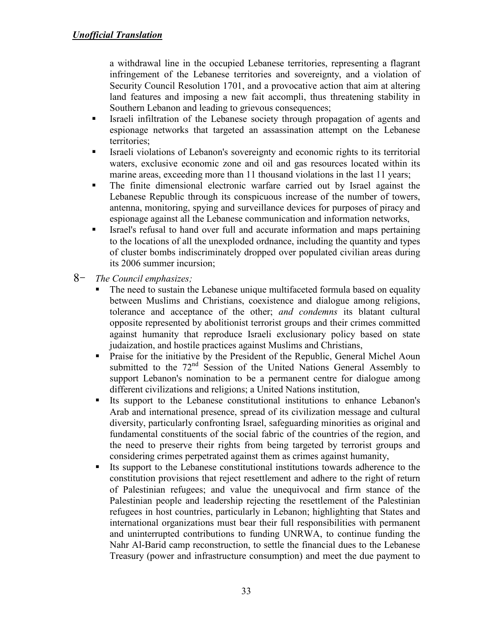a withdrawal line in the occupied Lebanese territories, representing a flagrant infringement of the Lebanese territories and sovereignty, and a violation of Security Council Resolution 1701, and a provocative action that aim at altering land features and imposing a new fait accompli, thus threatening stability in Southern Lebanon and leading to grievous consequences;

- Israeli infiltration of the Lebanese society through propagation of agents and espionage networks that targeted an assassination attempt on the Lebanese territories;
- Israeli violations of Lebanon's sovereignty and economic rights to its territorial waters, exclusive economic zone and oil and gas resources located within its marine areas, exceeding more than 11 thousand violations in the last 11 years;
- The finite dimensional electronic warfare carried out by Israel against the Lebanese Republic through its conspicuous increase of the number of towers, antenna, monitoring, spying and surveillance devices for purposes of piracy and espionage against all the Lebanese communication and information networks,
- Israel's refusal to hand over full and accurate information and maps pertaining to the locations of all the unexploded ordnance, including the quantity and types of cluster bombs indiscriminately dropped over populated civilian areas during its 2006 summer incursion;
- 8- *The Council emphasizes;*
	- The need to sustain the Lebanese unique multifaceted formula based on equality between Muslims and Christians, coexistence and dialogue among religions, tolerance and acceptance of the other; *and condemns* its blatant cultural opposite represented by abolitionist terrorist groups and their crimes committed against humanity that reproduce Israeli exclusionary policy based on state judaization, and hostile practices against Muslims and Christians,
	- **Praise for the initiative by the President of the Republic, General Michel Aoun** submitted to the 72<sup>nd</sup> Session of the United Nations General Assembly to support Lebanon's nomination to be a permanent centre for dialogue among different civilizations and religions; a United Nations institution,
	- Its support to the Lebanese constitutional institutions to enhance Lebanon's Arab and international presence, spread of its civilization message and cultural diversity, particularly confronting Israel, safeguarding minorities as original and fundamental constituents of the social fabric of the countries of the region, and the need to preserve their rights from being targeted by terrorist groups and considering crimes perpetrated against them as crimes against humanity,
	- Its support to the Lebanese constitutional institutions towards adherence to the constitution provisions that reject resettlement and adhere to the right of return of Palestinian refugees; and value the unequivocal and firm stance of the Palestinian people and leadership rejecting the resettlement of the Palestinian refugees in host countries, particularly in Lebanon; highlighting that States and international organizations must bear their full responsibilities with permanent and uninterrupted contributions to funding UNRWA, to continue funding the Nahr Al-Barid camp reconstruction, to settle the financial dues to the Lebanese Treasury (power and infrastructure consumption) and meet the due payment to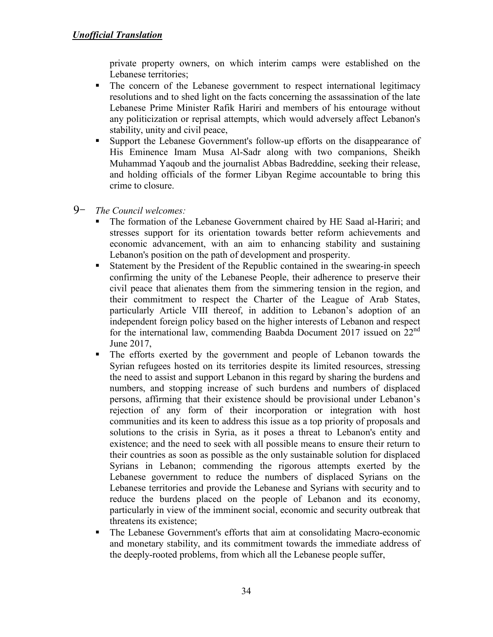private property owners, on which interim camps were established on the Lebanese territories;

- The concern of the Lebanese government to respect international legitimacy resolutions and to shed light on the facts concerning the assassination of the late Lebanese Prime Minister Rafik Hariri and members of his entourage without any politicization or reprisal attempts, which would adversely affect Lebanon's stability, unity and civil peace,
- Support the Lebanese Government's follow-up efforts on the disappearance of His Eminence Imam Musa Al-Sadr along with two companions, Sheikh Muhammad Yaqoub and the journalist Abbas Badreddine, seeking their release, and holding officials of the former Libyan Regime accountable to bring this crime to closure.
- 9- *The Council welcomes:*
	- The formation of the Lebanese Government chaired by HE Saad al-Hariri; and stresses support for its orientation towards better reform achievements and economic advancement, with an aim to enhancing stability and sustaining Lebanon's position on the path of development and prosperity.
	- Statement by the President of the Republic contained in the swearing-in speech confirming the unity of the Lebanese People, their adherence to preserve their civil peace that alienates them from the simmering tension in the region, and their commitment to respect the Charter of the League of Arab States, particularly Article VIII thereof, in addition to Lebanon's adoption of an independent foreign policy based on the higher interests of Lebanon and respect for the international law, commending Baabda Document 2017 issued on 22<sup>nd</sup> June 2017,
	- The efforts exerted by the government and people of Lebanon towards the Syrian refugees hosted on its territories despite its limited resources, stressing the need to assist and support Lebanon in this regard by sharing the burdens and numbers, and stopping increase of such burdens and numbers of displaced persons, affirming that their existence should be provisional under Lebanon's rejection of any form of their incorporation or integration with host communities and its keen to address this issue as a top priority of proposals and solutions to the crisis in Syria, as it poses a threat to Lebanon's entity and existence; and the need to seek with all possible means to ensure their return to their countries as soon as possible as the only sustainable solution for displaced Syrians in Lebanon; commending the rigorous attempts exerted by the Lebanese government to reduce the numbers of displaced Syrians on the Lebanese territories and provide the Lebanese and Syrians with security and to reduce the burdens placed on the people of Lebanon and its economy, particularly in view of the imminent social, economic and security outbreak that threatens its existence;
	- The Lebanese Government's efforts that aim at consolidating Macro-economic and monetary stability, and its commitment towards the immediate address of the deeply-rooted problems, from which all the Lebanese people suffer,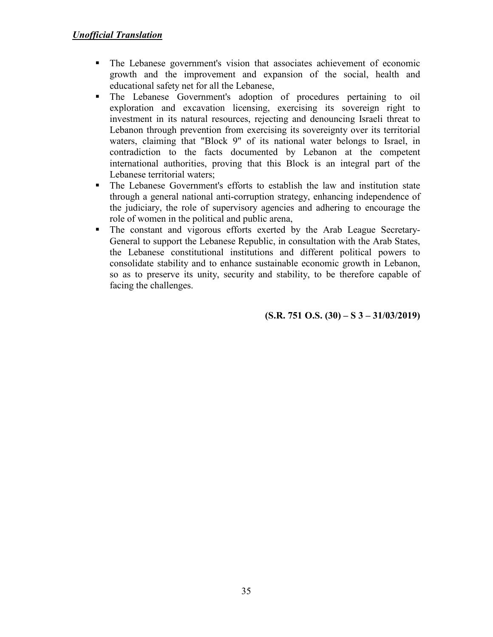- The Lebanese government's vision that associates achievement of economic growth and the improvement and expansion of the social, health and educational safety net for all the Lebanese,
- The Lebanese Government's adoption of procedures pertaining to oil exploration and excavation licensing, exercising its sovereign right to investment in its natural resources, rejecting and denouncing Israeli threat to Lebanon through prevention from exercising its sovereignty over its territorial waters, claiming that "Block 9" of its national water belongs to Israel, in contradiction to the facts documented by Lebanon at the competent international authorities, proving that this Block is an integral part of the Lebanese territorial waters;
- The Lebanese Government's efforts to establish the law and institution state through a general national anti-corruption strategy, enhancing independence of the judiciary, the role of supervisory agencies and adhering to encourage the role of women in the political and public arena,
- The constant and vigorous efforts exerted by the Arab League Secretary-General to support the Lebanese Republic, in consultation with the Arab States, the Lebanese constitutional institutions and different political powers to consolidate stability and to enhance sustainable economic growth in Lebanon, so as to preserve its unity, security and stability, to be therefore capable of facing the challenges.

**(S.R. 751 O.S. (30) – S 3 – 31/03/2019)**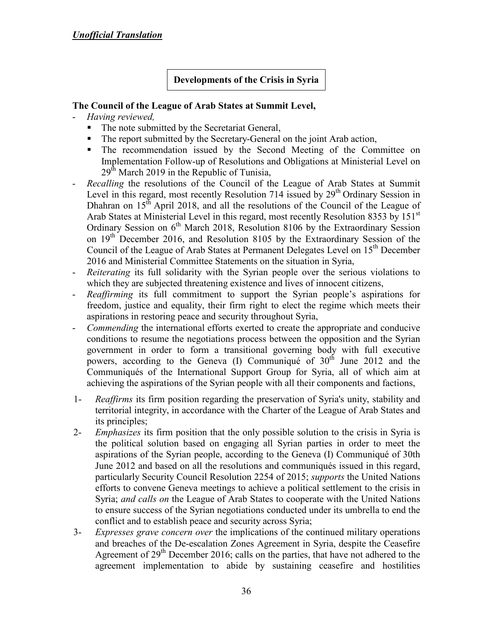**Developments of the Crisis in Syria** 

### **The Council of the League of Arab States at Summit Level,**

- *Having reviewed,*
	- The note submitted by the Secretariat General,
	- The report submitted by the Secretary-General on the joint Arab action,
	- The recommendation issued by the Second Meeting of the Committee on Implementation Follow-up of Resolutions and Obligations at Ministerial Level on  $29<sup>th</sup>$  March 2019 in the Republic of Tunisia,
- *Recalling* the resolutions of the Council of the League of Arab States at Summit Level in this regard, most recently Resolution 714 issued by  $29<sup>th</sup>$  Ordinary Session in Dhahran on  $15<sup>th</sup>$  April 2018, and all the resolutions of the Council of the League of Arab States at Ministerial Level in this regard, most recently Resolution 8353 by 151<sup>st</sup> Ordinary Session on  $6<sup>th</sup>$  March 2018, Resolution 8106 by the Extraordinary Session on 19<sup>th</sup> December 2016, and Resolution 8105 by the Extraordinary Session of the Council of the League of Arab States at Permanent Delegates Level on 15<sup>th</sup> December 2016 and Ministerial Committee Statements on the situation in Syria,
- *Reiterating* its full solidarity with the Syrian people over the serious violations to which they are subjected threatening existence and lives of innocent citizens,
- *Reaffirming* its full commitment to support the Syrian people's aspirations for freedom, justice and equality, their firm right to elect the regime which meets their aspirations in restoring peace and security throughout Syria,
- *Commending* the international efforts exerted to create the appropriate and conducive conditions to resume the negotiations process between the opposition and the Syrian government in order to form a transitional governing body with full executive powers, according to the Geneva (I) Communiqué of  $30<sup>th</sup>$  June 2012 and the Communiqués of the International Support Group for Syria, all of which aim at achieving the aspirations of the Syrian people with all their components and factions,
- 1- *Reaffirms* its firm position regarding the preservation of Syria's unity, stability and territorial integrity, in accordance with the Charter of the League of Arab States and its principles;
- 2- *Emphasizes* its firm position that the only possible solution to the crisis in Syria is the political solution based on engaging all Syrian parties in order to meet the aspirations of the Syrian people, according to the Geneva (I) Communiqué of 30th June 2012 and based on all the resolutions and communiqués issued in this regard, particularly Security Council Resolution 2254 of 2015; *supports* the United Nations efforts to convene Geneva meetings to achieve a political settlement to the crisis in Syria; *and calls on* the League of Arab States to cooperate with the United Nations to ensure success of the Syrian negotiations conducted under its umbrella to end the conflict and to establish peace and security across Syria;
- 3- *Expresses grave concern over* the implications of the continued military operations and breaches of the De-escalation Zones Agreement in Syria, despite the Ceasefire Agreement of  $29<sup>th</sup>$  December 2016; calls on the parties, that have not adhered to the agreement implementation to abide by sustaining ceasefire and hostilities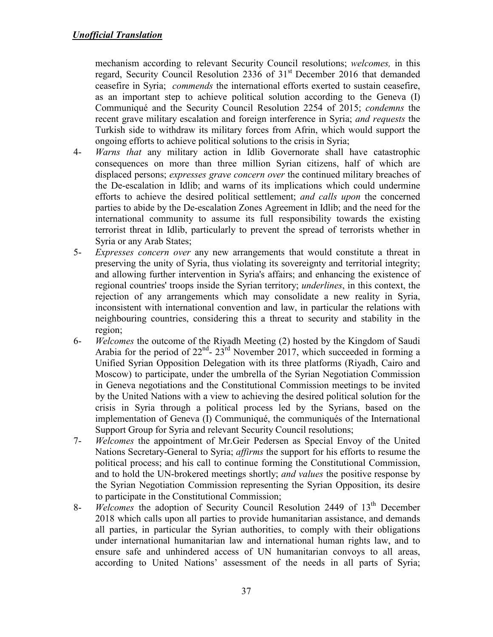mechanism according to relevant Security Council resolutions; *welcomes,* in this regard, Security Council Resolution  $2336$  of  $31<sup>st</sup>$  December 2016 that demanded ceasefire in Syria; *commends* the international efforts exerted to sustain ceasefire, as an important step to achieve political solution according to the Geneva (I) Communiqué and the Security Council Resolution 2254 of 2015; *condemns* the recent grave military escalation and foreign interference in Syria; *and requests* the Turkish side to withdraw its military forces from Afrin, which would support the ongoing efforts to achieve political solutions to the crisis in Syria;

- 4- *Warns that* any military action in Idlib Governorate shall have catastrophic consequences on more than three million Syrian citizens, half of which are displaced persons; *expresses grave concern over* the continued military breaches of the De-escalation in Idlib; and warns of its implications which could undermine efforts to achieve the desired political settlement; *and calls upon* the concerned parties to abide by the De-escalation Zones Agreement in Idlib; and the need for the international community to assume its full responsibility towards the existing terrorist threat in Idlib, particularly to prevent the spread of terrorists whether in Syria or any Arab States;
- 5- *Expresses concern over* any new arrangements that would constitute a threat in preserving the unity of Syria, thus violating its sovereignty and territorial integrity; and allowing further intervention in Syria's affairs; and enhancing the existence of regional countries' troops inside the Syrian territory; *underlines*, in this context, the rejection of any arrangements which may consolidate a new reality in Syria, inconsistent with international convention and law, in particular the relations with neighbouring countries, considering this a threat to security and stability in the region;
- 6- *Welcomes* the outcome of the Riyadh Meeting (2) hosted by the Kingdom of Saudi Arabia for the period of  $22^{nd}$ -  $23^{rd}$  November 2017, which succeeded in forming a Unified Syrian Opposition Delegation with its three platforms (Riyadh, Cairo and Moscow) to participate, under the umbrella of the Syrian Negotiation Commission in Geneva negotiations and the Constitutional Commission meetings to be invited by the United Nations with a view to achieving the desired political solution for the crisis in Syria through a political process led by the Syrians, based on the implementation of Geneva (I) Communiqué, the communiqués of the International Support Group for Syria and relevant Security Council resolutions;
- 7- *Welcomes* the appointment of Mr.Geir Pedersen as Special Envoy of the United Nations Secretary-General to Syria; *affirms* the support for his efforts to resume the political process; and his call to continue forming the Constitutional Commission, and to hold the UN-brokered meetings shortly; *and values* the positive response by the Syrian Negotiation Commission representing the Syrian Opposition, its desire to participate in the Constitutional Commission;
- 8- *Welcomes* the adoption of Security Council Resolution 2449 of 13<sup>th</sup> December 2018 which calls upon all parties to provide humanitarian assistance, and demands all parties, in particular the Syrian authorities, to comply with their obligations under international humanitarian law and international human rights law, and to ensure safe and unhindered access of UN humanitarian convoys to all areas, according to United Nations' assessment of the needs in all parts of Syria;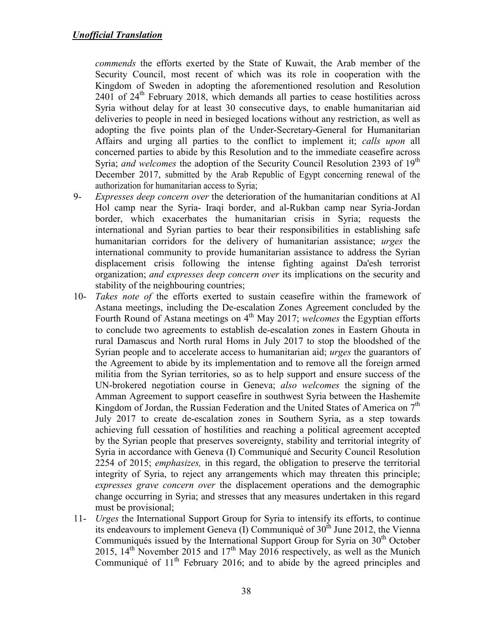*commends* the efforts exerted by the State of Kuwait, the Arab member of the Security Council, most recent of which was its role in cooperation with the Kingdom of Sweden in adopting the aforementioned resolution and Resolution  $2401$  of  $24<sup>th</sup>$  February 2018, which demands all parties to cease hostilities across Syria without delay for at least 30 consecutive days, to enable humanitarian aid deliveries to people in need in besieged locations without any restriction, as well as adopting the five points plan of the Under-Secretary-General for Humanitarian Affairs and urging all parties to the conflict to implement it; *calls upon* all concerned parties to abide by this Resolution and to the immediate ceasefire across Syria; *and welcomes* the adoption of the Security Council Resolution 2393 of 19<sup>th</sup> December 2017, submitted by the Arab Republic of Egypt concerning renewal of the authorization for humanitarian access to Syria;

- 9- *Expresses deep concern over* the deterioration of the humanitarian conditions at Al Hol camp near the Syria- Iraqi border, and al-Rukban camp near Syria-Jordan border, which exacerbates the humanitarian crisis in Syria; requests the international and Syrian parties to bear their responsibilities in establishing safe humanitarian corridors for the delivery of humanitarian assistance; *urges* the international community to provide humanitarian assistance to address the Syrian displacement crisis following the intense fighting against Da'esh terrorist organization; *and expresses deep concern over* its implications on the security and stability of the neighbouring countries;
- 10- *Takes note of* the efforts exerted to sustain ceasefire within the framework of Astana meetings, including the De-escalation Zones Agreement concluded by the Fourth Round of Astana meetings on 4<sup>th</sup> May 2017; *welcomes* the Egyptian efforts to conclude two agreements to establish de-escalation zones in Eastern Ghouta in rural Damascus and North rural Homs in July 2017 to stop the bloodshed of the Syrian people and to accelerate access to humanitarian aid; *urges* the guarantors of the Agreement to abide by its implementation and to remove all the foreign armed militia from the Syrian territories, so as to help support and ensure success of the UN-brokered negotiation course in Geneva; *also welcomes* the signing of the Amman Agreement to support ceasefire in southwest Syria between the Hashemite Kingdom of Jordan, the Russian Federation and the United States of America on  $7<sup>th</sup>$ July 2017 to create de-escalation zones in Southern Syria, as a step towards achieving full cessation of hostilities and reaching a political agreement accepted by the Syrian people that preserves sovereignty, stability and territorial integrity of Syria in accordance with Geneva (I) Communiqué and Security Council Resolution 2254 of 2015; *emphasizes,* in this regard, the obligation to preserve the territorial integrity of Syria, to reject any arrangements which may threaten this principle; *expresses grave concern over* the displacement operations and the demographic change occurring in Syria; and stresses that any measures undertaken in this regard must be provisional;
- 11- *Urges* the International Support Group for Syria to intensify its efforts, to continue its endeavours to implement Geneva  $(I)$  Communiqué of 30<sup>th</sup> June 2012, the Vienna Communiqués issued by the International Support Group for Syria on  $30<sup>th</sup>$  October 2015,  $14<sup>th</sup>$  November 2015 and  $17<sup>th</sup>$  May 2016 respectively, as well as the Munich Communiqué of  $11<sup>th</sup>$  February 2016; and to abide by the agreed principles and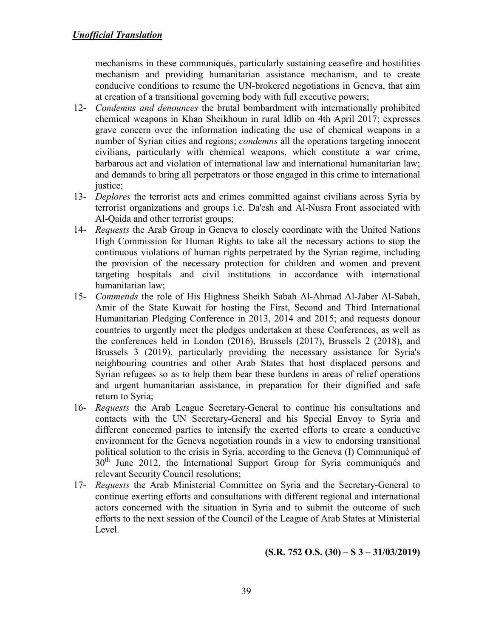mechanisms in these communiqués, particularly sustaining ceasefire and hostilities mechanism and providing humanitarian assistance mechanism, and to create conducive conditions to resume the UN-brokered negotiations in Geneva, that aim at creation of a transitional governing body with full executive powers;

- 12- *Condemns and denounces* the brutal bombardment with internationally prohibited chemical weapons in Khan Sheikhoun in rural Idlib on 4th April 2017; expresses grave concern over the information indicating the use of chemical weapons in a number of Syrian cities and regions; *condemns* all the operations targeting innocent civilians, particularly with chemical weapons, which constitute a war crime, barbarous act and violation of international law and international humanitarian law; and demands to bring all perpetrators or those engaged in this crime to international justice;
- 13- *Deplores* the terrorist acts and crimes committed against civilians across Syria by terrorist organizations and groups i.e. Da'esh and Al-Nusra Front associated with Al-Qaida and other terrorist groups;
- 14- *Requests* the Arab Group in Geneva to closely coordinate with the United Nations High Commission for Human Rights to take all the necessary actions to stop the continuous violations of human rights perpetrated by the Syrian regime, including the provision of the necessary protection for children and women and prevent targeting hospitals and civil institutions in accordance with international humanitarian law;
- 15- *Commends* the role of His Highness Sheikh Sabah Al-Ahmad Al-Jaber Al-Sabah, Amir of the State Kuwait for hosting the First, Second and Third International Humanitarian Pledging Conference in 2013, 2014 and 2015; and requests donour countries to urgently meet the pledges undertaken at these Conferences, as well as the conferences held in London (2016), Brussels (2017), Brussels 2 (2018), and Brussels 3 (2019), particularly providing the necessary assistance for Syria's neighbouring countries and other Arab States that host displaced persons and Syrian refugees so as to help them bear these burdens in areas of relief operations and urgent humanitarian assistance, in preparation for their dignified and safe return to Syria;
- 16- *Requests* the Arab League Secretary-General to continue his consultations and contacts with the UN Secretary-General and his Special Envoy to Syria and different concerned parties to intensify the exerted efforts to create a conductive environment for the Geneva negotiation rounds in a view to endorsing transitional political solution to the crisis in Syria, according to the Geneva (I) Communiqué of  $30<sup>th</sup>$  June 2012, the International Support Group for Syria communiqués and relevant Security Council resolutions;
- 17- *Requests* the Arab Ministerial Committee on Syria and the Secretary-General to continue exerting efforts and consultations with different regional and international actors concerned with the situation in Syria and to submit the outcome of such efforts to the next session of the Council of the League of Arab States at Ministerial Level.

**(S.R. 752 O.S. (30) – S 3 – 31/03/2019)**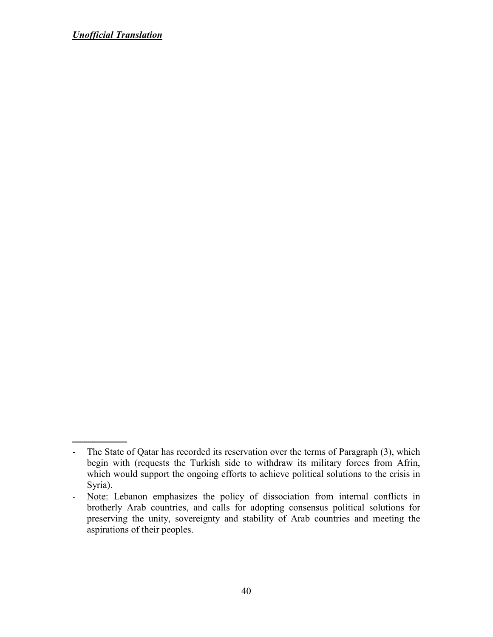ـــــــــــــــــــــــــــ - The State of Qatar has recorded its reservation over the terms of Paragraph (3), which begin with (requests the Turkish side to withdraw its military forces from Afrin, which would support the ongoing efforts to achieve political solutions to the crisis in Syria).

<sup>-</sup> Note: Lebanon emphasizes the policy of dissociation from internal conflicts in brotherly Arab countries, and calls for adopting consensus political solutions for preserving the unity, sovereignty and stability of Arab countries and meeting the aspirations of their peoples.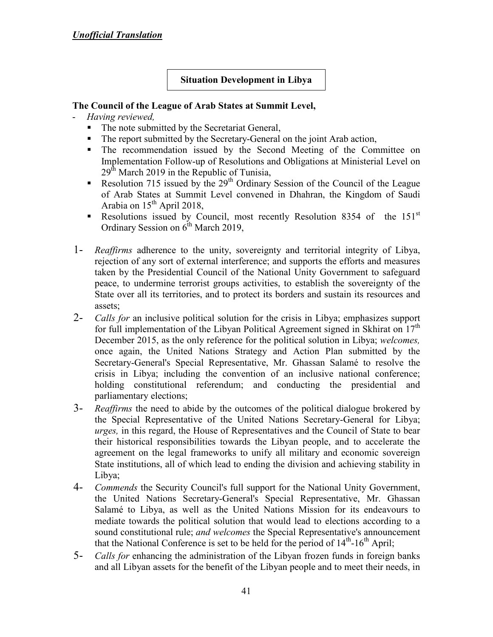### **Situation Development in Libya**

- *Having reviewed,*
	- The note submitted by the Secretariat General,
	- The report submitted by the Secretary-General on the joint Arab action,
	- The recommendation issued by the Second Meeting of the Committee on Implementation Follow-up of Resolutions and Obligations at Ministerial Level on  $29<sup>th</sup>$  March 2019 in the Republic of Tunisia,
	- Resolution 715 issued by the  $29<sup>th</sup>$  Ordinary Session of the Council of the League of Arab States at Summit Level convened in Dhahran, the Kingdom of Saudi Arabia on  $15^{th}$  April 2018,
	- Resolutions issued by Council, most recently Resolution 8354 of the  $151<sup>st</sup>$ Ordinary Session on  $6<sup>th</sup>$  March 2019,
- 1- *Reaffirms* adherence to the unity, sovereignty and territorial integrity of Libya, rejection of any sort of external interference; and supports the efforts and measures taken by the Presidential Council of the National Unity Government to safeguard peace, to undermine terrorist groups activities, to establish the sovereignty of the State over all its territories, and to protect its borders and sustain its resources and assets;
- 2- *Calls for* an inclusive political solution for the crisis in Libya; emphasizes support for full implementation of the Libyan Political Agreement signed in Skhirat on  $17<sup>th</sup>$ December 2015, as the only reference for the political solution in Libya; *welcomes,* once again, the United Nations Strategy and Action Plan submitted by the Secretary-General's Special Representative, Mr. Ghassan Salamé to resolve the crisis in Libya; including the convention of an inclusive national conference; holding constitutional referendum; and conducting the presidential and parliamentary elections;
- 3- *Reaffirms* the need to abide by the outcomes of the political dialogue brokered by the Special Representative of the United Nations Secretary-General for Libya; *urges,* in this regard, the House of Representatives and the Council of State to bear their historical responsibilities towards the Libyan people, and to accelerate the agreement on the legal frameworks to unify all military and economic sovereign State institutions, all of which lead to ending the division and achieving stability in Libya;
- 4- *Commends* the Security Council's full support for the National Unity Government, the United Nations Secretary-General's Special Representative, Mr. Ghassan Salamé to Libya, as well as the United Nations Mission for its endeavours to mediate towards the political solution that would lead to elections according to a sound constitutional rule; *and welcomes* the Special Representative's announcement that the National Conference is set to be held for the period of  $14<sup>th</sup>$ -16<sup>th</sup> April;
- 5- *Calls for* enhancing the administration of the Libyan frozen funds in foreign banks and all Libyan assets for the benefit of the Libyan people and to meet their needs, in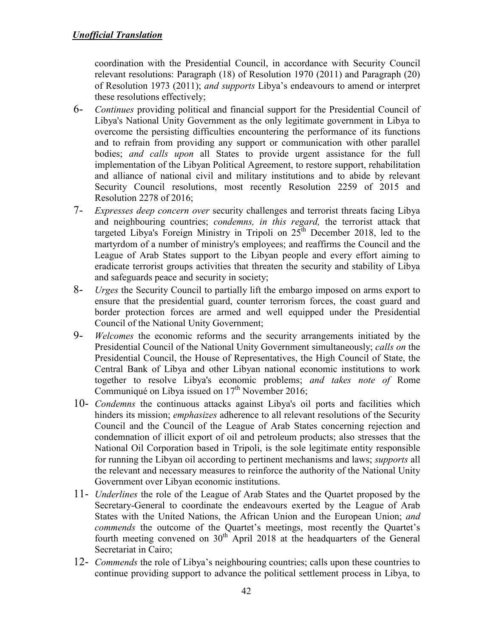coordination with the Presidential Council, in accordance with Security Council relevant resolutions: Paragraph (18) of Resolution 1970 (2011) and Paragraph (20) of Resolution 1973 (2011); *and supports* Libya's endeavours to amend or interpret these resolutions effectively;

- 6- *Continues* providing political and financial support for the Presidential Council of Libya's National Unity Government as the only legitimate government in Libya to overcome the persisting difficulties encountering the performance of its functions and to refrain from providing any support or communication with other parallel bodies; *and calls upon* all States to provide urgent assistance for the full implementation of the Libyan Political Agreement, to restore support, rehabilitation and alliance of national civil and military institutions and to abide by relevant Security Council resolutions, most recently Resolution 2259 of 2015 and Resolution 2278 of 2016;
- 7- *Expresses deep concern over* security challenges and terrorist threats facing Libya and neighbouring countries; *condemns, in this regard,* the terrorist attack that targeted Libya's Foreign Ministry in Tripoli on  $25<sup>th</sup>$  December 2018, led to the martyrdom of a number of ministry's employees; and reaffirms the Council and the League of Arab States support to the Libyan people and every effort aiming to eradicate terrorist groups activities that threaten the security and stability of Libya and safeguards peace and security in society;
- 8- *Urges* the Security Council to partially lift the embargo imposed on arms export to ensure that the presidential guard, counter terrorism forces, the coast guard and border protection forces are armed and well equipped under the Presidential Council of the National Unity Government;
- 9- *Welcomes* the economic reforms and the security arrangements initiated by the Presidential Council of the National Unity Government simultaneously; *calls on* the Presidential Council, the House of Representatives, the High Council of State, the Central Bank of Libya and other Libyan national economic institutions to work together to resolve Libya's economic problems; *and takes note of* Rome Communiqué on Libya issued on  $17<sup>th</sup>$  November 2016;
- 10- *Condemns* the continuous attacks against Libya's oil ports and facilities which hinders its mission; *emphasizes* adherence to all relevant resolutions of the Security Council and the Council of the League of Arab States concerning rejection and condemnation of illicit export of oil and petroleum products; also stresses that the National Oil Corporation based in Tripoli, is the sole legitimate entity responsible for running the Libyan oil according to pertinent mechanisms and laws; *supports* all the relevant and necessary measures to reinforce the authority of the National Unity Government over Libyan economic institutions.
- 11- *Underlines* the role of the League of Arab States and the Quartet proposed by the Secretary-General to coordinate the endeavours exerted by the League of Arab States with the United Nations, the African Union and the European Union; *and commends* the outcome of the Quartet's meetings, most recently the Quartet's fourth meeting convened on  $30<sup>th</sup>$  April 2018 at the headquarters of the General Secretariat in Cairo;
- 12- *Commends* the role of Libya's neighbouring countries; calls upon these countries to continue providing support to advance the political settlement process in Libya, to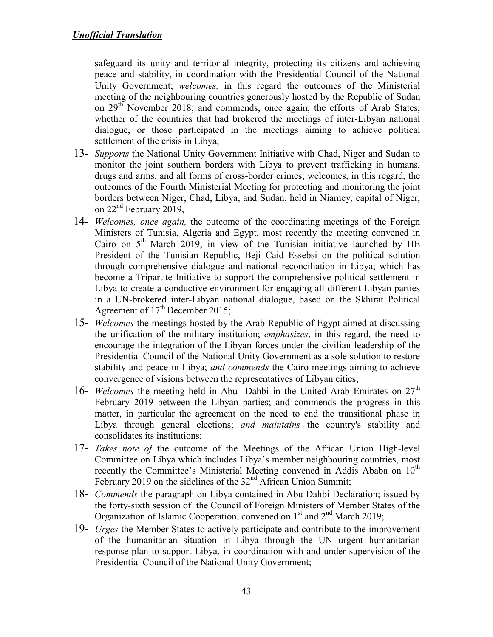safeguard its unity and territorial integrity, protecting its citizens and achieving peace and stability, in coordination with the Presidential Council of the National Unity Government; *welcomes,* in this regard the outcomes of the Ministerial meeting of the neighbouring countries generously hosted by the Republic of Sudan on 29<sup>th</sup> November 2018; and commends, once again, the efforts of Arab States, whether of the countries that had brokered the meetings of inter-Libyan national dialogue, or those participated in the meetings aiming to achieve political settlement of the crisis in Libya;

- 13- *Supports* the National Unity Government Initiative with Chad, Niger and Sudan to monitor the joint southern borders with Libya to prevent trafficking in humans, drugs and arms, and all forms of cross-border crimes; welcomes, in this regard, the outcomes of the Fourth Ministerial Meeting for protecting and monitoring the joint borders between Niger, Chad, Libya, and Sudan, held in Niamey, capital of Niger, on 22<sup>nd</sup> February 2019,
- 14- *Welcomes, once again,* the outcome of the coordinating meetings of the Foreign Ministers of Tunisia, Algeria and Egypt, most recently the meeting convened in Cairo on  $5<sup>th</sup>$  March 2019, in view of the Tunisian initiative launched by HE President of the Tunisian Republic, Beji Caid Essebsi on the political solution through comprehensive dialogue and national reconciliation in Libya; which has become a Tripartite Initiative to support the comprehensive political settlement in Libya to create a conductive environment for engaging all different Libyan parties in a UN-brokered inter-Libyan national dialogue, based on the Skhirat Political Agreement of 17<sup>th</sup> December 2015;
- 15- *Welcomes* the meetings hosted by the Arab Republic of Egypt aimed at discussing the unification of the military institution; *emphasizes*, in this regard, the need to encourage the integration of the Libyan forces under the civilian leadership of the Presidential Council of the National Unity Government as a sole solution to restore stability and peace in Libya; *and commends* the Cairo meetings aiming to achieve convergence of visions between the representatives of Libyan cities;
- 16- *Welcomes* the meeting held in Abu Dahbi in the United Arab Emirates on 27<sup>th</sup> February 2019 between the Libyan parties; and commends the progress in this matter, in particular the agreement on the need to end the transitional phase in Libya through general elections; *and maintains* the country's stability and consolidates its institutions;
- 17- *Takes note of* the outcome of the Meetings of the African Union High-level Committee on Libya which includes Libya's member neighbouring countries, most recently the Committee's Ministerial Meeting convened in Addis Ababa on  $10<sup>th</sup>$ February 2019 on the sidelines of the 32<sup>nd</sup> African Union Summit;
- 18- *Commends* the paragraph on Libya contained in Abu Dahbi Declaration; issued by the forty-sixth session of the Council of Foreign Ministers of Member States of the Organization of Islamic Cooperation, convened on  $1<sup>st</sup>$  and  $2<sup>nd</sup>$  March 2019;
- 19- *Urges* the Member States to actively participate and contribute to the improvement of the humanitarian situation in Libya through the UN urgent humanitarian response plan to support Libya, in coordination with and under supervision of the Presidential Council of the National Unity Government;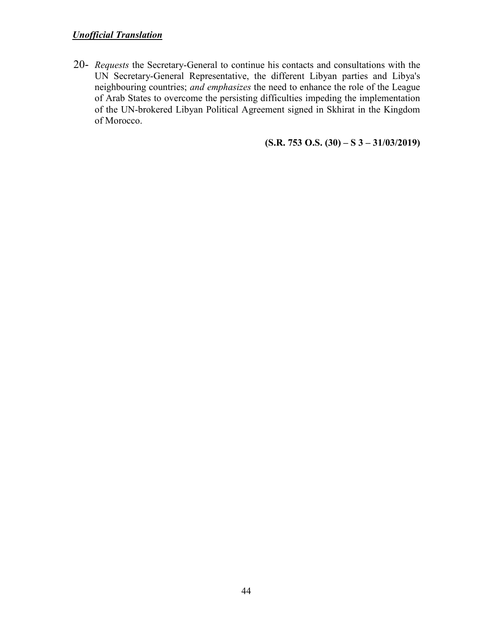20- *Requests* the Secretary-General to continue his contacts and consultations with the UN Secretary-General Representative, the different Libyan parties and Libya's neighbouring countries; *and emphasizes* the need to enhance the role of the League of Arab States to overcome the persisting difficulties impeding the implementation of the UN-brokered Libyan Political Agreement signed in Skhirat in the Kingdom of Morocco.

**(S.R. 753 O.S. (30) – S 3 – 31/03/2019)**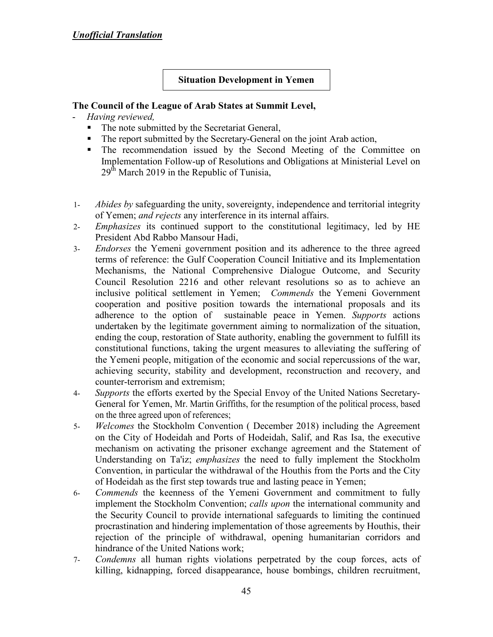#### **Situation Development in Yemen**

- *Having reviewed,*
	- The note submitted by the Secretariat General,
	- The report submitted by the Secretary-General on the joint Arab action,
	- The recommendation issued by the Second Meeting of the Committee on Implementation Follow-up of Resolutions and Obligations at Ministerial Level on  $29<sup>th</sup>$  March 2019 in the Republic of Tunisia.
- 1- *Abides by* safeguarding the unity, sovereignty, independence and territorial integrity of Yemen; *and rejects* any interference in its internal affairs.
- 2- *Emphasizes* its continued support to the constitutional legitimacy, led by HE President Abd Rabbo Mansour Hadi,
- 3- *Endorses* the Yemeni government position and its adherence to the three agreed terms of reference: the Gulf Cooperation Council Initiative and its Implementation Mechanisms, the National Comprehensive Dialogue Outcome, and Security Council Resolution 2216 and other relevant resolutions so as to achieve an inclusive political settlement in Yemen; *Commends* the Yemeni Government cooperation and positive position towards the international proposals and its adherence to the option of sustainable peace in Yemen. *Supports* actions undertaken by the legitimate government aiming to normalization of the situation, ending the coup, restoration of State authority, enabling the government to fulfill its constitutional functions, taking the urgent measures to alleviating the suffering of the Yemeni people, mitigation of the economic and social repercussions of the war, achieving security, stability and development, reconstruction and recovery, and counter-terrorism and extremism;
- 4- *Supports* the efforts exerted by the Special Envoy of the United Nations Secretary-General for Yemen, Mr. Martin Griffiths, for the resumption of the political process, based on the three agreed upon of references;
- 5- *Welcomes* the Stockholm Convention ( December 2018) including the Agreement on the City of Hodeidah and Ports of Hodeidah, Salif, and Ras Isa, the executive mechanism on activating the prisoner exchange agreement and the Statement of Understanding on Ta'iz; *emphasizes* the need to fully implement the Stockholm Convention, in particular the withdrawal of the Houthis from the Ports and the City of Hodeidah as the first step towards true and lasting peace in Yemen;
- 6- *Commends* the keenness of the Yemeni Government and commitment to fully implement the Stockholm Convention; *calls upon* the international community and the Security Council to provide international safeguards to limiting the continued procrastination and hindering implementation of those agreements by Houthis, their rejection of the principle of withdrawal, opening humanitarian corridors and hindrance of the United Nations work;
- 7- *Condemns* all human rights violations perpetrated by the coup forces, acts of killing, kidnapping, forced disappearance, house bombings, children recruitment,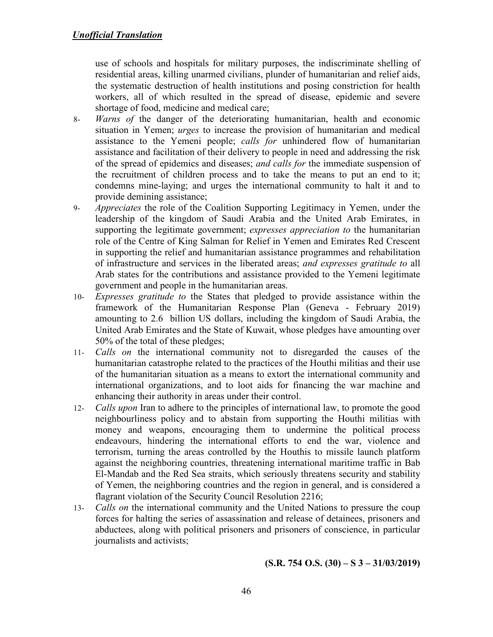use of schools and hospitals for military purposes, the indiscriminate shelling of residential areas, killing unarmed civilians, plunder of humanitarian and relief aids, the systematic destruction of health institutions and posing constriction for health workers, all of which resulted in the spread of disease, epidemic and severe shortage of food, medicine and medical care;

- 8- *Warns of* the danger of the deteriorating humanitarian, health and economic situation in Yemen; *urges* to increase the provision of humanitarian and medical assistance to the Yemeni people; *calls for* unhindered flow of humanitarian assistance and facilitation of their delivery to people in need and addressing the risk of the spread of epidemics and diseases; *and calls for* the immediate suspension of the recruitment of children process and to take the means to put an end to it; condemns mine-laying; and urges the international community to halt it and to provide demining assistance;
- 9- *Appreciates* the role of the Coalition Supporting Legitimacy in Yemen, under the leadership of the kingdom of Saudi Arabia and the United Arab Emirates, in supporting the legitimate government; *expresses appreciation to* the humanitarian role of the Centre of King Salman for Relief in Yemen and Emirates Red Crescent in supporting the relief and humanitarian assistance programmes and rehabilitation of infrastructure and services in the liberated areas; *and expresses gratitude to* all Arab states for the contributions and assistance provided to the Yemeni legitimate government and people in the humanitarian areas.
- 10- *Expresses gratitude to* the States that pledged to provide assistance within the framework of the Humanitarian Response Plan (Geneva - February 2019) amounting to 2.6 billion US dollars, including the kingdom of Saudi Arabia, the United Arab Emirates and the State of Kuwait, whose pledges have amounting over 50% of the total of these pledges;
- 11- *Calls on* the international community not to disregarded the causes of the humanitarian catastrophe related to the practices of the Houthi militias and their use of the humanitarian situation as a means to extort the international community and international organizations, and to loot aids for financing the war machine and enhancing their authority in areas under their control.
- 12- *Calls upon* Iran to adhere to the principles of international law, to promote the good neighbourliness policy and to abstain from supporting the Houthi militias with money and weapons, encouraging them to undermine the political process endeavours, hindering the international efforts to end the war, violence and terrorism, turning the areas controlled by the Houthis to missile launch platform against the neighboring countries, threatening international maritime traffic in Bab El-Mandab and the Red Sea straits, which seriously threatens security and stability of Yemen, the neighboring countries and the region in general, and is considered a flagrant violation of the Security Council Resolution 2216;
- 13- *Calls on* the international community and the United Nations to pressure the coup forces for halting the series of assassination and release of detainees, prisoners and abductees, along with political prisoners and prisoners of conscience, in particular journalists and activists;

**(S.R. 754 O.S. (30) – S 3 – 31/03/2019)**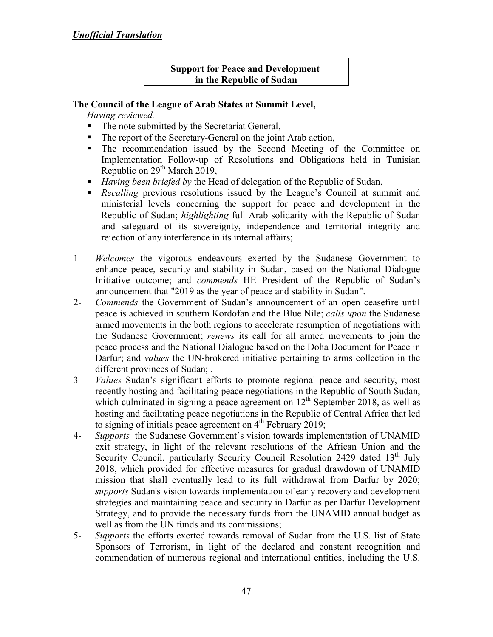### **Support for Peace and Development in the Republic of Sudan**

- *Having reviewed,*
	- The note submitted by the Secretariat General,
	- The report of the Secretary-General on the joint Arab action,
	- The recommendation issued by the Second Meeting of the Committee on Implementation Follow-up of Resolutions and Obligations held in Tunisian Republic on 29<sup>th</sup> March 2019,
	- *Having been briefed by* the Head of delegation of the Republic of Sudan,
	- **Recalling** previous resolutions issued by the League's Council at summit and ministerial levels concerning the support for peace and development in the Republic of Sudan; *highlighting* full Arab solidarity with the Republic of Sudan and safeguard of its sovereignty, independence and territorial integrity and rejection of any interference in its internal affairs;
- 1- *Welcomes* the vigorous endeavours exerted by the Sudanese Government to enhance peace, security and stability in Sudan, based on the National Dialogue Initiative outcome; and *commends* HE President of the Republic of Sudan's announcement that "2019 as the year of peace and stability in Sudan".
- 2- *Commends* the Government of Sudan's announcement of an open ceasefire until peace is achieved in southern Kordofan and the Blue Nile; *calls upon* the Sudanese armed movements in the both regions to accelerate resumption of negotiations with the Sudanese Government; *renews* its call for all armed movements to join the peace process and the National Dialogue based on the Doha Document for Peace in Darfur; and *values* the UN-brokered initiative pertaining to arms collection in the different provinces of Sudan; .
- 3- *Values* Sudan's significant efforts to promote regional peace and security, most recently hosting and facilitating peace negotiations in the Republic of South Sudan, which culminated in signing a peace agreement on  $12<sup>th</sup>$  September 2018, as well as hosting and facilitating peace negotiations in the Republic of Central Africa that led to signing of initials peace agreement on  $4<sup>th</sup>$  February 2019;
- 4- *Supports* the Sudanese Government's vision towards implementation of UNAMID exit strategy, in light of the relevant resolutions of the African Union and the Security Council, particularly Security Council Resolution 2429 dated  $13<sup>th</sup>$  July 2018, which provided for effective measures for gradual drawdown of UNAMID mission that shall eventually lead to its full withdrawal from Darfur by 2020; *supports* Sudan's vision towards implementation of early recovery and development strategies and maintaining peace and security in Darfur as per Darfur Development Strategy, and to provide the necessary funds from the UNAMID annual budget as well as from the UN funds and its commissions;
- 5- *Supports* the efforts exerted towards removal of Sudan from the U.S. list of State Sponsors of Terrorism, in light of the declared and constant recognition and commendation of numerous regional and international entities, including the U.S.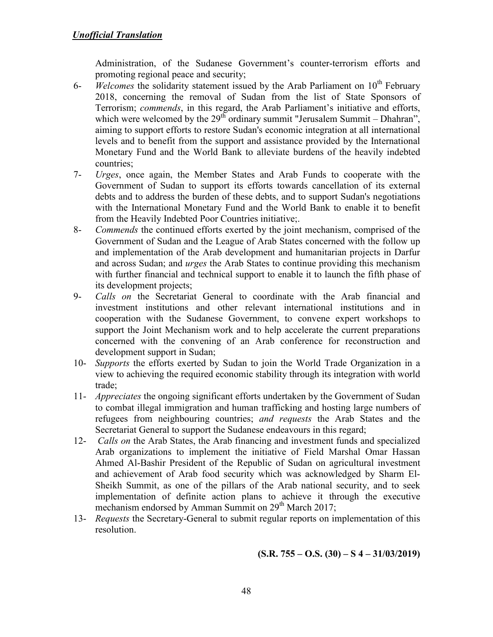Administration, of the Sudanese Government's counter-terrorism efforts and promoting regional peace and security;

- 6- *Welcomes* the solidarity statement issued by the Arab Parliament on 10<sup>th</sup> February 2018, concerning the removal of Sudan from the list of State Sponsors of Terrorism; *commends*, in this regard, the Arab Parliament's initiative and efforts, which were welcomed by the  $29<sup>th</sup>$  ordinary summit "Jerusalem Summit – Dhahran", aiming to support efforts to restore Sudan's economic integration at all international levels and to benefit from the support and assistance provided by the International Monetary Fund and the World Bank to alleviate burdens of the heavily indebted countries;
- 7- *Urges*, once again, the Member States and Arab Funds to cooperate with the Government of Sudan to support its efforts towards cancellation of its external debts and to address the burden of these debts, and to support Sudan's negotiations with the International Monetary Fund and the World Bank to enable it to benefit from the Heavily Indebted Poor Countries initiative;.
- 8- *Commends* the continued efforts exerted by the joint mechanism, comprised of the Government of Sudan and the League of Arab States concerned with the follow up and implementation of the Arab development and humanitarian projects in Darfur and across Sudan; and *urges* the Arab States to continue providing this mechanism with further financial and technical support to enable it to launch the fifth phase of its development projects;
- 9- *Calls on* the Secretariat General to coordinate with the Arab financial and investment institutions and other relevant international institutions and in cooperation with the Sudanese Government, to convene expert workshops to support the Joint Mechanism work and to help accelerate the current preparations concerned with the convening of an Arab conference for reconstruction and development support in Sudan;
- 10- *Supports* the efforts exerted by Sudan to join the World Trade Organization in a view to achieving the required economic stability through its integration with world trade;
- 11- *Appreciates* the ongoing significant efforts undertaken by the Government of Sudan to combat illegal immigration and human trafficking and hosting large numbers of refugees from neighbouring countries; *and requests* the Arab States and the Secretariat General to support the Sudanese endeavours in this regard;
- 12- *Calls on* the Arab States, the Arab financing and investment funds and specialized Arab organizations to implement the initiative of Field Marshal Omar Hassan Ahmed Al-Bashir President of the Republic of Sudan on agricultural investment and achievement of Arab food security which was acknowledged by Sharm El-Sheikh Summit, as one of the pillars of the Arab national security, and to seek implementation of definite action plans to achieve it through the executive mechanism endorsed by Amman Summit on 29<sup>th</sup> March 2017;
- 13- *Requests* the Secretary-General to submit regular reports on implementation of this resolution.

**(S.R. 755 – O.S. (30) – S 4 – 31/03/2019)**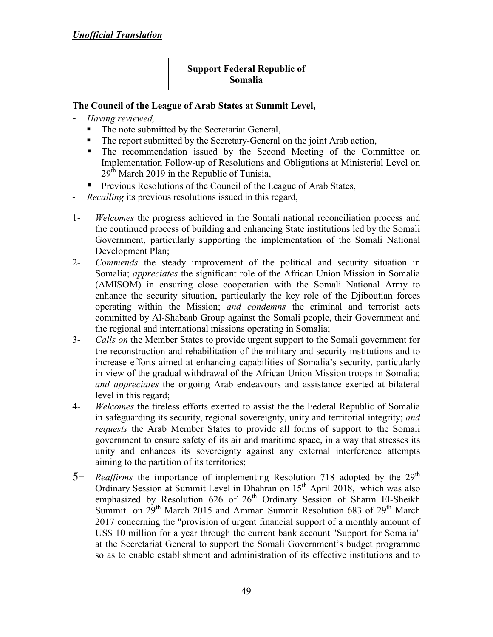# **Support Federal Republic of Somalia**

- *Having reviewed,*
	- The note submitted by the Secretariat General,
	- The report submitted by the Secretary-General on the joint Arab action,
	- The recommendation issued by the Second Meeting of the Committee on Implementation Follow-up of Resolutions and Obligations at Ministerial Level on  $29<sup>th</sup>$  March 2019 in the Republic of Tunisia,
	- **Previous Resolutions of the Council of the League of Arab States,**
- *Recalling* its previous resolutions issued in this regard,
- 1- *Welcomes* the progress achieved in the Somali national reconciliation process and the continued process of building and enhancing State institutions led by the Somali Government, particularly supporting the implementation of the Somali National Development Plan;
- 2- *Commends* the steady improvement of the political and security situation in Somalia; *appreciates* the significant role of the African Union Mission in Somalia (AMISOM) in ensuring close cooperation with the Somali National Army to enhance the security situation, particularly the key role of the Djiboutian forces operating within the Mission; *and condemns* the criminal and terrorist acts committed by Al-Shabaab Group against the Somali people, their Government and the regional and international missions operating in Somalia;
- 3- *Calls on* the Member States to provide urgent support to the Somali government for the reconstruction and rehabilitation of the military and security institutions and to increase efforts aimed at enhancing capabilities of Somalia's security, particularly in view of the gradual withdrawal of the African Union Mission troops in Somalia; *and appreciates* the ongoing Arab endeavours and assistance exerted at bilateral level in this regard;
- 4- *Welcomes* the tireless efforts exerted to assist the the Federal Republic of Somalia in safeguarding its security, regional sovereignty, unity and territorial integrity; *and requests* the Arab Member States to provide all forms of support to the Somali government to ensure safety of its air and maritime space, in a way that stresses its unity and enhances its sovereignty against any external interference attempts aiming to the partition of its territories;
- 5<sup>-</sup> *Reaffirms* the importance of implementing Resolution 718 adopted by the 29<sup>th</sup> Ordinary Session at Summit Level in Dhahran on 15<sup>th</sup> April 2018, which was also emphasized by Resolution 626 of  $26<sup>th</sup>$  Ordinary Session of Sharm El-Sheikh Summit on  $29<sup>th</sup>$  March 2015 and Amman Summit Resolution 683 of  $29<sup>th</sup>$  March 2017 concerning the "provision of urgent financial support of a monthly amount of US\$ 10 million for a year through the current bank account "Support for Somalia" at the Secretariat General to support the Somali Government's budget programme so as to enable establishment and administration of its effective institutions and to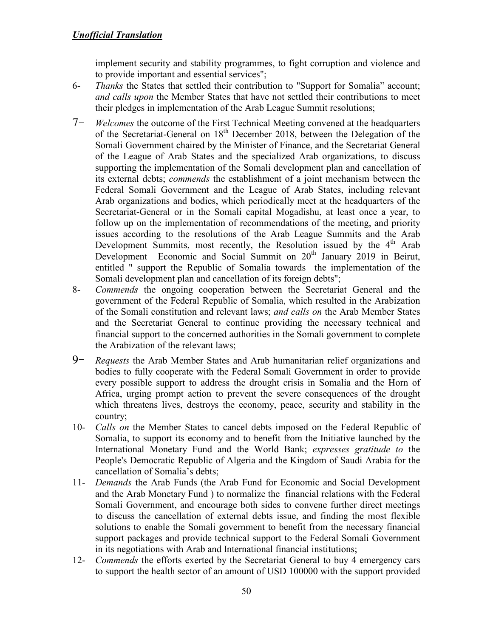implement security and stability programmes, to fight corruption and violence and to provide important and essential services";

- 6- *Thanks* the States that settled their contribution to "Support for Somalia" account; *and calls upon* the Member States that have not settled their contributions to meet their pledges in implementation of the Arab League Summit resolutions;
- 7- *Welcomes* the outcome of the First Technical Meeting convened at the headquarters of the Secretariat-General on 18th December 2018, between the Delegation of the Somali Government chaired by the Minister of Finance, and the Secretariat General of the League of Arab States and the specialized Arab organizations, to discuss supporting the implementation of the Somali development plan and cancellation of its external debts; *commends* the establishment of a joint mechanism between the Federal Somali Government and the League of Arab States, including relevant Arab organizations and bodies, which periodically meet at the headquarters of the Secretariat-General or in the Somali capital Mogadishu, at least once a year, to follow up on the implementation of recommendations of the meeting, and priority issues according to the resolutions of the Arab League Summits and the Arab Development Summits, most recently, the Resolution issued by the  $4<sup>th</sup>$  Arab Development Economic and Social Summit on 20<sup>th</sup> January 2019 in Beirut, entitled " support the Republic of Somalia towards the implementation of the Somali development plan and cancellation of its foreign debts";
- 8- *Commends* the ongoing cooperation between the Secretariat General and the government of the Federal Republic of Somalia, which resulted in the Arabization of the Somali constitution and relevant laws; *and calls on* the Arab Member States and the Secretariat General to continue providing the necessary technical and financial support to the concerned authorities in the Somali government to complete the Arabization of the relevant laws;
- 9- *Requests* the Arab Member States and Arab humanitarian relief organizations and bodies to fully cooperate with the Federal Somali Government in order to provide every possible support to address the drought crisis in Somalia and the Horn of Africa, urging prompt action to prevent the severe consequences of the drought which threatens lives, destroys the economy, peace, security and stability in the country;
- 10- *Calls on* the Member States to cancel debts imposed on the Federal Republic of Somalia, to support its economy and to benefit from the Initiative launched by the International Monetary Fund and the World Bank; *expresses gratitude to* the People's Democratic Republic of Algeria and the Kingdom of Saudi Arabia for the cancellation of Somalia's debts;
- 11- *Demands* the Arab Funds (the Arab Fund for Economic and Social Development and the Arab Monetary Fund ) to normalize the financial relations with the Federal Somali Government, and encourage both sides to convene further direct meetings to discuss the cancellation of external debts issue, and finding the most flexible solutions to enable the Somali government to benefit from the necessary financial support packages and provide technical support to the Federal Somali Government in its negotiations with Arab and International financial institutions;
- 12- *Commends* the efforts exerted by the Secretariat General to buy 4 emergency cars to support the health sector of an amount of USD 100000 with the support provided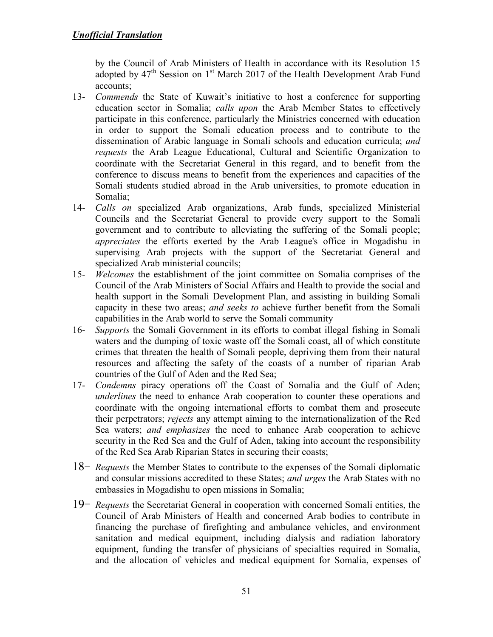by the Council of Arab Ministers of Health in accordance with its Resolution 15 adopted by  $47<sup>th</sup>$  Session on 1<sup>st</sup> March 2017 of the Health Development Arab Fund accounts;

- 13- *Commends* the State of Kuwait's initiative to host a conference for supporting education sector in Somalia; *calls upon* the Arab Member States to effectively participate in this conference, particularly the Ministries concerned with education in order to support the Somali education process and to contribute to the dissemination of Arabic language in Somali schools and education curricula; *and requests* the Arab League Educational, Cultural and Scientific Organization to coordinate with the Secretariat General in this regard, and to benefit from the conference to discuss means to benefit from the experiences and capacities of the Somali students studied abroad in the Arab universities, to promote education in Somalia;
- 14- *Calls on* specialized Arab organizations, Arab funds, specialized Ministerial Councils and the Secretariat General to provide every support to the Somali government and to contribute to alleviating the suffering of the Somali people; *appreciates* the efforts exerted by the Arab League's office in Mogadishu in supervising Arab projects with the support of the Secretariat General and specialized Arab ministerial councils;
- 15- *Welcomes* the establishment of the joint committee on Somalia comprises of the Council of the Arab Ministers of Social Affairs and Health to provide the social and health support in the Somali Development Plan, and assisting in building Somali capacity in these two areas; *and seeks to* achieve further benefit from the Somali capabilities in the Arab world to serve the Somali community
- 16- *Supports* the Somali Government in its efforts to combat illegal fishing in Somali waters and the dumping of toxic waste off the Somali coast, all of which constitute crimes that threaten the health of Somali people, depriving them from their natural resources and affecting the safety of the coasts of a number of riparian Arab countries of the Gulf of Aden and the Red Sea;
- 17- *Condemns* piracy operations off the Coast of Somalia and the Gulf of Aden; *underlines* the need to enhance Arab cooperation to counter these operations and coordinate with the ongoing international efforts to combat them and prosecute their perpetrators; *rejects* any attempt aiming to the internationalization of the Red Sea waters; *and emphasizes* the need to enhance Arab cooperation to achieve security in the Red Sea and the Gulf of Aden, taking into account the responsibility of the Red Sea Arab Riparian States in securing their coasts;
- 18- *Requests* the Member States to contribute to the expenses of the Somali diplomatic and consular missions accredited to these States; *and urges* the Arab States with no embassies in Mogadishu to open missions in Somalia;
- 19- *Requests* the Secretariat General in cooperation with concerned Somali entities, the Council of Arab Ministers of Health and concerned Arab bodies to contribute in financing the purchase of firefighting and ambulance vehicles, and environment sanitation and medical equipment, including dialysis and radiation laboratory equipment, funding the transfer of physicians of specialties required in Somalia, and the allocation of vehicles and medical equipment for Somalia, expenses of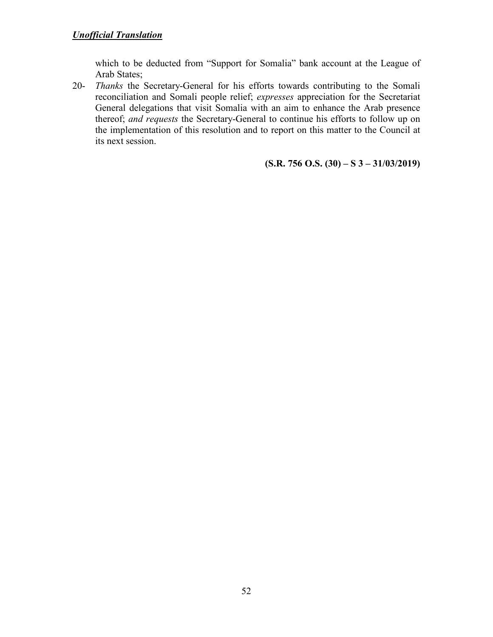which to be deducted from "Support for Somalia" bank account at the League of Arab States;

20- *Thanks* the Secretary-General for his efforts towards contributing to the Somali reconciliation and Somali people relief; *expresses* appreciation for the Secretariat General delegations that visit Somalia with an aim to enhance the Arab presence thereof; *and requests* the Secretary-General to continue his efforts to follow up on the implementation of this resolution and to report on this matter to the Council at its next session.

**(S.R. 756 O.S. (30) – S 3 – 31/03/2019)**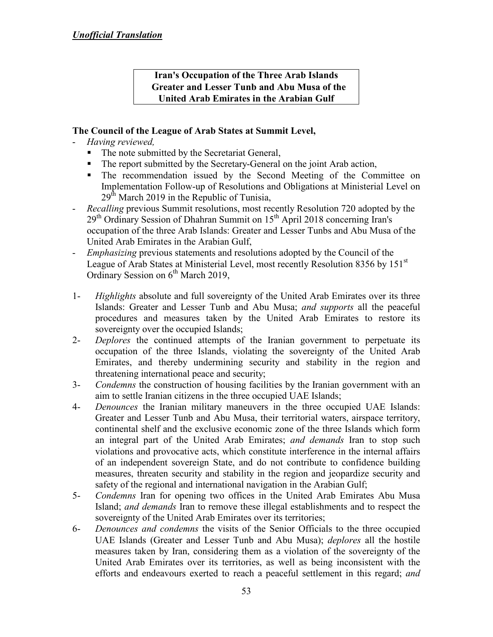### **Iran's Occupation of the Three Arab Islands Greater and Lesser Tunb and Abu Musa of the United Arab Emirates in the Arabian Gulf**

- *Having reviewed,*
	- The note submitted by the Secretariat General,
	- The report submitted by the Secretary-General on the joint Arab action,
	- The recommendation issued by the Second Meeting of the Committee on Implementation Follow-up of Resolutions and Obligations at Ministerial Level on  $29<sup>th</sup>$  March 2019 in the Republic of Tunisia,
- *Recalling* previous Summit resolutions, most recently Resolution 720 adopted by the  $29<sup>th</sup>$  Ordinary Session of Dhahran Summit on  $15<sup>th</sup>$  April 2018 concerning Iran's occupation of the three Arab Islands: Greater and Lesser Tunbs and Abu Musa of the United Arab Emirates in the Arabian Gulf,
- *Emphasizing* previous statements and resolutions adopted by the Council of the League of Arab States at Ministerial Level, most recently Resolution 8356 by 151<sup>st</sup> Ordinary Session on  $6<sup>th</sup>$  March 2019,
- 1- *Highlights* absolute and full sovereignty of the United Arab Emirates over its three Islands: Greater and Lesser Tunb and Abu Musa; *and supports* all the peaceful procedures and measures taken by the United Arab Emirates to restore its sovereignty over the occupied Islands;
- 2- *Deplores* the continued attempts of the Iranian government to perpetuate its occupation of the three Islands, violating the sovereignty of the United Arab Emirates, and thereby undermining security and stability in the region and threatening international peace and security;
- 3- *Condemns* the construction of housing facilities by the Iranian government with an aim to settle Iranian citizens in the three occupied UAE Islands;
- 4- *Denounces* the Iranian military maneuvers in the three occupied UAE Islands: Greater and Lesser Tunb and Abu Musa, their territorial waters, airspace territory, continental shelf and the exclusive economic zone of the three Islands which form an integral part of the United Arab Emirates; *and demands* Iran to stop such violations and provocative acts, which constitute interference in the internal affairs of an independent sovereign State, and do not contribute to confidence building measures, threaten security and stability in the region and jeopardize security and safety of the regional and international navigation in the Arabian Gulf;
- 5- *Condemns* Iran for opening two offices in the United Arab Emirates Abu Musa Island; *and demands* Iran to remove these illegal establishments and to respect the sovereignty of the United Arab Emirates over its territories;
- 6- *Denounces and condemns* the visits of the Senior Officials to the three occupied UAE Islands (Greater and Lesser Tunb and Abu Musa); *deplores* all the hostile measures taken by Iran, considering them as a violation of the sovereignty of the United Arab Emirates over its territories, as well as being inconsistent with the efforts and endeavours exerted to reach a peaceful settlement in this regard; *and*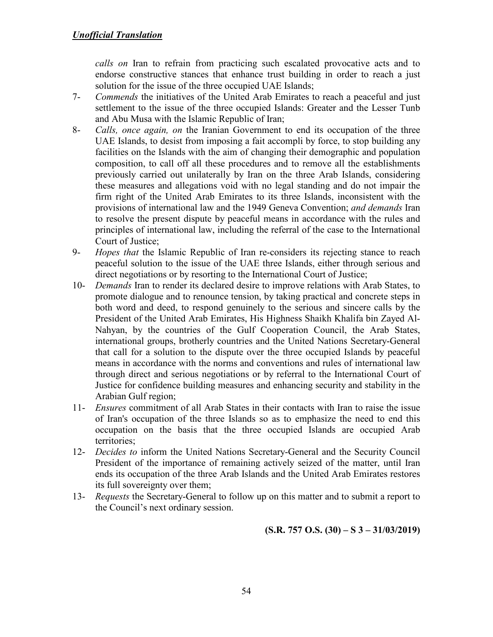*calls on* Iran to refrain from practicing such escalated provocative acts and to endorse constructive stances that enhance trust building in order to reach a just solution for the issue of the three occupied UAE Islands;

- 7- *Commends* the initiatives of the United Arab Emirates to reach a peaceful and just settlement to the issue of the three occupied Islands: Greater and the Lesser Tunb and Abu Musa with the Islamic Republic of Iran;
- 8- *Calls, once again, on* the Iranian Government to end its occupation of the three UAE Islands, to desist from imposing a fait accompli by force, to stop building any facilities on the Islands with the aim of changing their demographic and population composition, to call off all these procedures and to remove all the establishments previously carried out unilaterally by Iran on the three Arab Islands, considering these measures and allegations void with no legal standing and do not impair the firm right of the United Arab Emirates to its three Islands, inconsistent with the provisions of international law and the 1949 Geneva Convention; *and demands* Iran to resolve the present dispute by peaceful means in accordance with the rules and principles of international law, including the referral of the case to the International Court of Justice;
- 9- *Hopes that* the Islamic Republic of Iran re-considers its rejecting stance to reach peaceful solution to the issue of the UAE three Islands, either through serious and direct negotiations or by resorting to the International Court of Justice;
- 10- *Demands* Iran to render its declared desire to improve relations with Arab States, to promote dialogue and to renounce tension, by taking practical and concrete steps in both word and deed, to respond genuinely to the serious and sincere calls by the President of the United Arab Emirates, His Highness Shaikh Khalifa bin Zayed Al-Nahyan, by the countries of the Gulf Cooperation Council, the Arab States, international groups, brotherly countries and the United Nations Secretary-General that call for a solution to the dispute over the three occupied Islands by peaceful means in accordance with the norms and conventions and rules of international law through direct and serious negotiations or by referral to the International Court of Justice for confidence building measures and enhancing security and stability in the Arabian Gulf region;
- 11- *Ensures* commitment of all Arab States in their contacts with Iran to raise the issue of Iran's occupation of the three Islands so as to emphasize the need to end this occupation on the basis that the three occupied Islands are occupied Arab territories;
- 12- *Decides to* inform the United Nations Secretary-General and the Security Council President of the importance of remaining actively seized of the matter, until Iran ends its occupation of the three Arab Islands and the United Arab Emirates restores its full sovereignty over them;
- 13- *Requests* the Secretary-General to follow up on this matter and to submit a report to the Council's next ordinary session.

**(S.R. 757 O.S. (30) – S 3 – 31/03/2019)**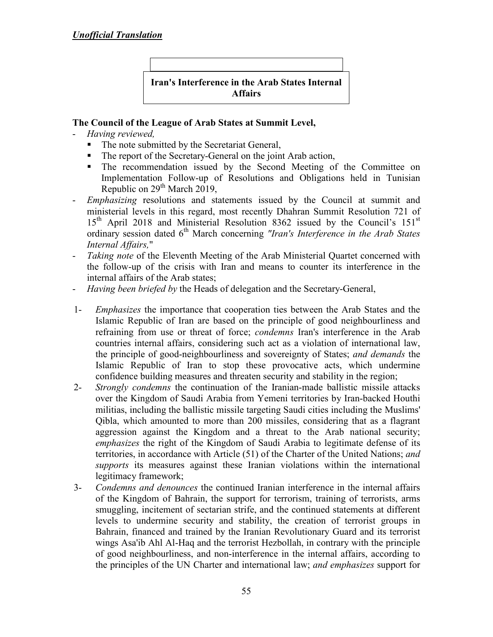

- *Having reviewed,*
	- The note submitted by the Secretariat General,
	- The report of the Secretary-General on the joint Arab action,
	- The recommendation issued by the Second Meeting of the Committee on Implementation Follow-up of Resolutions and Obligations held in Tunisian Republic on 29<sup>th</sup> March 2019,
- *Emphasizing* resolutions and statements issued by the Council at summit and ministerial levels in this regard, most recently Dhahran Summit Resolution 721 of  $15<sup>th</sup>$  April 2018 and Ministerial Resolution 8362 issued by the Council's  $151<sup>st</sup>$ ordinary session dated 6<sup>th</sup> March concerning *"Iran's Interference in the Arab States Internal Affairs,*"
- Taking note of the Eleventh Meeting of the Arab Ministerial Quartet concerned with the follow-up of the crisis with Iran and means to counter its interference in the internal affairs of the Arab states;
- *Having been briefed by* the Heads of delegation and the Secretary-General,
- 1- *Emphasizes* the importance that cooperation ties between the Arab States and the Islamic Republic of Iran are based on the principle of good neighbourliness and refraining from use or threat of force; *condemns* Iran's interference in the Arab countries internal affairs, considering such act as a violation of international law, the principle of good-neighbourliness and sovereignty of States; *and demands* the Islamic Republic of Iran to stop these provocative acts, which undermine confidence building measures and threaten security and stability in the region;
- 2- *Strongly condemns* the continuation of the Iranian-made ballistic missile attacks over the Kingdom of Saudi Arabia from Yemeni territories by Iran-backed Houthi militias, including the ballistic missile targeting Saudi cities including the Muslims' Qibla, which amounted to more than 200 missiles, considering that as a flagrant aggression against the Kingdom and a threat to the Arab national security; *emphasizes* the right of the Kingdom of Saudi Arabia to legitimate defense of its territories, in accordance with Article (51) of the Charter of the United Nations; *and supports* its measures against these Iranian violations within the international legitimacy framework;
- 3- *Condemns and denounces* the continued Iranian interference in the internal affairs of the Kingdom of Bahrain, the support for terrorism, training of terrorists, arms smuggling, incitement of sectarian strife, and the continued statements at different levels to undermine security and stability, the creation of terrorist groups in Bahrain, financed and trained by the Iranian Revolutionary Guard and its terrorist wings Asa'ib Ahl Al-Haq and the terrorist Hezbollah, in contrary with the principle of good neighbourliness, and non-interference in the internal affairs, according to the principles of the UN Charter and international law; *and emphasizes* support for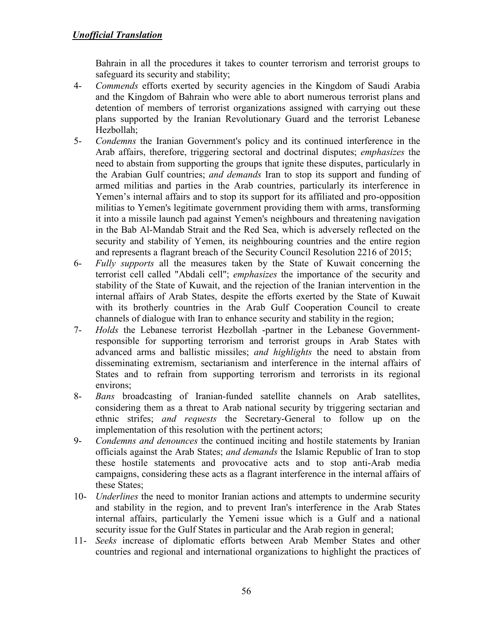Bahrain in all the procedures it takes to counter terrorism and terrorist groups to safeguard its security and stability;

- 4- *Commends* efforts exerted by security agencies in the Kingdom of Saudi Arabia and the Kingdom of Bahrain who were able to abort numerous terrorist plans and detention of members of terrorist organizations assigned with carrying out these plans supported by the Iranian Revolutionary Guard and the terrorist Lebanese Hezbollah;
- 5- *Condemns* the Iranian Government's policy and its continued interference in the Arab affairs, therefore, triggering sectoral and doctrinal disputes; *emphasizes* the need to abstain from supporting the groups that ignite these disputes, particularly in the Arabian Gulf countries; *and demands* Iran to stop its support and funding of armed militias and parties in the Arab countries, particularly its interference in Yemen's internal affairs and to stop its support for its affiliated and pro-opposition militias to Yemen's legitimate government providing them with arms, transforming it into a missile launch pad against Yemen's neighbours and threatening navigation in the Bab Al-Mandab Strait and the Red Sea, which is adversely reflected on the security and stability of Yemen, its neighbouring countries and the entire region and represents a flagrant breach of the Security Council Resolution 2216 of 2015;
- 6- *Fully supports* all the measures taken by the State of Kuwait concerning the terrorist cell called "Abdali cell"; *emphasizes* the importance of the security and stability of the State of Kuwait, and the rejection of the Iranian intervention in the internal affairs of Arab States, despite the efforts exerted by the State of Kuwait with its brotherly countries in the Arab Gulf Cooperation Council to create channels of dialogue with Iran to enhance security and stability in the region;
- 7- *Holds* the Lebanese terrorist Hezbollah -partner in the Lebanese Governmentresponsible for supporting terrorism and terrorist groups in Arab States with advanced arms and ballistic missiles; *and highlights* the need to abstain from disseminating extremism, sectarianism and interference in the internal affairs of States and to refrain from supporting terrorism and terrorists in its regional environs;
- 8- *Bans* broadcasting of Iranian-funded satellite channels on Arab satellites, considering them as a threat to Arab national security by triggering sectarian and ethnic strifes; *and requests* the Secretary-General to follow up on the implementation of this resolution with the pertinent actors;
- 9- *Condemns and denounces* the continued inciting and hostile statements by Iranian officials against the Arab States; *and demands* the Islamic Republic of Iran to stop these hostile statements and provocative acts and to stop anti-Arab media campaigns, considering these acts as a flagrant interference in the internal affairs of these States;
- 10- *Underlines* the need to monitor Iranian actions and attempts to undermine security and stability in the region, and to prevent Iran's interference in the Arab States internal affairs, particularly the Yemeni issue which is a Gulf and a national security issue for the Gulf States in particular and the Arab region in general;
- 11- *Seeks* increase of diplomatic efforts between Arab Member States and other countries and regional and international organizations to highlight the practices of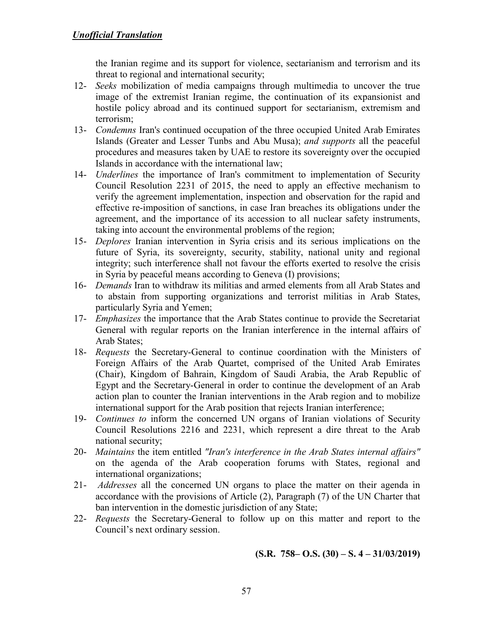the Iranian regime and its support for violence, sectarianism and terrorism and its threat to regional and international security;

- 12- *Seeks* mobilization of media campaigns through multimedia to uncover the true image of the extremist Iranian regime, the continuation of its expansionist and hostile policy abroad and its continued support for sectarianism, extremism and terrorism;
- 13- *Condemns* Iran's continued occupation of the three occupied United Arab Emirates Islands (Greater and Lesser Tunbs and Abu Musa); *and supports* all the peaceful procedures and measures taken by UAE to restore its sovereignty over the occupied Islands in accordance with the international law;
- 14- *Underlines* the importance of Iran's commitment to implementation of Security Council Resolution 2231 of 2015, the need to apply an effective mechanism to verify the agreement implementation, inspection and observation for the rapid and effective re-imposition of sanctions, in case Iran breaches its obligations under the agreement, and the importance of its accession to all nuclear safety instruments, taking into account the environmental problems of the region;
- 15- *Deplores* Iranian intervention in Syria crisis and its serious implications on the future of Syria, its sovereignty, security, stability, national unity and regional integrity; such interference shall not favour the efforts exerted to resolve the crisis in Syria by peaceful means according to Geneva (I) provisions;
- 16- *Demands* Iran to withdraw its militias and armed elements from all Arab States and to abstain from supporting organizations and terrorist militias in Arab States, particularly Syria and Yemen;
- 17- *Emphasizes* the importance that the Arab States continue to provide the Secretariat General with regular reports on the Iranian interference in the internal affairs of Arab States;
- 18- *Requests* the Secretary-General to continue coordination with the Ministers of Foreign Affairs of the Arab Quartet, comprised of the United Arab Emirates (Chair), Kingdom of Bahrain, Kingdom of Saudi Arabia, the Arab Republic of Egypt and the Secretary-General in order to continue the development of an Arab action plan to counter the Iranian interventions in the Arab region and to mobilize international support for the Arab position that rejects Iranian interference;
- 19- *Continues to* inform the concerned UN organs of Iranian violations of Security Council Resolutions 2216 and 2231, which represent a dire threat to the Arab national security;
- 20- *Maintains* the item entitled *"Iran's interference in the Arab States internal affairs"* on the agenda of the Arab cooperation forums with States, regional and international organizations;
- 21- *Addresses* all the concerned UN organs to place the matter on their agenda in accordance with the provisions of Article (2), Paragraph (7) of the UN Charter that ban intervention in the domestic jurisdiction of any State;
- 22- *Requests* the Secretary-General to follow up on this matter and report to the Council's next ordinary session.

**(S.R. 758 – O.S.**  $(30)$  **– S. 4 – 31/03/2019)**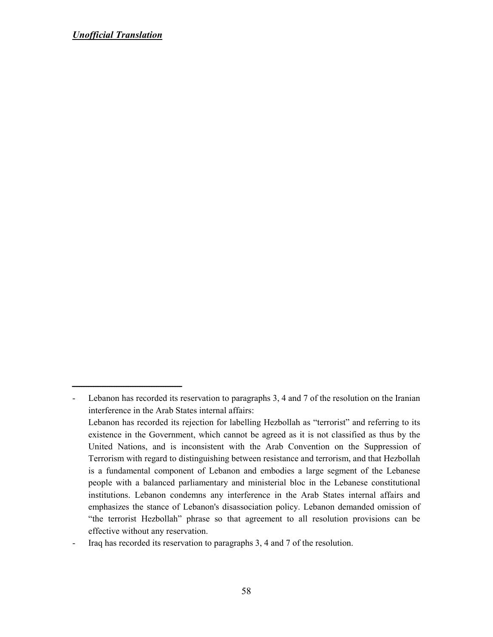ـــــــــــــــــــــــــــــــــــــــــــــــ

Lebanon has recorded its reservation to paragraphs 3, 4 and 7 of the resolution on the Iranian interference in the Arab States internal affairs: Lebanon has recorded its rejection for labelling Hezbollah as "terrorist" and referring to its existence in the Government, which cannot be agreed as it is not classified as thus by the United Nations, and is inconsistent with the Arab Convention on the Suppression of Terrorism with regard to distinguishing between resistance and terrorism, and that Hezbollah is a fundamental component of Lebanon and embodies a large segment of the Lebanese people with a balanced parliamentary and ministerial bloc in the Lebanese constitutional institutions. Lebanon condemns any interference in the Arab States internal affairs and emphasizes the stance of Lebanon's disassociation policy. Lebanon demanded omission of "the terrorist Hezbollah" phrase so that agreement to all resolution provisions can be effective without any reservation.

<sup>-</sup> Iraq has recorded its reservation to paragraphs 3, 4 and 7 of the resolution.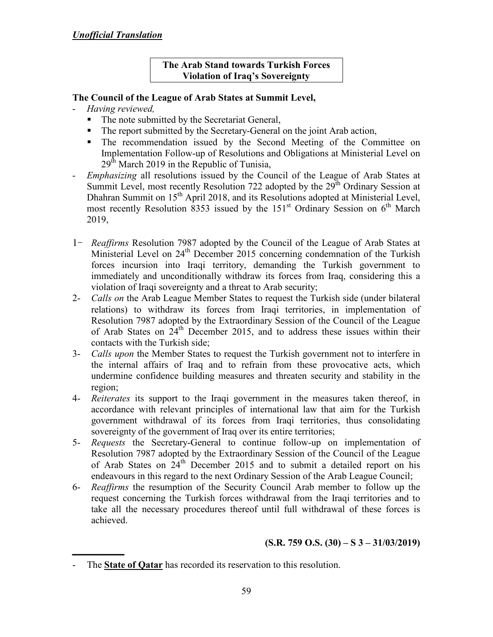### **The Arab Stand towards Turkish Forces Violation of Iraq's Sovereignty**

### **The Council of the League of Arab States at Summit Level,**

- *Having reviewed,*
	- The note submitted by the Secretariat General,
	- The report submitted by the Secretary-General on the joint Arab action,
	- The recommendation issued by the Second Meeting of the Committee on Implementation Follow-up of Resolutions and Obligations at Ministerial Level on  $29<sup>th</sup>$  March 2019 in the Republic of Tunisia,
- *Emphasizing* all resolutions issued by the Council of the League of Arab States at Summit Level, most recently Resolution 722 adopted by the  $29<sup>th</sup>$  Ordinary Session at Dhahran Summit on 15<sup>th</sup> April 2018, and its Resolutions adopted at Ministerial Level, most recently Resolution 8353 issued by the  $151<sup>st</sup>$  Ordinary Session on  $6<sup>th</sup>$  March 2019,
- 1- *Reaffirms* Resolution 7987 adopted by the Council of the League of Arab States at Ministerial Level on 24<sup>th</sup> December 2015 concerning condemnation of the Turkish forces incursion into Iraqi territory, demanding the Turkish government to immediately and unconditionally withdraw its forces from Iraq, considering this a violation of Iraqi sovereignty and a threat to Arab security;
- 2- *Calls on* the Arab League Member States to request the Turkish side (under bilateral relations) to withdraw its forces from Iraqi territories, in implementation of Resolution 7987 adopted by the Extraordinary Session of the Council of the League of Arab States on  $24<sup>th</sup>$  December 2015, and to address these issues within their contacts with the Turkish side;
- 3- *Calls upon* the Member States to request the Turkish government not to interfere in the internal affairs of Iraq and to refrain from these provocative acts, which undermine confidence building measures and threaten security and stability in the region;
- 4- *Reiterates* its support to the Iraqi government in the measures taken thereof, in accordance with relevant principles of international law that aim for the Turkish government withdrawal of its forces from Iraqi territories, thus consolidating sovereignty of the government of Iraq over its entire territories;
- 5- *Requests* the Secretary-General to continue follow-up on implementation of Resolution 7987 adopted by the Extraordinary Session of the Council of the League of Arab States on 24<sup>th</sup> December 2015 and to submit a detailed report on his endeavours in this regard to the next Ordinary Session of the Arab League Council;
- 6- *Reaffirms* the resumption of the Security Council Arab member to follow up the request concerning the Turkish forces withdrawal from the Iraqi territories and to take all the necessary procedures thereof until full withdrawal of these forces is achieved.

# **(S.R. 759 O.S. (30) – S 3 – 31/03/2019)**

**ـــــــــــــــــــــــــــ** - The **State of Qatar** has recorded its reservation to this resolution.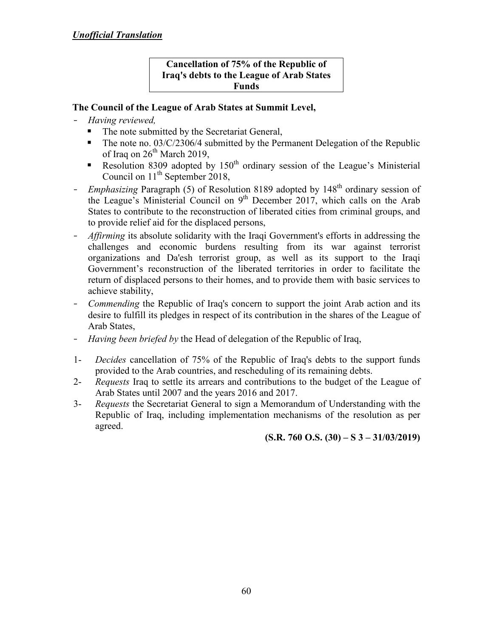#### **Cancellation of 75% of the Republic of Iraq's debts to the League of Arab States Funds**

# **The Council of the League of Arab States at Summit Level,**

- *Having reviewed,*
	- The note submitted by the Secretariat General,
	- The note no.  $03/C/2306/4$  submitted by the Permanent Delegation of the Republic of Iraq on  $26<sup>th</sup>$  March 2019,
	- Resolution 8309 adopted by  $150<sup>th</sup>$  ordinary session of the League's Ministerial Council on  $11<sup>th</sup>$  September 2018,
- *Emphasizing* Paragraph (5) of Resolution 8189 adopted by 148<sup>th</sup> ordinary session of the League's Ministerial Council on  $9<sup>th</sup>$  December 2017, which calls on the Arab States to contribute to the reconstruction of liberated cities from criminal groups, and to provide relief aid for the displaced persons,
- *Affirming* its absolute solidarity with the Iraqi Government's efforts in addressing the challenges and economic burdens resulting from its war against terrorist organizations and Da'esh terrorist group, as well as its support to the Iraqi Government's reconstruction of the liberated territories in order to facilitate the return of displaced persons to their homes, and to provide them with basic services to achieve stability,
- *Commending* the Republic of Iraq's concern to support the joint Arab action and its desire to fulfill its pledges in respect of its contribution in the shares of the League of Arab States,
- *Having been briefed by* the Head of delegation of the Republic of Iraq,
- 1- *Decides* cancellation of 75% of the Republic of Iraq's debts to the support funds provided to the Arab countries, and rescheduling of its remaining debts.
- 2- *Requests* Iraq to settle its arrears and contributions to the budget of the League of Arab States until 2007 and the years 2016 and 2017.
- 3- *Requests* the Secretariat General to sign a Memorandum of Understanding with the Republic of Iraq, including implementation mechanisms of the resolution as per agreed.

**(S.R. 760 O.S. (30) – S 3 – 31/03/2019)**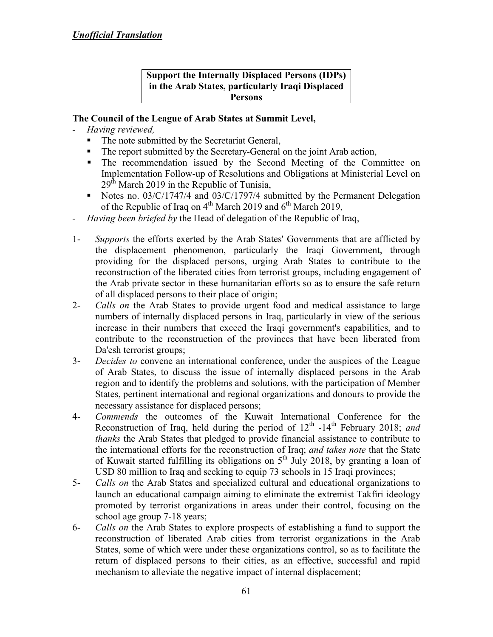#### **Support the Internally Displaced Persons (IDPs) in the Arab States, particularly Iraqi Displaced Persons**

- *Having reviewed,*
	- The note submitted by the Secretariat General,
	- The report submitted by the Secretary-General on the joint Arab action,
	- The recommendation issued by the Second Meeting of the Committee on Implementation Follow-up of Resolutions and Obligations at Ministerial Level on  $29<sup>th</sup>$  March 2019 in the Republic of Tunisia,
	- Notes no. 03/C/1747/4 and 03/C/1797/4 submitted by the Permanent Delegation of the Republic of Iraq on  $4<sup>th</sup>$  March 2019 and  $6<sup>th</sup>$  March 2019,
- *Having been briefed by* the Head of delegation of the Republic of Iraq,
- 1- *Supports* the efforts exerted by the Arab States' Governments that are afflicted by the displacement phenomenon, particularly the Iraqi Government, through providing for the displaced persons, urging Arab States to contribute to the reconstruction of the liberated cities from terrorist groups, including engagement of the Arab private sector in these humanitarian efforts so as to ensure the safe return of all displaced persons to their place of origin;
- 2- *Calls on* the Arab States to provide urgent food and medical assistance to large numbers of internally displaced persons in Iraq, particularly in view of the serious increase in their numbers that exceed the Iraqi government's capabilities, and to contribute to the reconstruction of the provinces that have been liberated from Da'esh terrorist groups;
- 3- *Decides to* convene an international conference, under the auspices of the League of Arab States, to discuss the issue of internally displaced persons in the Arab region and to identify the problems and solutions, with the participation of Member States, pertinent international and regional organizations and donours to provide the necessary assistance for displaced persons;
- 4- *Commends* the outcomes of the Kuwait International Conference for the Reconstruction of Iraq, held during the period of 12<sup>th</sup> -14<sup>th</sup> February 2018; and *thanks* the Arab States that pledged to provide financial assistance to contribute to the international efforts for the reconstruction of Iraq; *and takes note* that the State of Kuwait started fulfilling its obligations on  $5<sup>th</sup>$  July 2018, by granting a loan of USD 80 million to Iraq and seeking to equip 73 schools in 15 Iraqi provinces;
- 5- *Calls on* the Arab States and specialized cultural and educational organizations to launch an educational campaign aiming to eliminate the extremist Takfiri ideology promoted by terrorist organizations in areas under their control, focusing on the school age group 7-18 years;
- 6- *Calls on* the Arab States to explore prospects of establishing a fund to support the reconstruction of liberated Arab cities from terrorist organizations in the Arab States, some of which were under these organizations control, so as to facilitate the return of displaced persons to their cities, as an effective, successful and rapid mechanism to alleviate the negative impact of internal displacement;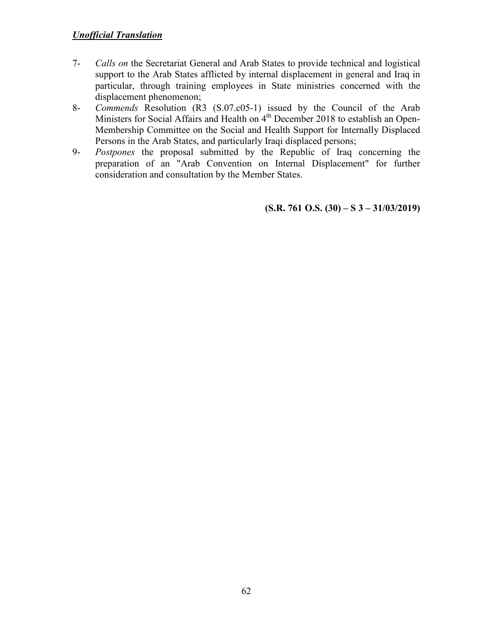- 7- *Calls on* the Secretariat General and Arab States to provide technical and logistical support to the Arab States afflicted by internal displacement in general and Iraq in particular, through training employees in State ministries concerned with the displacement phenomenon;
- 8- *Commends* Resolution (R3 (S.07.c05-1) issued by the Council of the Arab Ministers for Social Affairs and Health on 4<sup>th</sup> December 2018 to establish an Open-Membership Committee on the Social and Health Support for Internally Displaced Persons in the Arab States, and particularly Iraqi displaced persons;
- 9- *Postpones* the proposal submitted by the Republic of Iraq concerning the preparation of an "Arab Convention on Internal Displacement" for further consideration and consultation by the Member States.

**(S.R. 761 O.S. (30) – S 3 – 31/03/2019)**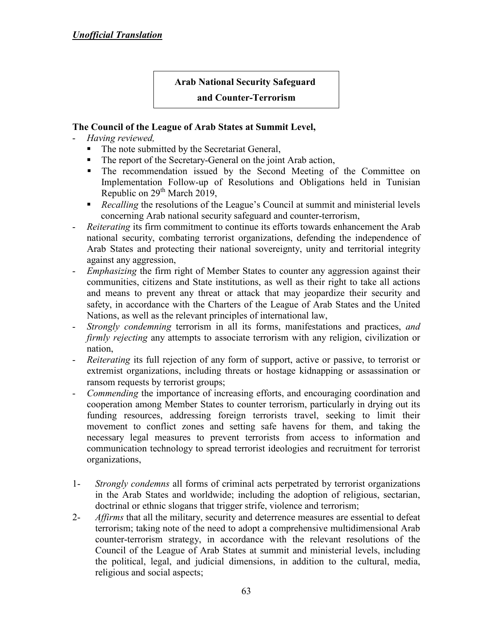# **Arab National Security Safeguard**

### **and Counter-Terrorism**

- *Having reviewed,*
	- The note submitted by the Secretariat General,
	- The report of the Secretary-General on the joint Arab action,
	- The recommendation issued by the Second Meeting of the Committee on Implementation Follow-up of Resolutions and Obligations held in Tunisian Republic on  $29<sup>th</sup>$  March 2019,
	- **Recalling the resolutions of the League's Council at summit and ministerial levels** concerning Arab national security safeguard and counter-terrorism,
- *Reiterating* its firm commitment to continue its efforts towards enhancement the Arab national security, combating terrorist organizations, defending the independence of Arab States and protecting their national sovereignty, unity and territorial integrity against any aggression,
- *Emphasizing* the firm right of Member States to counter any aggression against their communities, citizens and State institutions, as well as their right to take all actions and means to prevent any threat or attack that may jeopardize their security and safety, in accordance with the Charters of the League of Arab States and the United Nations, as well as the relevant principles of international law,
- *Strongly condemning* terrorism in all its forms, manifestations and practices, *and firmly rejecting* any attempts to associate terrorism with any religion, civilization or nation,
- *Reiterating* its full rejection of any form of support, active or passive, to terrorist or extremist organizations, including threats or hostage kidnapping or assassination or ransom requests by terrorist groups;
- *Commending* the importance of increasing efforts, and encouraging coordination and cooperation among Member States to counter terrorism, particularly in drying out its funding resources, addressing foreign terrorists travel, seeking to limit their movement to conflict zones and setting safe havens for them, and taking the necessary legal measures to prevent terrorists from access to information and communication technology to spread terrorist ideologies and recruitment for terrorist organizations,
- 1- *Strongly condemns* all forms of criminal acts perpetrated by terrorist organizations in the Arab States and worldwide; including the adoption of religious, sectarian, doctrinal or ethnic slogans that trigger strife, violence and terrorism;
- 2- *Affirms* that all the military, security and deterrence measures are essential to defeat terrorism; taking note of the need to adopt a comprehensive multidimensional Arab counter-terrorism strategy, in accordance with the relevant resolutions of the Council of the League of Arab States at summit and ministerial levels, including the political, legal, and judicial dimensions, in addition to the cultural, media, religious and social aspects;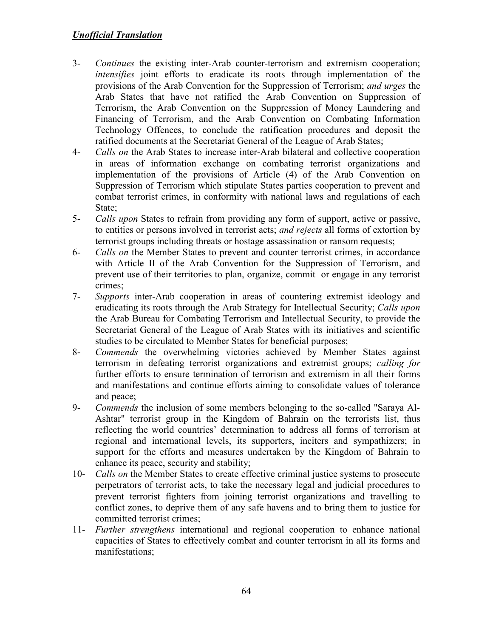- 3- *Continues* the existing inter-Arab counter-terrorism and extremism cooperation; *intensifies* joint efforts to eradicate its roots through implementation of the provisions of the Arab Convention for the Suppression of Terrorism; *and urges* the Arab States that have not ratified the Arab Convention on Suppression of Terrorism, the Arab Convention on the Suppression of Money Laundering and Financing of Terrorism, and the Arab Convention on Combating Information Technology Offences, to conclude the ratification procedures and deposit the ratified documents at the Secretariat General of the League of Arab States;
- 4- *Calls on* the Arab States to increase inter-Arab bilateral and collective cooperation in areas of information exchange on combating terrorist organizations and implementation of the provisions of Article (4) of the Arab Convention on Suppression of Terrorism which stipulate States parties cooperation to prevent and combat terrorist crimes, in conformity with national laws and regulations of each State;
- 5- *Calls upon* States to refrain from providing any form of support, active or passive, to entities or persons involved in terrorist acts; *and rejects* all forms of extortion by terrorist groups including threats or hostage assassination or ransom requests;
- 6- *Calls on* the Member States to prevent and counter terrorist crimes, in accordance with Article II of the Arab Convention for the Suppression of Terrorism, and prevent use of their territories to plan, organize, commit or engage in any terrorist crimes;
- 7- *Supports* inter-Arab cooperation in areas of countering extremist ideology and eradicating its roots through the Arab Strategy for Intellectual Security; *Calls upon* the Arab Bureau for Combating Terrorism and Intellectual Security, to provide the Secretariat General of the League of Arab States with its initiatives and scientific studies to be circulated to Member States for beneficial purposes;
- 8- *Commends* the overwhelming victories achieved by Member States against terrorism in defeating terrorist organizations and extremist groups; *calling for*  further efforts to ensure termination of terrorism and extremism in all their forms and manifestations and continue efforts aiming to consolidate values of tolerance and peace;
- 9- *Commends* the inclusion of some members belonging to the so-called "Saraya Al-Ashtar" terrorist group in the Kingdom of Bahrain on the terrorists list, thus reflecting the world countries' determination to address all forms of terrorism at regional and international levels, its supporters, inciters and sympathizers; in support for the efforts and measures undertaken by the Kingdom of Bahrain to enhance its peace, security and stability;
- 10- *Calls on* the Member States to create effective criminal justice systems to prosecute perpetrators of terrorist acts, to take the necessary legal and judicial procedures to prevent terrorist fighters from joining terrorist organizations and travelling to conflict zones, to deprive them of any safe havens and to bring them to justice for committed terrorist crimes;
- 11- *Further strengthens* international and regional cooperation to enhance national capacities of States to effectively combat and counter terrorism in all its forms and manifestations;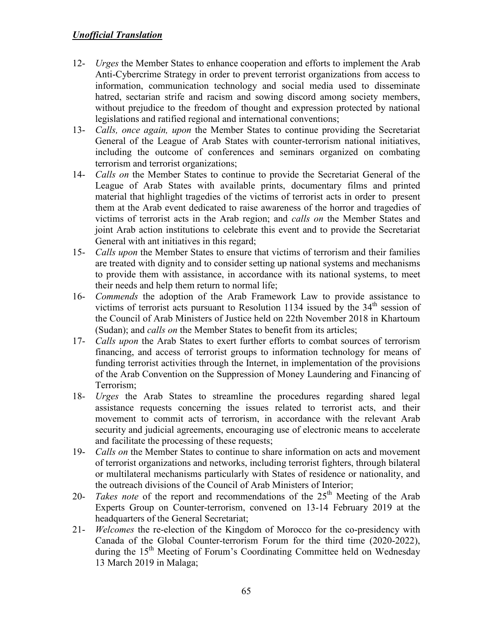- 12- *Urges* the Member States to enhance cooperation and efforts to implement the Arab Anti-Cybercrime Strategy in order to prevent terrorist organizations from access to information, communication technology and social media used to disseminate hatred, sectarian strife and racism and sowing discord among society members, without prejudice to the freedom of thought and expression protected by national legislations and ratified regional and international conventions;
- 13- *Calls, once again, upon* the Member States to continue providing the Secretariat General of the League of Arab States with counter-terrorism national initiatives, including the outcome of conferences and seminars organized on combating terrorism and terrorist organizations;
- 14- *Calls on* the Member States to continue to provide the Secretariat General of the League of Arab States with available prints, documentary films and printed material that highlight tragedies of the victims of terrorist acts in order to present them at the Arab event dedicated to raise awareness of the horror and tragedies of victims of terrorist acts in the Arab region; and *calls on* the Member States and joint Arab action institutions to celebrate this event and to provide the Secretariat General with ant initiatives in this regard;
- 15- *Calls upon* the Member States to ensure that victims of terrorism and their families are treated with dignity and to consider setting up national systems and mechanisms to provide them with assistance, in accordance with its national systems, to meet their needs and help them return to normal life;
- 16- *Commends* the adoption of the Arab Framework Law to provide assistance to victims of terrorist acts pursuant to Resolution 1134 issued by the 34<sup>th</sup> session of the Council of Arab Ministers of Justice held on 22th November 2018 in Khartoum (Sudan); and *calls on* the Member States to benefit from its articles;
- 17- *Calls upon* the Arab States to exert further efforts to combat sources of terrorism financing, and access of terrorist groups to information technology for means of funding terrorist activities through the Internet, in implementation of the provisions of the Arab Convention on the Suppression of Money Laundering and Financing of Terrorism;
- 18- *Urges* the Arab States to streamline the procedures regarding shared legal assistance requests concerning the issues related to terrorist acts, and their movement to commit acts of terrorism, in accordance with the relevant Arab security and judicial agreements, encouraging use of electronic means to accelerate and facilitate the processing of these requests;
- 19- *Calls on* the Member States to continue to share information on acts and movement of terrorist organizations and networks, including terrorist fighters, through bilateral or multilateral mechanisms particularly with States of residence or nationality, and the outreach divisions of the Council of Arab Ministers of Interior;
- 20- *Takes note* of the report and recommendations of the 25<sup>th</sup> Meeting of the Arab Experts Group on Counter-terrorism, convened on 13-14 February 2019 at the headquarters of the General Secretariat;
- 21- *Welcomes* the re-election of the Kingdom of Morocco for the co-presidency with Canada of the Global Counter-terrorism Forum for the third time (2020-2022), during the 15<sup>th</sup> Meeting of Forum's Coordinating Committee held on Wednesday 13 March 2019 in Malaga;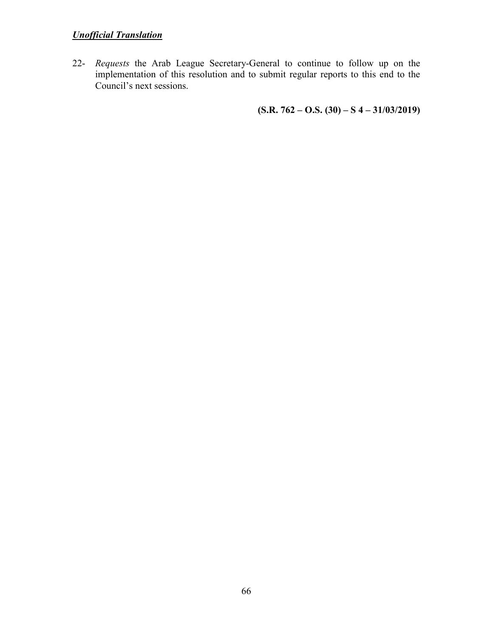22- *Requests* the Arab League Secretary-General to continue to follow up on the implementation of this resolution and to submit regular reports to this end to the Council's next sessions.

 **(S.R. 762 – O.S. (30) – S 4 – 31/03/2019)**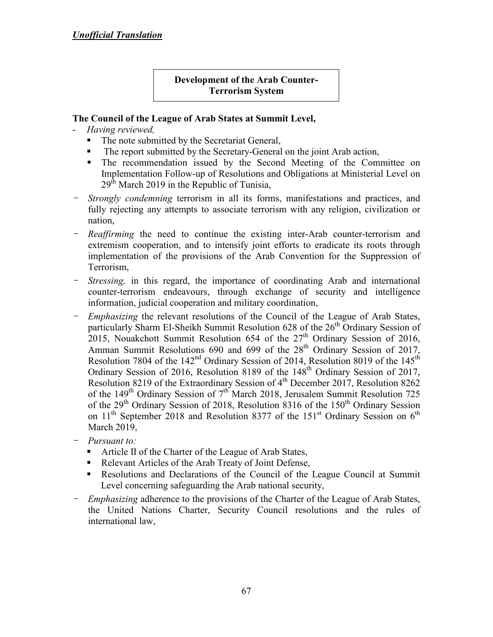### **Development of the Arab Counter- Terrorism System**

- *Having reviewed,*
	- The note submitted by the Secretariat General,
	- The report submitted by the Secretary-General on the joint Arab action,
	- The recommendation issued by the Second Meeting of the Committee on Implementation Follow-up of Resolutions and Obligations at Ministerial Level on  $29<sup>th</sup>$  March 2019 in the Republic of Tunisia,
- *Strongly condemning* terrorism in all its forms, manifestations and practices, and fully rejecting any attempts to associate terrorism with any religion, civilization or nation,
- *Reaffirming* the need to continue the existing inter-Arab counter-terrorism and extremism cooperation, and to intensify joint efforts to eradicate its roots through implementation of the provisions of the Arab Convention for the Suppression of Terrorism,
- *Stressing,* in this regard, the importance of coordinating Arab and international counter-terrorism endeavours, through exchange of security and intelligence information, judicial cooperation and military coordination,
- *Emphasizing* the relevant resolutions of the Council of the League of Arab States, particularly Sharm El-Sheikh Summit Resolution 628 of the 26<sup>th</sup> Ordinary Session of 2015, Nouakchott Summit Resolution 654 of the  $27<sup>th</sup>$  Ordinary Session of 2016, Amman Summit Resolutions 690 and 699 of the 28<sup>th</sup> Ordinary Session of 2017, Resolution 7804 of the 142<sup>nd</sup> Ordinary Session of 2014, Resolution 8019 of the 145<sup>th</sup> Ordinary Session of 2016, Resolution 8189 of the 148<sup>th</sup> Ordinary Session of 2017, Resolution 8219 of the Extraordinary Session of 4<sup>th</sup> December 2017, Resolution 8262 of the 149<sup>th</sup> Ordinary Session of  $7<sup>th</sup>$  March 2018, Jerusalem Summit Resolution 725 of the  $29<sup>th</sup>$  Ordinary Session of 2018, Resolution 8316 of the 150<sup>th</sup> Ordinary Session on  $11<sup>th</sup>$  September 2018 and Resolution 8377 of the 151<sup>st</sup> Ordinary Session on  $6<sup>th</sup>$ March 2019,
- *Pursuant to:* 
	- Article II of the Charter of the League of Arab States,
	- Relevant Articles of the Arab Treaty of Joint Defense,
	- Resolutions and Declarations of the Council of the League Council at Summit Level concerning safeguarding the Arab national security,
- *Emphasizing* adherence to the provisions of the Charter of the League of Arab States, the United Nations Charter, Security Council resolutions and the rules of international law,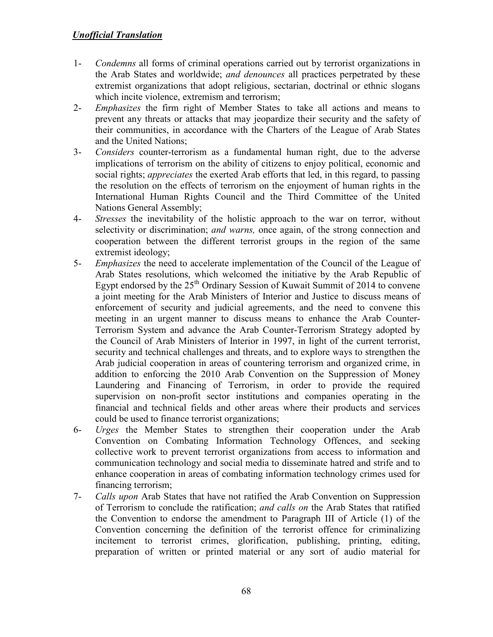- 1- *Condemns* all forms of criminal operations carried out by terrorist organizations in the Arab States and worldwide; *and denounces* all practices perpetrated by these extremist organizations that adopt religious, sectarian, doctrinal or ethnic slogans which incite violence, extremism and terrorism;
- 2- *Emphasizes* the firm right of Member States to take all actions and means to prevent any threats or attacks that may jeopardize their security and the safety of their communities, in accordance with the Charters of the League of Arab States and the United Nations;
- 3- *Considers* counter-terrorism as a fundamental human right, due to the adverse implications of terrorism on the ability of citizens to enjoy political, economic and social rights; *appreciates* the exerted Arab efforts that led, in this regard, to passing the resolution on the effects of terrorism on the enjoyment of human rights in the International Human Rights Council and the Third Committee of the United Nations General Assembly;
- 4- *Stresses* the inevitability of the holistic approach to the war on terror, without selectivity or discrimination; *and warns,* once again, of the strong connection and cooperation between the different terrorist groups in the region of the same extremist ideology;
- 5- *Emphasizes* the need to accelerate implementation of the Council of the League of Arab States resolutions, which welcomed the initiative by the Arab Republic of Egypt endorsed by the  $25<sup>th</sup>$  Ordinary Session of Kuwait Summit of 2014 to convene a joint meeting for the Arab Ministers of Interior and Justice to discuss means of enforcement of security and judicial agreements, and the need to convene this meeting in an urgent manner to discuss means to enhance the Arab Counter-Terrorism System and advance the Arab Counter-Terrorism Strategy adopted by the Council of Arab Ministers of Interior in 1997, in light of the current terrorist, security and technical challenges and threats, and to explore ways to strengthen the Arab judicial cooperation in areas of countering terrorism and organized crime, in addition to enforcing the 2010 Arab Convention on the Suppression of Money Laundering and Financing of Terrorism, in order to provide the required supervision on non-profit sector institutions and companies operating in the financial and technical fields and other areas where their products and services could be used to finance terrorist organizations;
- 6- *Urges* the Member States to strengthen their cooperation under the Arab Convention on Combating Information Technology Offences, and seeking collective work to prevent terrorist organizations from access to information and communication technology and social media to disseminate hatred and strife and to enhance cooperation in areas of combating information technology crimes used for financing terrorism;
- 7- *Calls upon* Arab States that have not ratified the Arab Convention on Suppression of Terrorism to conclude the ratification; *and calls on* the Arab States that ratified the Convention to endorse the amendment to Paragraph III of Article (1) of the Convention concerning the definition of the terrorist offence for criminalizing incitement to terrorist crimes, glorification, publishing, printing, editing, preparation of written or printed material or any sort of audio material for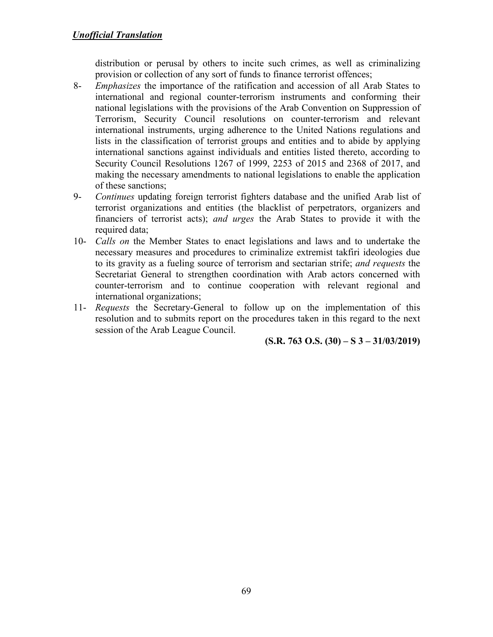distribution or perusal by others to incite such crimes, as well as criminalizing provision or collection of any sort of funds to finance terrorist offences;

- 8- *Emphasizes* the importance of the ratification and accession of all Arab States to international and regional counter-terrorism instruments and conforming their national legislations with the provisions of the Arab Convention on Suppression of Terrorism, Security Council resolutions on counter-terrorism and relevant international instruments, urging adherence to the United Nations regulations and lists in the classification of terrorist groups and entities and to abide by applying international sanctions against individuals and entities listed thereto, according to Security Council Resolutions 1267 of 1999, 2253 of 2015 and 2368 of 2017, and making the necessary amendments to national legislations to enable the application of these sanctions;
- 9- *Continues* updating foreign terrorist fighters database and the unified Arab list of terrorist organizations and entities (the blacklist of perpetrators, organizers and financiers of terrorist acts); *and urges* the Arab States to provide it with the required data;
- 10- *Calls on* the Member States to enact legislations and laws and to undertake the necessary measures and procedures to criminalize extremist takfiri ideologies due to its gravity as a fueling source of terrorism and sectarian strife; *and requests* the Secretariat General to strengthen coordination with Arab actors concerned with counter-terrorism and to continue cooperation with relevant regional and international organizations;
- 11- *Requests* the Secretary-General to follow up on the implementation of this resolution and to submits report on the procedures taken in this regard to the next session of the Arab League Council.

**(S.R. 763 O.S. (30) – S 3 – 31/03/2019)**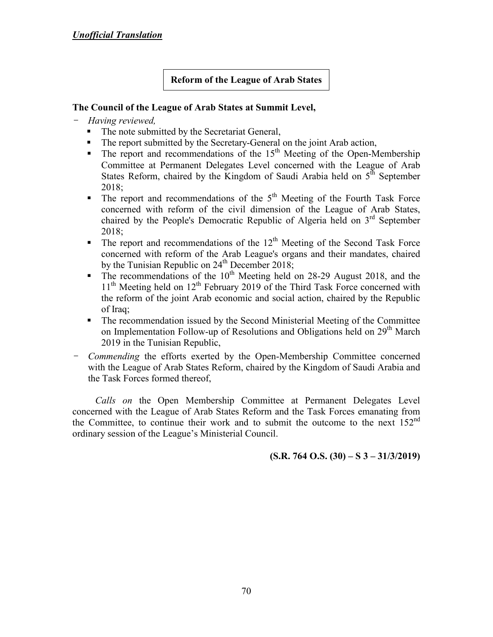### **Reform of the League of Arab States**

### **The Council of the League of Arab States at Summit Level,**

#### - *Having reviewed,*

- The note submitted by the Secretariat General,
- The report submitted by the Secretary-General on the joint Arab action,
- $\blacksquare$  The report and recommendations of the 15<sup>th</sup> Meeting of the Open-Membership Committee at Permanent Delegates Level concerned with the League of Arab States Reform, chaired by the Kingdom of Saudi Arabia held on  $5<sup>th</sup>$  September 2018;
- $\blacksquare$  The report and recommendations of the  $5<sup>th</sup>$  Meeting of the Fourth Task Force concerned with reform of the civil dimension of the League of Arab States, chaired by the People's Democratic Republic of Algeria held on 3<sup>rd</sup> September 2018;
- $\blacksquare$  The report and recommendations of the 12<sup>th</sup> Meeting of the Second Task Force concerned with reform of the Arab League's organs and their mandates, chaired by the Tunisian Republic on  $24<sup>th</sup>$  December 2018;
- $\blacksquare$  The recommendations of the 10<sup>th</sup> Meeting held on 28-29 August 2018, and the 11<sup>th</sup> Meeting held on 12<sup>th</sup> February 2019 of the Third Task Force concerned with the reform of the joint Arab economic and social action, chaired by the Republic of Iraq;
- The recommendation issued by the Second Ministerial Meeting of the Committee on Implementation Follow-up of Resolutions and Obligations held on  $29<sup>th</sup>$  March 2019 in the Tunisian Republic,
- *Commending* the efforts exerted by the Open-Membership Committee concerned with the League of Arab States Reform, chaired by the Kingdom of Saudi Arabia and the Task Forces formed thereof,

*Calls on* the Open Membership Committee at Permanent Delegates Level concerned with the League of Arab States Reform and the Task Forces emanating from the Committee, to continue their work and to submit the outcome to the next  $152<sup>nd</sup>$ ordinary session of the League's Ministerial Council.

### **(S.R. 764 O.S. (30) – S 3 – 31/3/2019)**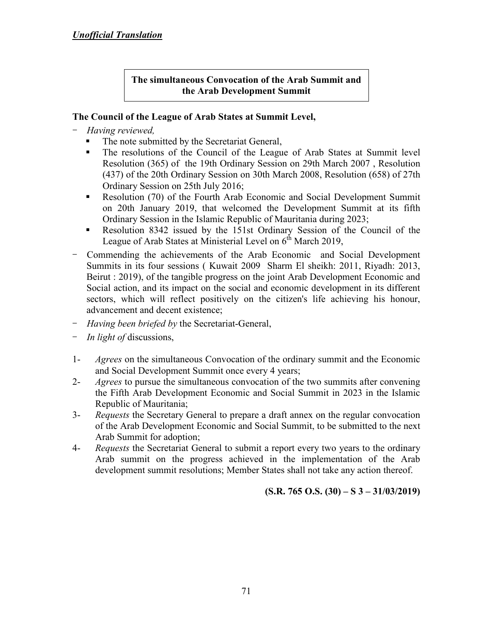### **The simultaneous Convocation of the Arab Summit and the Arab Development Summit**

# **The Council of the League of Arab States at Summit Level,**

- *Having reviewed,*
	- The note submitted by the Secretariat General,
	- The resolutions of the Council of the League of Arab States at Summit level Resolution (365) of the 19th Ordinary Session on 29th March 2007 , Resolution (437) of the 20th Ordinary Session on 30th March 2008, Resolution (658) of 27th Ordinary Session on 25th July 2016;
	- Resolution (70) of the Fourth Arab Economic and Social Development Summit on 20th January 2019, that welcomed the Development Summit at its fifth Ordinary Session in the Islamic Republic of Mauritania during 2023;
	- Resolution 8342 issued by the 151st Ordinary Session of the Council of the League of Arab States at Ministerial Level on  $6<sup>th</sup>$  March 2019.
- Commending the achievements of the Arab Economic and Social Development Summits in its four sessions ( Kuwait 2009 Sharm El sheikh: 2011, Riyadh: 2013, Beirut : 2019), of the tangible progress on the joint Arab Development Economic and Social action, and its impact on the social and economic development in its different sectors, which will reflect positively on the citizen's life achieving his honour, advancement and decent existence;
- *Having been briefed by* the Secretariat-General,
- *In light of* discussions,
- 1- *Agrees* on the simultaneous Convocation of the ordinary summit and the Economic and Social Development Summit once every 4 years;
- 2- *Agrees* to pursue the simultaneous convocation of the two summits after convening the Fifth Arab Development Economic and Social Summit in 2023 in the Islamic Republic of Mauritania;
- 3- *Requests* the Secretary General to prepare a draft annex on the regular convocation of the Arab Development Economic and Social Summit, to be submitted to the next Arab Summit for adoption;
- 4- *Requests* the Secretariat General to submit a report every two years to the ordinary Arab summit on the progress achieved in the implementation of the Arab development summit resolutions; Member States shall not take any action thereof.

### **(S.R. 765 O.S. (30) – S 3 – 31/03/2019)**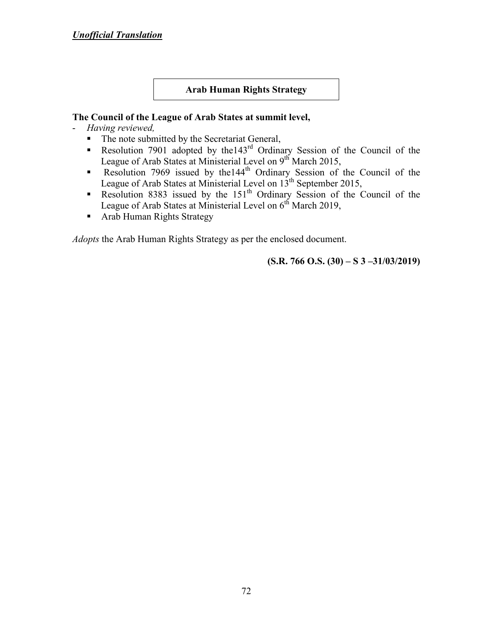#### **Arab Human Rights Strategy**

#### **The Council of the League of Arab States at summit level,**

- *Having reviewed,*
	- The note submitted by the Secretariat General,
	- Resolution 7901 adopted by the 143<sup>rd</sup> Ordinary Session of the Council of the League of Arab States at Ministerial Level on 9<sup>th</sup> March 2015,
	- Resolution 7969 issued by the 144<sup>th</sup> Ordinary Session of the Council of the League of Arab States at Ministerial Level on 13<sup>th</sup> September 2015,
	- Resolution 8383 issued by the 151<sup>th</sup> Ordinary Session of the Council of the League of Arab States at Ministerial Level on 6<sup>th</sup> March 2019,
	- **Arab Human Rights Strategy**

*Adopts* the Arab Human Rights Strategy as per the enclosed document.

 **(S.R. 766 O.S. (30) – S 3 –31/03/2019)**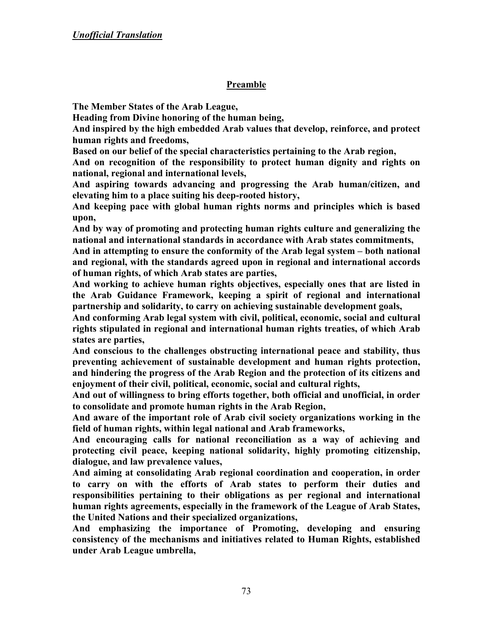### **Preamble**

**The Member States of the Arab League,** 

**Heading from Divine honoring of the human being,** 

**And inspired by the high embedded Arab values that develop, reinforce, and protect human rights and freedoms,** 

**Based on our belief of the special characteristics pertaining to the Arab region,** 

**And on recognition of the responsibility to protect human dignity and rights on national, regional and international levels,** 

**And aspiring towards advancing and progressing the Arab human/citizen, and elevating him to a place suiting his deep-rooted history,** 

**And keeping pace with global human rights norms and principles which is based upon,** 

**And by way of promoting and protecting human rights culture and generalizing the national and international standards in accordance with Arab states commitments,** 

**And in attempting to ensure the conformity of the Arab legal system – both national and regional, with the standards agreed upon in regional and international accords of human rights, of which Arab states are parties,** 

**And working to achieve human rights objectives, especially ones that are listed in the Arab Guidance Framework, keeping a spirit of regional and international partnership and solidarity, to carry on achieving sustainable development goals,** 

**And conforming Arab legal system with civil, political, economic, social and cultural rights stipulated in regional and international human rights treaties, of which Arab states are parties,** 

**And conscious to the challenges obstructing international peace and stability, thus preventing achievement of sustainable development and human rights protection, and hindering the progress of the Arab Region and the protection of its citizens and enjoyment of their civil, political, economic, social and cultural rights,** 

**And out of willingness to bring efforts together, both official and unofficial, in order to consolidate and promote human rights in the Arab Region,** 

**And aware of the important role of Arab civil society organizations working in the field of human rights, within legal national and Arab frameworks,** 

**And encouraging calls for national reconciliation as a way of achieving and protecting civil peace, keeping national solidarity, highly promoting citizenship, dialogue, and law prevalence values,** 

**And aiming at consolidating Arab regional coordination and cooperation, in order to carry on with the efforts of Arab states to perform their duties and responsibilities pertaining to their obligations as per regional and international human rights agreements, especially in the framework of the League of Arab States, the United Nations and their specialized organizations,** 

**And emphasizing the importance of Promoting, developing and ensuring consistency of the mechanisms and initiatives related to Human Rights, established under Arab League umbrella,**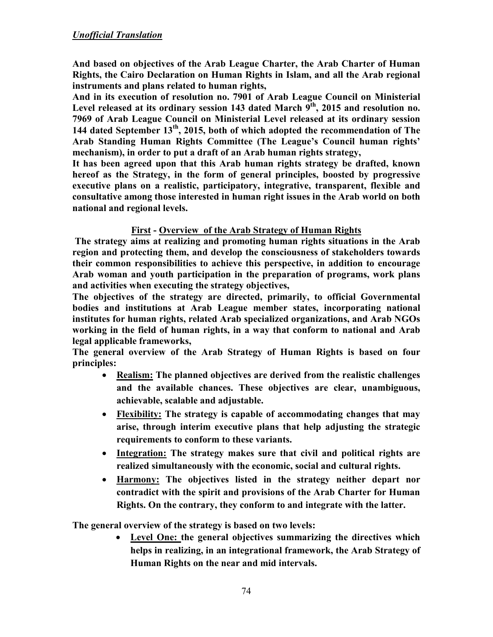**And based on objectives of the Arab League Charter, the Arab Charter of Human Rights, the Cairo Declaration on Human Rights in Islam, and all the Arab regional instruments and plans related to human rights,** 

**And in its execution of resolution no. 7901 of Arab League Council on Ministerial Level released at its ordinary session 143 dated March 9th, 2015 and resolution no. 7969 of Arab League Council on Ministerial Level released at its ordinary session 144 dated September 13th, 2015, both of which adopted the recommendation of The Arab Standing Human Rights Committee (The League's Council human rights' mechanism), in order to put a draft of an Arab human rights strategy,** 

**It has been agreed upon that this Arab human rights strategy be drafted, known hereof as the Strategy, in the form of general principles, boosted by progressive executive plans on a realistic, participatory, integrative, transparent, flexible and consultative among those interested in human right issues in the Arab world on both national and regional levels.** 

### **First - Overview of the Arab Strategy of Human Rights**

 **The strategy aims at realizing and promoting human rights situations in the Arab region and protecting them, and develop the consciousness of stakeholders towards their common responsibilities to achieve this perspective, in addition to encourage Arab woman and youth participation in the preparation of programs, work plans and activities when executing the strategy objectives,** 

**The objectives of the strategy are directed, primarily, to official Governmental bodies and institutions at Arab League member states, incorporating national institutes for human rights, related Arab specialized organizations, and Arab NGOs working in the field of human rights, in a way that conform to national and Arab legal applicable frameworks,** 

**The general overview of the Arab Strategy of Human Rights is based on four principles:** 

- **Realism: The planned objectives are derived from the realistic challenges and the available chances. These objectives are clear, unambiguous, achievable, scalable and adjustable.**
- **Flexibility: The strategy is capable of accommodating changes that may arise, through interim executive plans that help adjusting the strategic requirements to conform to these variants.**
- **Integration: The strategy makes sure that civil and political rights are realized simultaneously with the economic, social and cultural rights.**
- **Harmony: The objectives listed in the strategy neither depart nor contradict with the spirit and provisions of the Arab Charter for Human Rights. On the contrary, they conform to and integrate with the latter.**

**The general overview of the strategy is based on two levels:** 

• **Level One: the general objectives summarizing the directives which helps in realizing, in an integrational framework, the Arab Strategy of Human Rights on the near and mid intervals.**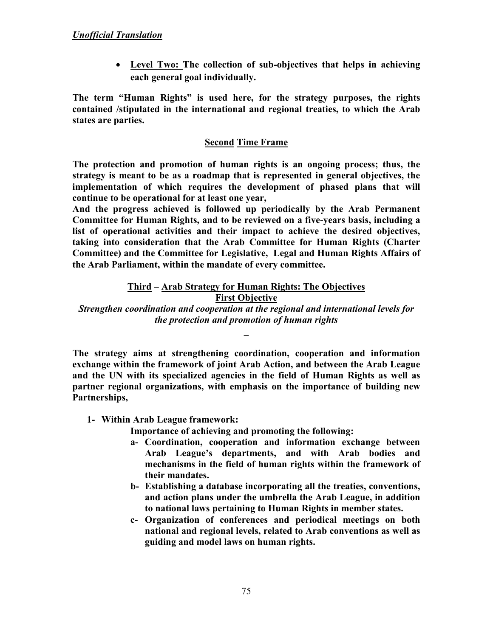• **Level Two: The collection of sub-objectives that helps in achieving each general goal individually.** 

**The term "Human Rights" is used here, for the strategy purposes, the rights contained /stipulated in the international and regional treaties, to which the Arab states are parties.** 

### **Second Time Frame**

**The protection and promotion of human rights is an ongoing process; thus, the strategy is meant to be as a roadmap that is represented in general objectives, the implementation of which requires the development of phased plans that will continue to be operational for at least one year,** 

**And the progress achieved is followed up periodically by the Arab Permanent Committee for Human Rights, and to be reviewed on a five-years basis, including a list of operational activities and their impact to achieve the desired objectives, taking into consideration that the Arab Committee for Human Rights (Charter Committee) and the Committee for Legislative, Legal and Human Rights Affairs of the Arab Parliament, within the mandate of every committee.** 

#### **Third – Arab Strategy for Human Rights: The Objectives First Objective**

*Strengthen coordination and cooperation at the regional and international levels for the protection and promotion of human rights* 

**\_** 

**The strategy aims at strengthening coordination, cooperation and information exchange within the framework of joint Arab Action, and between the Arab League and the UN with its specialized agencies in the field of Human Rights as well as partner regional organizations, with emphasis on the importance of building new Partnerships,** 

**1- Within Arab League framework:** 

**Importance of achieving and promoting the following:** 

- **a- Coordination, cooperation and information exchange between Arab League's departments, and with Arab bodies and mechanisms in the field of human rights within the framework of their mandates.**
- **b- Establishing a database incorporating all the treaties, conventions, and action plans under the umbrella the Arab League, in addition to national laws pertaining to Human Rights in member states.**
- **c- Organization of conferences and periodical meetings on both national and regional levels, related to Arab conventions as well as guiding and model laws on human rights.**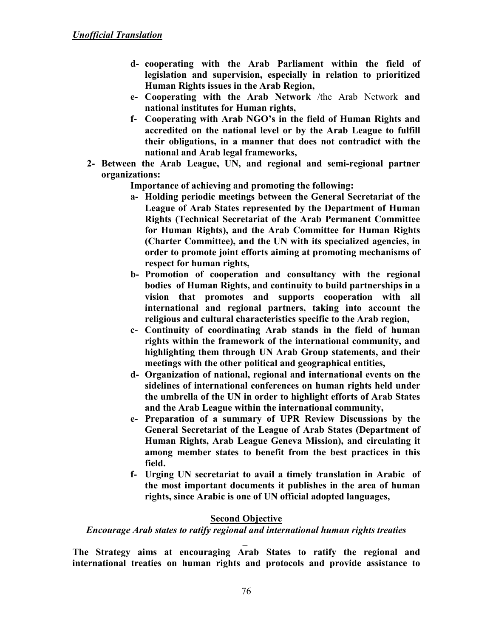- **d- cooperating with the Arab Parliament within the field of legislation and supervision, especially in relation to prioritized Human Rights issues in the Arab Region,**
- **e- Cooperating with the Arab Network** /the Arab Network **and national institutes for Human rights,**
- **f- Cooperating with Arab NGO's in the field of Human Rights and accredited on the national level or by the Arab League to fulfill their obligations, in a manner that does not contradict with the national and Arab legal frameworks,**
- **2- Between the Arab League, UN, and regional and semi-regional partner organizations:**

**Importance of achieving and promoting the following:** 

- **a- Holding periodic meetings between the General Secretariat of the League of Arab States represented by the Department of Human Rights (Technical Secretariat of the Arab Permanent Committee for Human Rights), and the Arab Committee for Human Rights (Charter Committee), and the UN with its specialized agencies, in order to promote joint efforts aiming at promoting mechanisms of respect for human rights,**
- **b- Promotion of cooperation and consultancy with the regional bodies of Human Rights, and continuity to build partnerships in a vision that promotes and supports cooperation with all international and regional partners, taking into account the religious and cultural characteristics specific to the Arab region,**
- **c- Continuity of coordinating Arab stands in the field of human rights within the framework of the international community, and highlighting them through UN Arab Group statements, and their meetings with the other political and geographical entities,**
- **d- Organization of national, regional and international events on the sidelines of international conferences on human rights held under the umbrella of the UN in order to highlight efforts of Arab States and the Arab League within the international community,**
- **e- Preparation of a summary of UPR Review Discussions by the General Secretariat of the League of Arab States (Department of Human Rights, Arab League Geneva Mission), and circulating it among member states to benefit from the best practices in this field.**
- **f- Urging UN secretariat to avail a timely translation in Arabic of the most important documents it publishes in the area of human rights, since Arabic is one of UN official adopted languages,**

### **Second Objective**

*Encourage Arab states to ratify regional and international human rights treaties* 

**\_ The Strategy aims at encouraging Arab States to ratify the regional and international treaties on human rights and protocols and provide assistance to**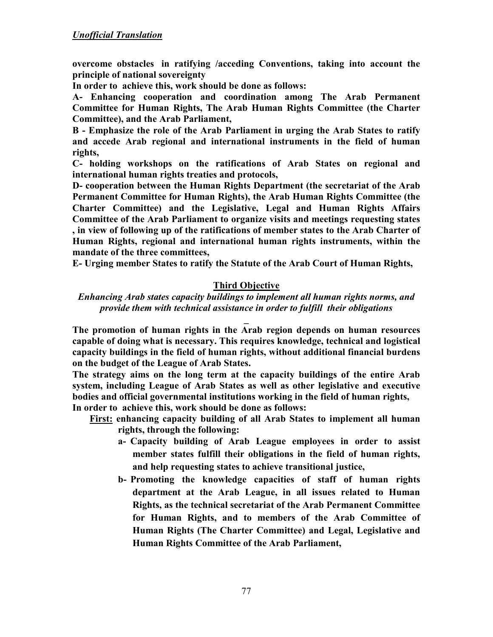**overcome obstacles in ratifying /acceding Conventions, taking into account the principle of national sovereignty** 

**In order to achieve this, work should be done as follows:** 

**A- Enhancing cooperation and coordination among The Arab Permanent Committee for Human Rights, The Arab Human Rights Committee (the Charter Committee), and the Arab Parliament,** 

**B - Emphasize the role of the Arab Parliament in urging the Arab States to ratify and accede Arab regional and international instruments in the field of human rights,** 

**C- holding workshops on the ratifications of Arab States on regional and international human rights treaties and protocols,** 

**D- cooperation between the Human Rights Department (the secretariat of the Arab Permanent Committee for Human Rights), the Arab Human Rights Committee (the Charter Committee) and the Legislative, Legal and Human Rights Affairs Committee of the Arab Parliament to organize visits and meetings requesting states , in view of following up of the ratifications of member states to the Arab Charter of Human Rights, regional and international human rights instruments, within the mandate of the three committees,** 

**E- Urging member States to ratify the Statute of the Arab Court of Human Rights,** 

# **Third Objective**

# *Enhancing Arab states capacity buildings to implement all human rights norms, and provide them with technical assistance in order to fulfill their obligations*

**\_ The promotion of human rights in the Arab region depends on human resources capable of doing what is necessary. This requires knowledge, technical and logistical capacity buildings in the field of human rights, without additional financial burdens on the budget of the League of Arab States.** 

**The strategy aims on the long term at the capacity buildings of the entire Arab system, including League of Arab States as well as other legislative and executive bodies and official governmental institutions working in the field of human rights, In order to achieve this, work should be done as follows:** 

- **First: enhancing capacity building of all Arab States to implement all human rights, through the following:** 
	- **a- Capacity building of Arab League employees in order to assist member states fulfill their obligations in the field of human rights, and help requesting states to achieve transitional justice,**
	- **b- Promoting the knowledge capacities of staff of human rights department at the Arab League, in all issues related to Human Rights, as the technical secretariat of the Arab Permanent Committee for Human Rights, and to members of the Arab Committee of Human Rights (The Charter Committee) and Legal, Legislative and Human Rights Committee of the Arab Parliament,**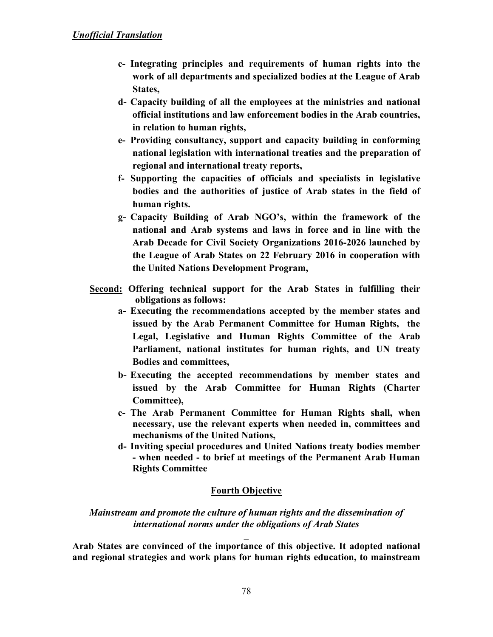- **c- Integrating principles and requirements of human rights into the work of all departments and specialized bodies at the League of Arab States,**
- **d- Capacity building of all the employees at the ministries and national official institutions and law enforcement bodies in the Arab countries, in relation to human rights,**
- **e- Providing consultancy, support and capacity building in conforming national legislation with international treaties and the preparation of regional and international treaty reports,**
- **f- Supporting the capacities of officials and specialists in legislative bodies and the authorities of justice of Arab states in the field of human rights.**
- **g- Capacity Building of Arab NGO's, within the framework of the national and Arab systems and laws in force and in line with the Arab Decade for Civil Society Organizations 2016-2026 launched by the League of Arab States on 22 February 2016 in cooperation with the United Nations Development Program,**
- **Second: Offering technical support for the Arab States in fulfilling their obligations as follows:** 
	- **a- Executing the recommendations accepted by the member states and issued by the Arab Permanent Committee for Human Rights, the Legal, Legislative and Human Rights Committee of the Arab Parliament, national institutes for human rights, and UN treaty Bodies and committees,**
	- **b- Executing the accepted recommendations by member states and issued by the Arab Committee for Human Rights (Charter Committee),**
	- **c- The Arab Permanent Committee for Human Rights shall, when necessary, use the relevant experts when needed in, committees and mechanisms of the United Nations,**
	- **d- Inviting special procedures and United Nations treaty bodies member - when needed - to brief at meetings of the Permanent Arab Human Rights Committee**

### **Fourth Objective**

# *Mainstream and promote the culture of human rights and the dissemination of international norms under the obligations of Arab States*

**Arab States are convinced of the importance of this objective. It adopted national and regional strategies and work plans for human rights education, to mainstream** 

**\_**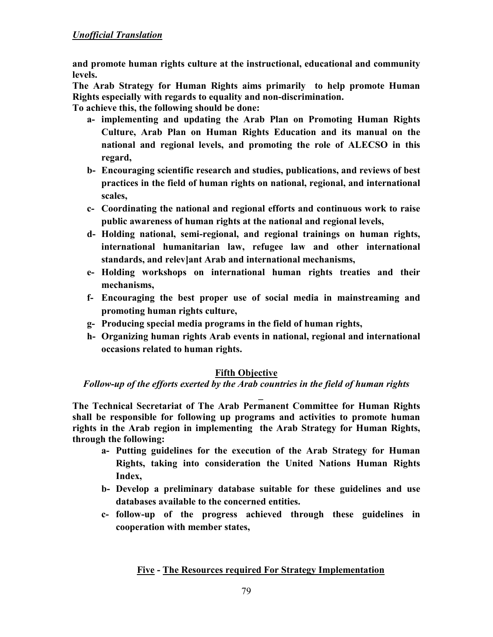## *Unofficial Translation*

**and promote human rights culture at the instructional, educational and community levels.** 

**The Arab Strategy for Human Rights aims primarily to help promote Human Rights especially with regards to equality and non-discrimination.** 

**To achieve this, the following should be done:** 

- **a- implementing and updating the Arab Plan on Promoting Human Rights Culture, Arab Plan on Human Rights Education and its manual on the national and regional levels, and promoting the role of ALECSO in this regard,**
- **b- Encouraging scientific research and studies, publications, and reviews of best practices in the field of human rights on national, regional, and international scales,**
- **c- Coordinating the national and regional efforts and continuous work to raise public awareness of human rights at the national and regional levels,**
- **d- Holding national, semi-regional, and regional trainings on human rights, international humanitarian law, refugee law and other international standards, and relev]ant Arab and international mechanisms,**
- **e- Holding workshops on international human rights treaties and their mechanisms,**
- **f- Encouraging the best proper use of social media in mainstreaming and promoting human rights culture,**
- **g- Producing special media programs in the field of human rights,**
- **h- Organizing human rights Arab events in national, regional and international occasions related to human rights.**

### **Fifth Objective**

*Follow-up of the efforts exerted by the Arab countries in the field of human rights* 

**\_ The Technical Secretariat of The Arab Permanent Committee for Human Rights shall be responsible for following up programs and activities to promote human rights in the Arab region in implementing the Arab Strategy for Human Rights, through the following:** 

- **a- Putting guidelines for the execution of the Arab Strategy for Human Rights, taking into consideration the United Nations Human Rights Index,**
- **b- Develop a preliminary database suitable for these guidelines and use databases available to the concerned entities.**
- **c- follow-up of the progress achieved through these guidelines in cooperation with member states,**

# **Five - The Resources required For Strategy Implementation**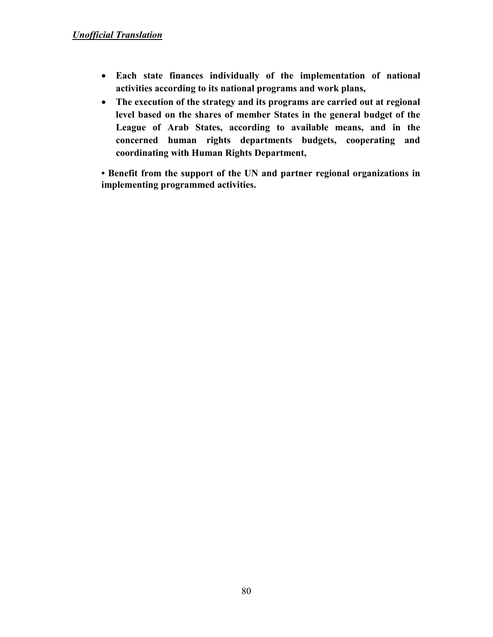- **Each state finances individually of the implementation of national activities according to its national programs and work plans,**
- **The execution of the strategy and its programs are carried out at regional level based on the shares of member States in the general budget of the League of Arab States, according to available means, and in the concerned human rights departments budgets, cooperating and coordinating with Human Rights Department,**

**• Benefit from the support of the UN and partner regional organizations in implementing programmed activities.**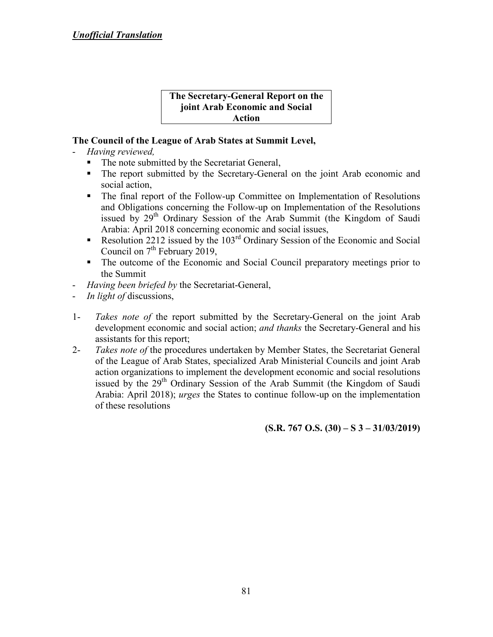#### **The Secretary-General Report on the joint Arab Economic and Social Action**

# **The Council of the League of Arab States at Summit Level,**

- *Having reviewed,*
	- The note submitted by the Secretariat General,
	- The report submitted by the Secretary-General on the joint Arab economic and social action,
	- The final report of the Follow-up Committee on Implementation of Resolutions and Obligations concerning the Follow-up on Implementation of the Resolutions issued by  $29<sup>th</sup>$  Ordinary Session of the Arab Summit (the Kingdom of Saudi Arabia: April 2018 concerning economic and social issues,
	- Resolution 2212 issued by the  $103<sup>rd</sup>$  Ordinary Session of the Economic and Social Council on  $7<sup>th</sup>$  February 2019,
	- The outcome of the Economic and Social Council preparatory meetings prior to the Summit
- *Having been briefed by* the Secretariat-General,
- *In light of* discussions,
- 1- *Takes note of* the report submitted by the Secretary-General on the joint Arab development economic and social action; *and thanks* the Secretary-General and his assistants for this report;
- 2- *Takes note of* the procedures undertaken by Member States, the Secretariat General of the League of Arab States, specialized Arab Ministerial Councils and joint Arab action organizations to implement the development economic and social resolutions issued by the 29<sup>th</sup> Ordinary Session of the Arab Summit (the Kingdom of Saudi Arabia: April 2018); *urges* the States to continue follow-up on the implementation of these resolutions

**(S.R. 767 O.S. (30) – S 3 – 31/03/2019)**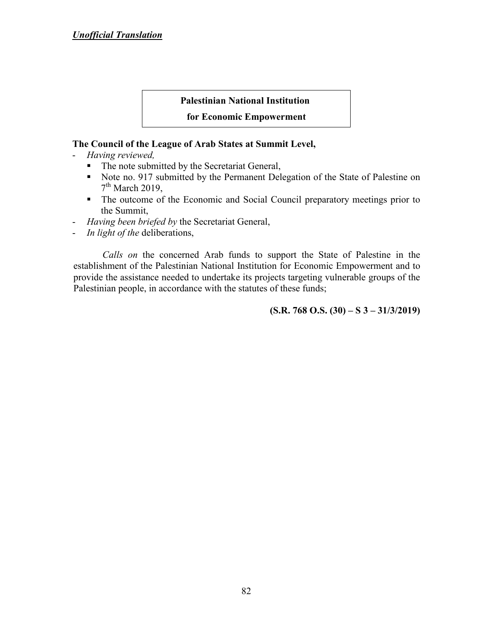#### **Palestinian National Institution**

#### **for Economic Empowerment**

#### **The Council of the League of Arab States at Summit Level,**

- *Having reviewed,*
	- The note submitted by the Secretariat General,
	- Note no. 917 submitted by the Permanent Delegation of the State of Palestine on  $7<sup>th</sup>$  March 2019,
	- The outcome of the Economic and Social Council preparatory meetings prior to the Summit,
- *Having been briefed by* the Secretariat General,
- *In light of the* deliberations,

*Calls on* the concerned Arab funds to support the State of Palestine in the establishment of the Palestinian National Institution for Economic Empowerment and to provide the assistance needed to undertake its projects targeting vulnerable groups of the Palestinian people, in accordance with the statutes of these funds;

**(S.R. 768 O.S. (30) – S 3 – 31/3/2019)**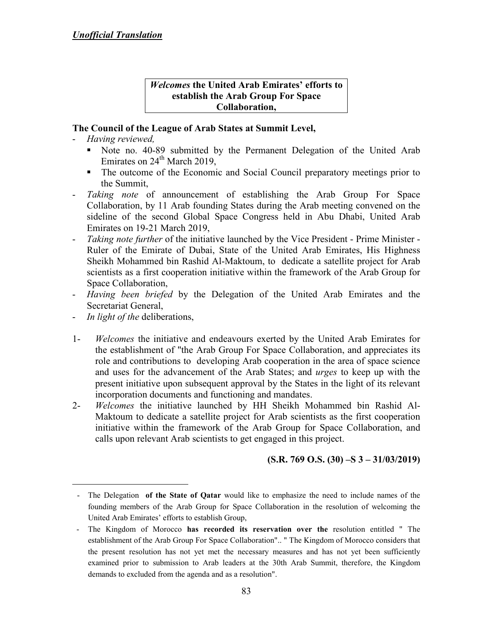#### *Welcomes* **the United Arab Emirates' efforts to establish the Arab Group For Space Collaboration,**

# **The Council of the League of Arab States at Summit Level,**

- *Having reviewed,*
	- Note no. 40-89 submitted by the Permanent Delegation of the United Arab Emirates on 24<sup>th</sup> March 2019,
	- The outcome of the Economic and Social Council preparatory meetings prior to the Summit,
- *Taking note* of announcement of establishing the Arab Group For Space Collaboration, by 11 Arab founding States during the Arab meeting convened on the sideline of the second Global Space Congress held in Abu Dhabi, United Arab Emirates on 19-21 March 2019,
- *Taking note further* of the initiative launched by the Vice President Prime Minister Ruler of the Emirate of Dubai, State of the United Arab Emirates, His Highness Sheikh Mohammed bin Rashid Al-Maktoum, to dedicate a satellite project for Arab scientists as a first cooperation initiative within the framework of the Arab Group for Space Collaboration,
- *Having been briefed* by the Delegation of the United Arab Emirates and the Secretariat General,
- *In light of the* deliberations,

 $\overline{a}$ 

- 1- *Welcomes* the initiative and endeavours exerted by the United Arab Emirates for the establishment of "the Arab Group For Space Collaboration, and appreciates its role and contributions to developing Arab cooperation in the area of space science and uses for the advancement of the Arab States; and *urges* to keep up with the present initiative upon subsequent approval by the States in the light of its relevant incorporation documents and functioning and mandates.
- 2- *Welcomes* the initiative launched by HH Sheikh Mohammed bin Rashid Al-Maktoum to dedicate a satellite project for Arab scientists as the first cooperation initiative within the framework of the Arab Group for Space Collaboration, and calls upon relevant Arab scientists to get engaged in this project.

# **(S.R. 769 O.S. (30) –S 3 – 31/03/2019)**

<sup>-</sup> The Delegation **of the State of Qatar** would like to emphasize the need to include names of the founding members of the Arab Group for Space Collaboration in the resolution of welcoming the United Arab Emirates' efforts to establish Group,

 <sup>-</sup> The Kingdom of Morocco **has recorded its reservation over the** resolution entitled " The establishment of the Arab Group For Space Collaboration".. " The Kingdom of Morocco considers that the present resolution has not yet met the necessary measures and has not yet been sufficiently examined prior to submission to Arab leaders at the 30th Arab Summit, therefore, the Kingdom demands to excluded from the agenda and as a resolution".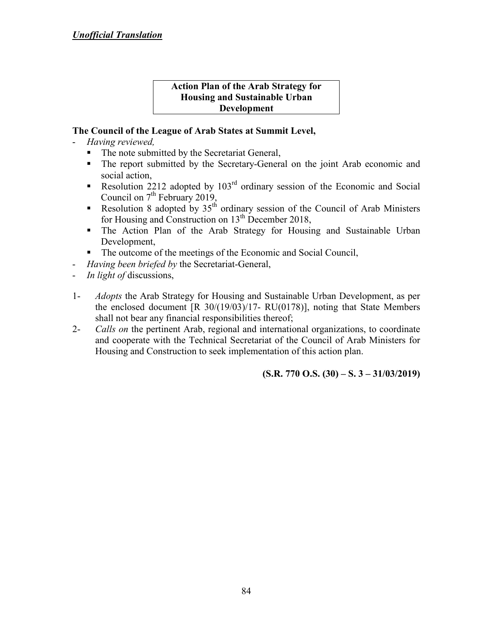#### **Action Plan of the Arab Strategy for Housing and Sustainable Urban Development**

# **The Council of the League of Arab States at Summit Level,**

- *Having reviewed,*
	- The note submitted by the Secretariat General,
	- The report submitted by the Secretary-General on the joint Arab economic and social action,
	- Resolution 2212 adopted by  $103<sup>rd</sup>$  ordinary session of the Economic and Social Council on  $7<sup>th</sup>$  February 2019,
	- Resolution 8 adopted by  $35<sup>th</sup>$  ordinary session of the Council of Arab Ministers for Housing and Construction on  $13<sup>th</sup>$  December 2018,
	- The Action Plan of the Arab Strategy for Housing and Sustainable Urban Development,
	- The outcome of the meetings of the Economic and Social Council,
- *Having been briefed by the Secretariat-General,*
- *In light of* discussions,
- 1- *Adopts* the Arab Strategy for Housing and Sustainable Urban Development, as per the enclosed document  $[R \ 30/(19/03)/17 - RU(0178)]$ , noting that State Members shall not bear any financial responsibilities thereof;
- 2- *Calls on* the pertinent Arab, regional and international organizations, to coordinate and cooperate with the Technical Secretariat of the Council of Arab Ministers for Housing and Construction to seek implementation of this action plan.

**(S.R. 770 O.S. (30) – S. 3 – 31/03/2019)**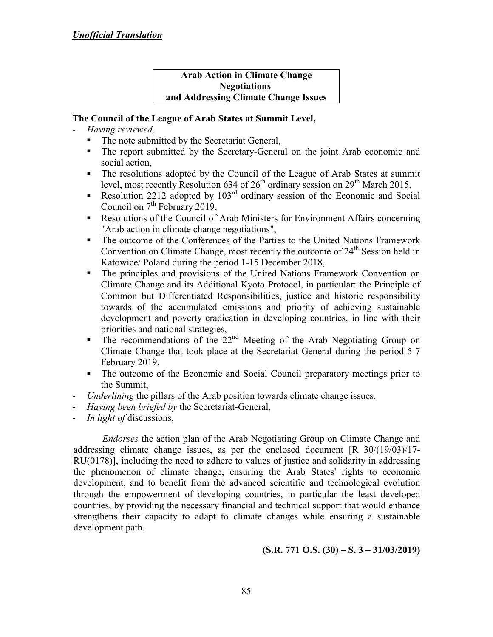#### **Arab Action in Climate Change Negotiations and Addressing Climate Change Issues**

# **The Council of the League of Arab States at Summit Level,**

- *Having reviewed,*
	- The note submitted by the Secretariat General,
	- The report submitted by the Secretary-General on the joint Arab economic and social action,
	- The resolutions adopted by the Council of the League of Arab States at summit level, most recently Resolution 634 of  $26<sup>th</sup>$  ordinary session on  $29<sup>th</sup>$  March 2015,
	- Resolution 2212 adopted by  $103<sup>rd</sup>$  ordinary session of the Economic and Social Council on  $7<sup>th</sup>$  February 2019,
	- Resolutions of the Council of Arab Ministers for Environment Affairs concerning "Arab action in climate change negotiations",
	- The outcome of the Conferences of the Parties to the United Nations Framework Convention on Climate Change, most recently the outcome of  $24<sup>th</sup>$  Session held in Katowice/ Poland during the period 1-15 December 2018,
	- The principles and provisions of the United Nations Framework Convention on Climate Change and its Additional Kyoto Protocol, in particular: the Principle of Common but Differentiated Responsibilities, justice and historic responsibility towards of the accumulated emissions and priority of achieving sustainable development and poverty eradication in developing countries, in line with their priorities and national strategies,
	- $\blacksquare$  The recommendations of the 22<sup>nd</sup> Meeting of the Arab Negotiating Group on Climate Change that took place at the Secretariat General during the period 5-7 February 2019,
	- The outcome of the Economic and Social Council preparatory meetings prior to the Summit,
- *Underlining* the pillars of the Arab position towards climate change issues,
- *Having been briefed by the Secretariat-General,*
- *In light of* discussions,

*Endorses* the action plan of the Arab Negotiating Group on Climate Change and addressing climate change issues, as per the enclosed document [R 30/(19/03)/17- RU(0178)], including the need to adhere to values of justice and solidarity in addressing the phenomenon of climate change, ensuring the Arab States' rights to economic development, and to benefit from the advanced scientific and technological evolution through the empowerment of developing countries, in particular the least developed countries, by providing the necessary financial and technical support that would enhance strengthens their capacity to adapt to climate changes while ensuring a sustainable development path.

**(S.R. 771 O.S. (30) – S. 3 – 31/03/2019)**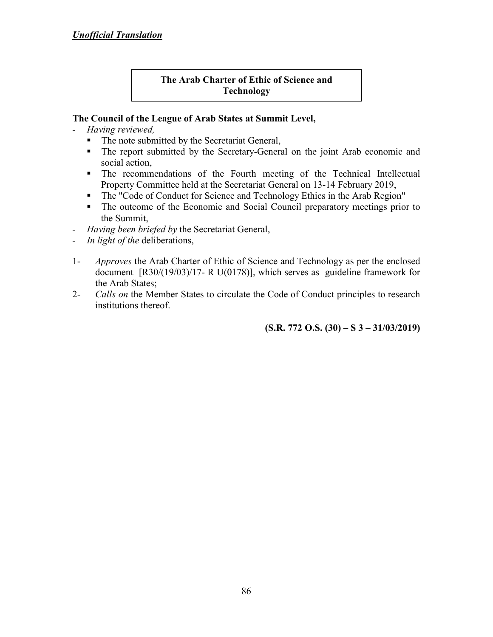# **The Arab Charter of Ethic of Science and Technology**

# **The Council of the League of Arab States at Summit Level,**

- *Having reviewed,*
	- The note submitted by the Secretariat General,
	- The report submitted by the Secretary-General on the joint Arab economic and social action,
	- The recommendations of the Fourth meeting of the Technical Intellectual Property Committee held at the Secretariat General on 13-14 February 2019,
	- The "Code of Conduct for Science and Technology Ethics in the Arab Region"
	- The outcome of the Economic and Social Council preparatory meetings prior to the Summit,
- *Having been briefed by* the Secretariat General,
- *In light of the* deliberations,
- 1- *Approves* the Arab Charter of Ethic of Science and Technology as per the enclosed document [R30/(19/03)/17- R U(0178)], which serves as guideline framework for the Arab States;
- 2- *Calls on* the Member States to circulate the Code of Conduct principles to research institutions thereof.

**(S.R. 772 O.S. (30) – S 3 – 31/03/2019)**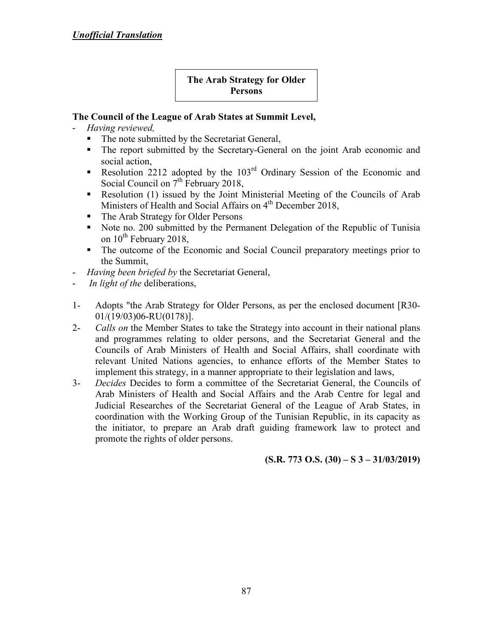# **The Arab Strategy for Older Persons**

# **The Council of the League of Arab States at Summit Level,**

- *Having reviewed,*
	- The note submitted by the Secretariat General,
	- The report submitted by the Secretary-General on the joint Arab economic and social action,
	- Resolution 2212 adopted by the  $103<sup>rd</sup>$  Ordinary Session of the Economic and Social Council on  $7<sup>th</sup>$  February 2018,
	- Resolution (1) issued by the Joint Ministerial Meeting of the Councils of Arab Ministers of Health and Social Affairs on  $4<sup>th</sup>$  December 2018,
	- The Arab Strategy for Older Persons
	- Note no. 200 submitted by the Permanent Delegation of the Republic of Tunisia on  $10^{th}$  February 2018,
	- The outcome of the Economic and Social Council preparatory meetings prior to the Summit,
- *Having been briefed by* the Secretariat General,
- *In light of the* deliberations,
- 1- Adopts "the Arab Strategy for Older Persons, as per the enclosed document [R30- 01/(19/03)06-RU(0178)].
- 2- *Calls on* the Member States to take the Strategy into account in their national plans and programmes relating to older persons, and the Secretariat General and the Councils of Arab Ministers of Health and Social Affairs, shall coordinate with relevant United Nations agencies, to enhance efforts of the Member States to implement this strategy, in a manner appropriate to their legislation and laws,
- 3- *Decides* Decides to form a committee of the Secretariat General, the Councils of Arab Ministers of Health and Social Affairs and the Arab Centre for legal and Judicial Researches of the Secretariat General of the League of Arab States, in coordination with the Working Group of the Tunisian Republic, in its capacity as the initiator, to prepare an Arab draft guiding framework law to protect and promote the rights of older persons.

**(S.R. 773 O.S. (30) – S 3 – 31/03/2019)**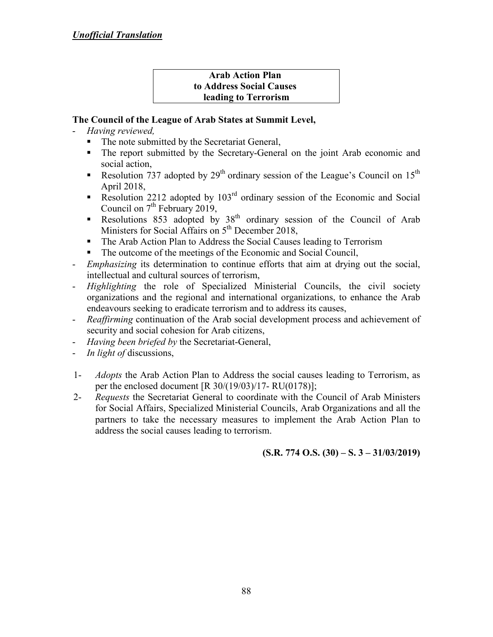### **Arab Action Plan to Address Social Causes leading to Terrorism**

# **The Council of the League of Arab States at Summit Level,**

- *Having reviewed,*
	- The note submitted by the Secretariat General,
	- The report submitted by the Secretary-General on the joint Arab economic and social action,
	- Resolution  $737$  adopted by 29<sup>th</sup> ordinary session of the League's Council on 15<sup>th</sup> April 2018,
	- Resolution 2212 adopted by  $103<sup>rd</sup>$  ordinary session of the Economic and Social Council on  $7<sup>th</sup>$  February 2019,
	- Resolutions 853 adopted by  $38<sup>th</sup>$  ordinary session of the Council of Arab Ministers for Social Affairs on 5<sup>th</sup> December 2018,
	- The Arab Action Plan to Address the Social Causes leading to Terrorism
	- The outcome of the meetings of the Economic and Social Council,
- *Emphasizing* its determination to continue efforts that aim at drying out the social, intellectual and cultural sources of terrorism,
- *Highlighting* the role of Specialized Ministerial Councils, the civil society organizations and the regional and international organizations, to enhance the Arab endeavours seeking to eradicate terrorism and to address its causes,
- *Reaffirming* continuation of the Arab social development process and achievement of security and social cohesion for Arab citizens,
- *Having been briefed by the Secretariat-General,*
- *In light of* discussions,
- 1- *Adopts* the Arab Action Plan to Address the social causes leading to Terrorism, as per the enclosed document [R 30/(19/03)/17- RU(0178)];
- 2- *Requests* the Secretariat General to coordinate with the Council of Arab Ministers for Social Affairs, Specialized Ministerial Councils, Arab Organizations and all the partners to take the necessary measures to implement the Arab Action Plan to address the social causes leading to terrorism.

**(S.R. 774 O.S. (30) – S. 3 – 31/03/2019)**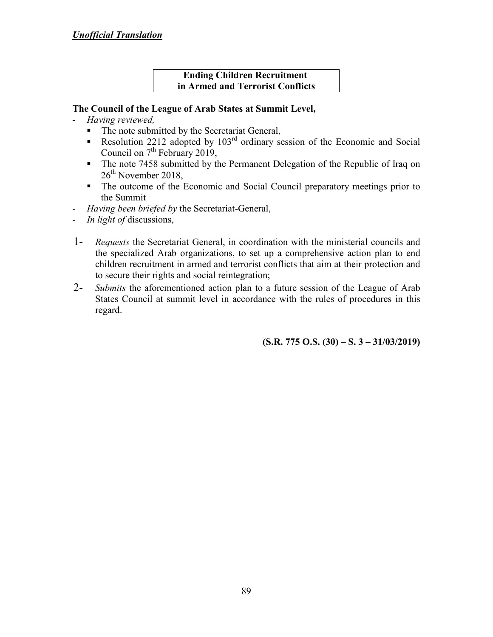# *Unofficial Translation*

#### **Ending Children Recruitment in Armed and Terrorist Conflicts**

### **The Council of the League of Arab States at Summit Level,**

- *Having reviewed,*
	- The note submitted by the Secretariat General,
	- Resolution 2212 adopted by  $103<sup>rd</sup>$  ordinary session of the Economic and Social Council on  $7<sup>th</sup>$  February 2019,
	- The note 7458 submitted by the Permanent Delegation of the Republic of Iraq on 26<sup>th</sup> November 2018,
	- The outcome of the Economic and Social Council preparatory meetings prior to the Summit
- *Having been briefed by* the Secretariat-General,
- *In light of* discussions,
- 1- *Requests* the Secretariat General, in coordination with the ministerial councils and the specialized Arab organizations, to set up a comprehensive action plan to end children recruitment in armed and terrorist conflicts that aim at their protection and to secure their rights and social reintegration;
- 2- *Submits* the aforementioned action plan to a future session of the League of Arab States Council at summit level in accordance with the rules of procedures in this regard.

**(S.R. 775 O.S. (30) – S. 3 – 31/03/2019)**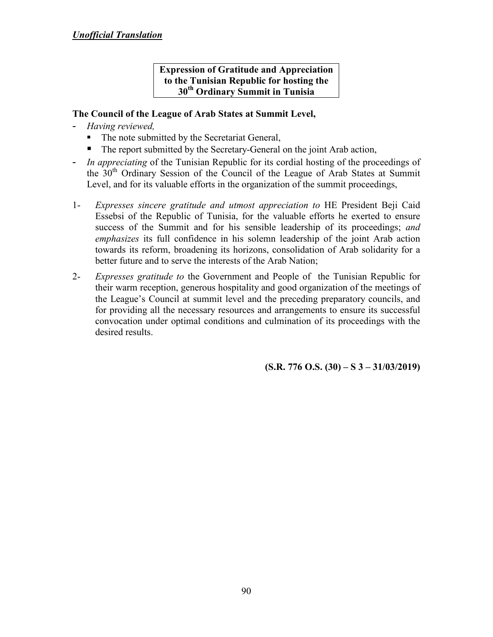# **Expression of Gratitude and Appreciation to the Tunisian Republic for hosting the 30th Ordinary Summit in Tunisia**

## **The Council of the League of Arab States at Summit Level,**

- *Having reviewed,*
	- The note submitted by the Secretariat General,
	- The report submitted by the Secretary-General on the joint Arab action,
- *In appreciating* of the Tunisian Republic for its cordial hosting of the proceedings of the 30<sup>th</sup> Ordinary Session of the Council of the League of Arab States at Summit Level, and for its valuable efforts in the organization of the summit proceedings,
- 1- *Expresses sincere gratitude and utmost appreciation to* HE President Beji Caid Essebsi of the Republic of Tunisia, for the valuable efforts he exerted to ensure success of the Summit and for his sensible leadership of its proceedings; *and emphasizes* its full confidence in his solemn leadership of the joint Arab action towards its reform, broadening its horizons, consolidation of Arab solidarity for a better future and to serve the interests of the Arab Nation;
- 2- *Expresses gratitude to* the Government and People of the Tunisian Republic for their warm reception, generous hospitality and good organization of the meetings of the League's Council at summit level and the preceding preparatory councils, and for providing all the necessary resources and arrangements to ensure its successful convocation under optimal conditions and culmination of its proceedings with the desired results.

**(S.R. 776 O.S. (30) – S 3 – 31/03/2019)**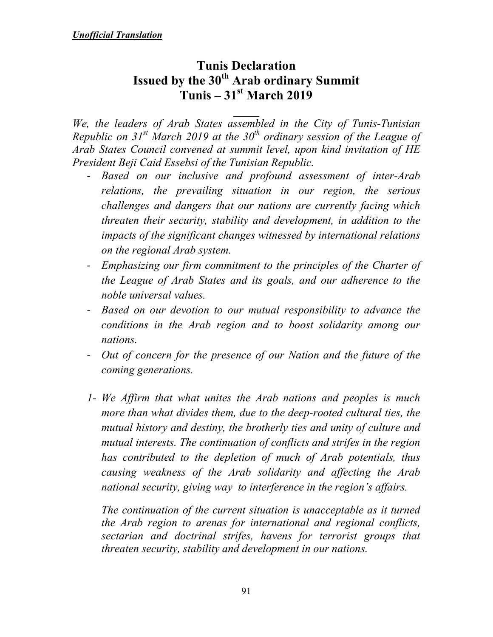# **Tunis Declaration Issued by the 30th Arab ordinary Summit Tunis – 31st March 2019**

**\_\_\_\_**  *We, the leaders of Arab States assembled in the City of Tunis-Tunisian Republic on 31st March 2019 at the 30th ordinary session of the League of Arab States Council convened at summit level, upon kind invitation of HE President Beji Caid Essebsi of the Tunisian Republic.* 

- *Based on our inclusive and profound assessment of inter-Arab relations, the prevailing situation in our region, the serious challenges and dangers that our nations are currently facing which threaten their security, stability and development, in addition to the impacts of the significant changes witnessed by international relations on the regional Arab system.*
- *Emphasizing our firm commitment to the principles of the Charter of the League of Arab States and its goals, and our adherence to the noble universal values.*
- *Based on our devotion to our mutual responsibility to advance the conditions in the Arab region and to boost solidarity among our nations.*
- *Out of concern for the presence of our Nation and the future of the coming generations.*
- *1- We Affirm that what unites the Arab nations and peoples is much more than what divides them, due to the deep-rooted cultural ties, the mutual history and destiny, the brotherly ties and unity of culture and mutual interests. The continuation of conflicts and strifes in the region has contributed to the depletion of much of Arab potentials, thus causing weakness of the Arab solidarity and affecting the Arab national security, giving way to interference in the region's affairs.*

*The continuation of the current situation is unacceptable as it turned the Arab region to arenas for international and regional conflicts, sectarian and doctrinal strifes, havens for terrorist groups that threaten security, stability and development in our nations.*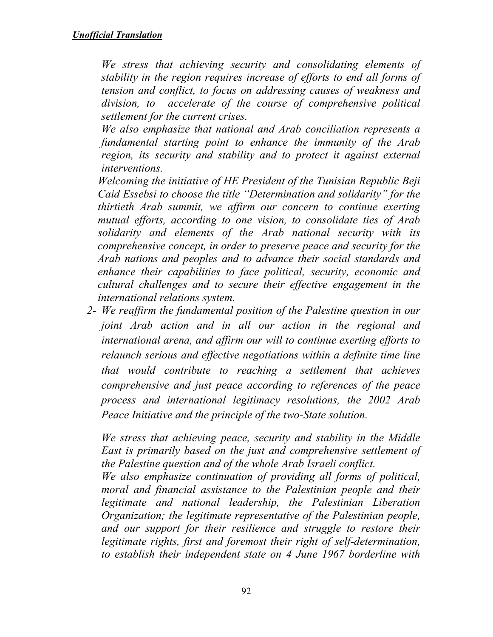*We stress that achieving security and consolidating elements of stability in the region requires increase of efforts to end all forms of tension and conflict, to focus on addressing causes of weakness and division, to accelerate of the course of comprehensive political settlement for the current crises.* 

*We also emphasize that national and Arab conciliation represents a fundamental starting point to enhance the immunity of the Arab region, its security and stability and to protect it against external interventions.* 

*Welcoming the initiative of HE President of the Tunisian Republic Beji Caid Essebsi to choose the title "Determination and solidarity" for the thirtieth Arab summit, we affirm our concern to continue exerting mutual efforts, according to one vision, to consolidate ties of Arab solidarity and elements of the Arab national security with its comprehensive concept, in order to preserve peace and security for the Arab nations and peoples and to advance their social standards and enhance their capabilities to face political, security, economic and cultural challenges and to secure their effective engagement in the international relations system.* 

*2- We reaffirm the fundamental position of the Palestine question in our joint Arab action and in all our action in the regional and international arena, and affirm our will to continue exerting efforts to relaunch serious and effective negotiations within a definite time line that would contribute to reaching a settlement that achieves comprehensive and just peace according to references of the peace process and international legitimacy resolutions, the 2002 Arab Peace Initiative and the principle of the two-State solution.* 

*We stress that achieving peace, security and stability in the Middle East is primarily based on the just and comprehensive settlement of the Palestine question and of the whole Arab Israeli conflict.* 

*We also emphasize continuation of providing all forms of political, moral and financial assistance to the Palestinian people and their legitimate and national leadership, the Palestinian Liberation Organization; the legitimate representative of the Palestinian people, and our support for their resilience and struggle to restore their legitimate rights, first and foremost their right of self-determination, to establish their independent state on 4 June 1967 borderline with*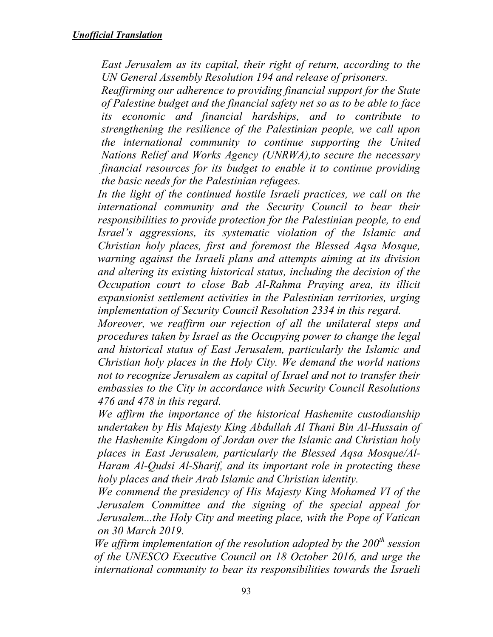*East Jerusalem as its capital, their right of return, according to the UN General Assembly Resolution 194 and release of prisoners.* 

*Reaffirming our adherence to providing financial support for the State of Palestine budget and the financial safety net so as to be able to face its economic and financial hardships, and to contribute to strengthening the resilience of the Palestinian people, we call upon the international community to continue supporting the United Nations Relief and Works Agency (UNRWA),to secure the necessary financial resources for its budget to enable it to continue providing the basic needs for the Palestinian refugees.* 

In the light of the continued hostile Israeli practices, we call on the *international community and the Security Council to bear their responsibilities to provide protection for the Palestinian people, to end Israel's aggressions, its systematic violation of the Islamic and Christian holy places, first and foremost the Blessed Aqsa Mosque, warning against the Israeli plans and attempts aiming at its division and altering its existing historical status, including the decision of the Occupation court to close Bab Al-Rahma Praying area, its illicit expansionist settlement activities in the Palestinian territories, urging implementation of Security Council Resolution 2334 in this regard.* 

*Moreover, we reaffirm our rejection of all the unilateral steps and procedures taken by Israel as the Occupying power to change the legal and historical status of East Jerusalem, particularly the Islamic and Christian holy places in the Holy City. We demand the world nations not to recognize Jerusalem as capital of Israel and not to transfer their embassies to the City in accordance with Security Council Resolutions 476 and 478 in this regard.* 

*We affirm the importance of the historical Hashemite custodianship undertaken by His Majesty King Abdullah Al Thani Bin Al-Hussain of the Hashemite Kingdom of Jordan over the Islamic and Christian holy places in East Jerusalem, particularly the Blessed Aqsa Mosque/Al-Haram Al-Qudsi Al-Sharif, and its important role in protecting these holy places and their Arab Islamic and Christian identity.* 

*We commend the presidency of His Majesty King Mohamed VI of the Jerusalem Committee and the signing of the special appeal for Jerusalem...the Holy City and meeting place, with the Pope of Vatican on 30 March 2019.* 

*We affirm implementation of the resolution adopted by the 200th session of the UNESCO Executive Council on 18 October 2016, and urge the international community to bear its responsibilities towards the Israeli*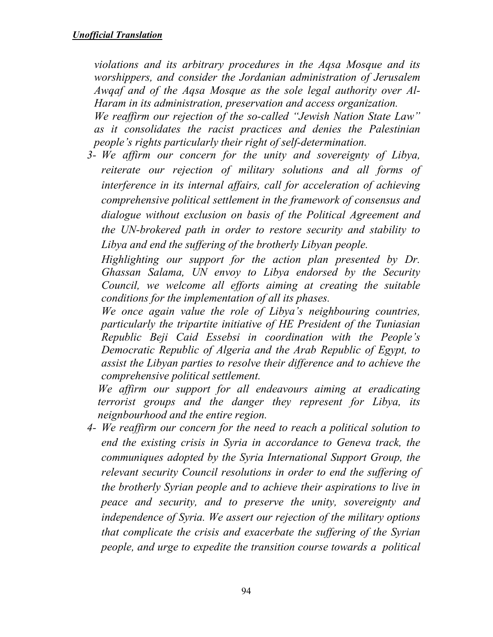*violations and its arbitrary procedures in the Aqsa Mosque and its worshippers, and consider the Jordanian administration of Jerusalem Awqaf and of the Aqsa Mosque as the sole legal authority over Al-Haram in its administration, preservation and access organization.* 

*We reaffirm our rejection of the so-called "Jewish Nation State Law" as it consolidates the racist practices and denies the Palestinian people's rights particularly their right of self-determination.* 

*3- We affirm our concern for the unity and sovereignty of Libya, reiterate our rejection of military solutions and all forms of interference in its internal affairs, call for acceleration of achieving comprehensive political settlement in the framework of consensus and dialogue without exclusion on basis of the Political Agreement and the UN-brokered path in order to restore security and stability to Libya and end the suffering of the brotherly Libyan people.* 

*Highlighting our support for the action plan presented by Dr. Ghassan Salama, UN envoy to Libya endorsed by the Security Council, we welcome all efforts aiming at creating the suitable conditions for the implementation of all its phases.* 

*We once again value the role of Libya's neighbouring countries, particularly the tripartite initiative of HE President of the Tuniasian Republic Beji Caid Essebsi in coordination with the People's Democratic Republic of Algeria and the Arab Republic of Egypt, to assist the Libyan parties to resolve their difference and to achieve the comprehensive political settlement.* 

*We affirm our support for all endeavours aiming at eradicating terrorist groups and the danger they represent for Libya, its neignbourhood and the entire region.* 

*4- We reaffirm our concern for the need to reach a political solution to end the existing crisis in Syria in accordance to Geneva track, the communiques adopted by the Syria International Support Group, the relevant security Council resolutions in order to end the suffering of the brotherly Syrian people and to achieve their aspirations to live in peace and security, and to preserve the unity, sovereignty and independence of Syria. We assert our rejection of the military options that complicate the crisis and exacerbate the suffering of the Syrian people, and urge to expedite the transition course towards a political*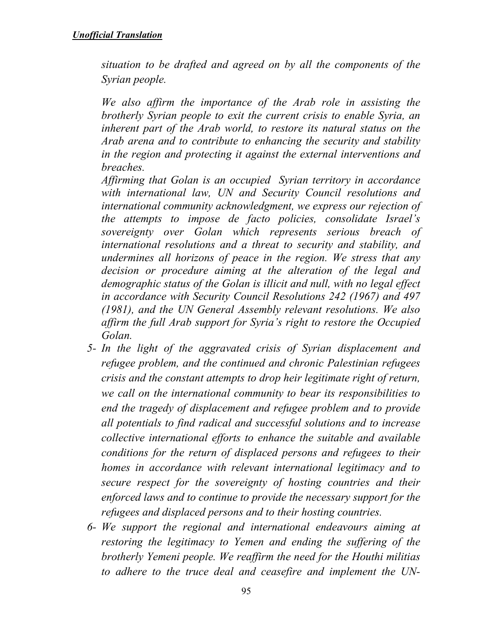*situation to be drafted and agreed on by all the components of the Syrian people.* 

*We also affirm the importance of the Arab role in assisting the brotherly Syrian people to exit the current crisis to enable Syria, an inherent part of the Arab world, to restore its natural status on the Arab arena and to contribute to enhancing the security and stability in the region and protecting it against the external interventions and breaches.* 

*Affirming that Golan is an occupied Syrian territory in accordance with international law, UN and Security Council resolutions and international community acknowledgment, we express our rejection of the attempts to impose de facto policies, consolidate Israel's sovereignty over Golan which represents serious breach of international resolutions and a threat to security and stability, and undermines all horizons of peace in the region. We stress that any decision or procedure aiming at the alteration of the legal and demographic status of the Golan is illicit and null, with no legal effect in accordance with Security Council Resolutions 242 (1967) and 497 (1981), and the UN General Assembly relevant resolutions. We also affirm the full Arab support for Syria's right to restore the Occupied Golan.* 

- *5- In the light of the aggravated crisis of Syrian displacement and refugee problem, and the continued and chronic Palestinian refugees crisis and the constant attempts to drop heir legitimate right of return, we call on the international community to bear its responsibilities to end the tragedy of displacement and refugee problem and to provide all potentials to find radical and successful solutions and to increase collective international efforts to enhance the suitable and available conditions for the return of displaced persons and refugees to their homes in accordance with relevant international legitimacy and to secure respect for the sovereignty of hosting countries and their enforced laws and to continue to provide the necessary support for the refugees and displaced persons and to their hosting countries.*
- *6- We support the regional and international endeavours aiming at restoring the legitimacy to Yemen and ending the suffering of the brotherly Yemeni people. We reaffirm the need for the Houthi militias to adhere to the truce deal and ceasefire and implement the UN-*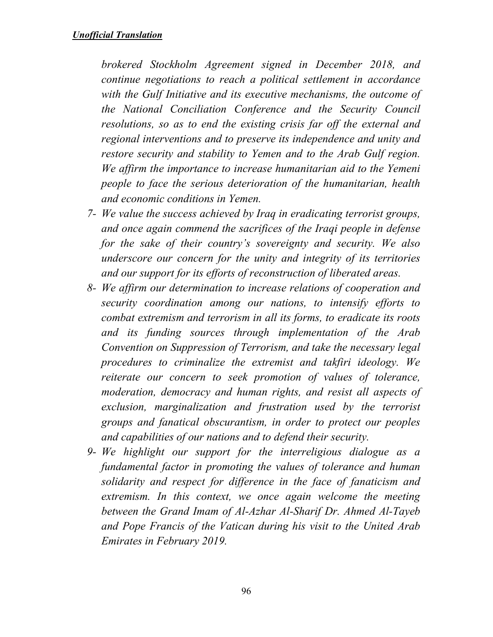*brokered Stockholm Agreement signed in December 2018, and continue negotiations to reach a political settlement in accordance with the Gulf Initiative and its executive mechanisms, the outcome of the National Conciliation Conference and the Security Council resolutions, so as to end the existing crisis far off the external and regional interventions and to preserve its independence and unity and restore security and stability to Yemen and to the Arab Gulf region. We affirm the importance to increase humanitarian aid to the Yemeni people to face the serious deterioration of the humanitarian, health and economic conditions in Yemen.* 

- *7- We value the success achieved by Iraq in eradicating terrorist groups, and once again commend the sacrifices of the Iraqi people in defense for the sake of their country's sovereignty and security. We also underscore our concern for the unity and integrity of its territories and our support for its efforts of reconstruction of liberated areas.*
- *8- We affirm our determination to increase relations of cooperation and security coordination among our nations, to intensify efforts to combat extremism and terrorism in all its forms, to eradicate its roots and its funding sources through implementation of the Arab Convention on Suppression of Terrorism, and take the necessary legal procedures to criminalize the extremist and takfiri ideology. We reiterate our concern to seek promotion of values of tolerance, moderation, democracy and human rights, and resist all aspects of exclusion, marginalization and frustration used by the terrorist groups and fanatical obscurantism, in order to protect our peoples and capabilities of our nations and to defend their security.*
- *9- We highlight our support for the interreligious dialogue as a fundamental factor in promoting the values of tolerance and human solidarity and respect for difference in the face of fanaticism and extremism. In this context, we once again welcome the meeting between the Grand Imam of Al-Azhar Al-Sharif Dr. Ahmed Al-Tayeb and Pope Francis of the Vatican during his visit to the United Arab Emirates in February 2019.*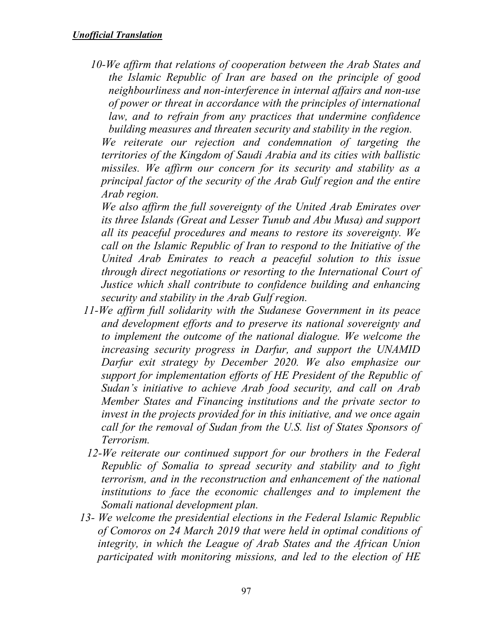*10-We affirm that relations of cooperation between the Arab States and the Islamic Republic of Iran are based on the principle of good neighbourliness and non-interference in internal affairs and non-use of power or threat in accordance with the principles of international law, and to refrain from any practices that undermine confidence building measures and threaten security and stability in the region.* 

*We reiterate our rejection and condemnation of targeting the territories of the Kingdom of Saudi Arabia and its cities with ballistic missiles. We affirm our concern for its security and stability as a principal factor of the security of the Arab Gulf region and the entire Arab region.* 

*We also affirm the full sovereignty of the United Arab Emirates over its three Islands (Great and Lesser Tunub and Abu Musa) and support all its peaceful procedures and means to restore its sovereignty. We call on the Islamic Republic of Iran to respond to the Initiative of the United Arab Emirates to reach a peaceful solution to this issue through direct negotiations or resorting to the International Court of Justice which shall contribute to confidence building and enhancing security and stability in the Arab Gulf region.* 

- *11-We affirm full solidarity with the Sudanese Government in its peace and development efforts and to preserve its national sovereignty and to implement the outcome of the national dialogue. We welcome the increasing security progress in Darfur, and support the UNAMID Darfur exit strategy by December 2020. We also emphasize our support for implementation efforts of HE President of the Republic of Sudan's initiative to achieve Arab food security, and call on Arab Member States and Financing institutions and the private sector to invest in the projects provided for in this initiative, and we once again call for the removal of Sudan from the U.S. list of States Sponsors of Terrorism.*
- *12-We reiterate our continued support for our brothers in the Federal Republic of Somalia to spread security and stability and to fight terrorism, and in the reconstruction and enhancement of the national*  institutions to face the economic challenges and to implement the *Somali national development plan.*
- *13- We welcome the presidential elections in the Federal Islamic Republic of Comoros on 24 March 2019 that were held in optimal conditions of integrity, in which the League of Arab States and the African Union participated with monitoring missions, and led to the election of HE*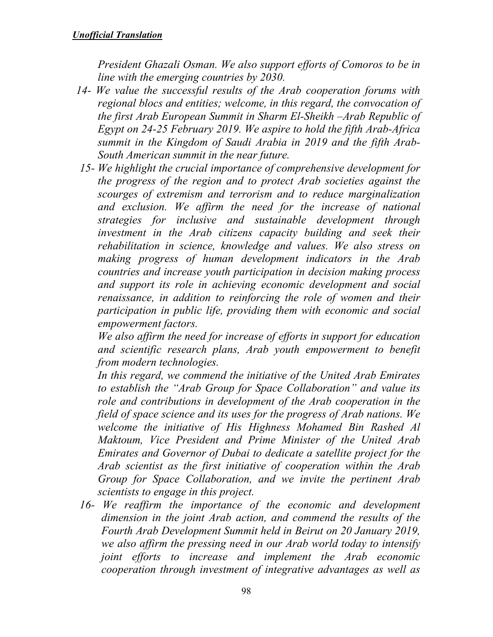*President Ghazali Osman. We also support efforts of Comoros to be in line with the emerging countries by 2030.* 

- *14- We value the successful results of the Arab cooperation forums with regional blocs and entities; welcome, in this regard, the convocation of the first Arab European Summit in Sharm El-Sheikh –Arab Republic of Egypt on 24-25 February 2019. We aspire to hold the fifth Arab-Africa summit in the Kingdom of Saudi Arabia in 2019 and the fifth Arab-South American summit in the near future.*
- *15- We highlight the crucial importance of comprehensive development for the progress of the region and to protect Arab societies against the scourges of extremism and terrorism and to reduce marginalization and exclusion. We affirm the need for the increase of national strategies for inclusive and sustainable development through investment in the Arab citizens capacity building and seek their rehabilitation in science, knowledge and values. We also stress on making progress of human development indicators in the Arab countries and increase youth participation in decision making process and support its role in achieving economic development and social renaissance, in addition to reinforcing the role of women and their participation in public life, providing them with economic and social empowerment factors.*

*We also affirm the need for increase of efforts in support for education and scientific research plans, Arab youth empowerment to benefit from modern technologies.* 

*In this regard, we commend the initiative of the United Arab Emirates to establish the "Arab Group for Space Collaboration" and value its role and contributions in development of the Arab cooperation in the field of space science and its uses for the progress of Arab nations. We welcome the initiative of His Highness Mohamed Bin Rashed Al Maktoum, Vice President and Prime Minister of the United Arab Emirates and Governor of Dubai to dedicate a satellite project for the Arab scientist as the first initiative of cooperation within the Arab Group for Space Collaboration, and we invite the pertinent Arab scientists to engage in this project.* 

*16- We reaffirm the importance of the economic and development dimension in the joint Arab action, and commend the results of the Fourth Arab Development Summit held in Beirut on 20 January 2019, we also affirm the pressing need in our Arab world today to intensify joint efforts to increase and implement the Arab economic cooperation through investment of integrative advantages as well as*